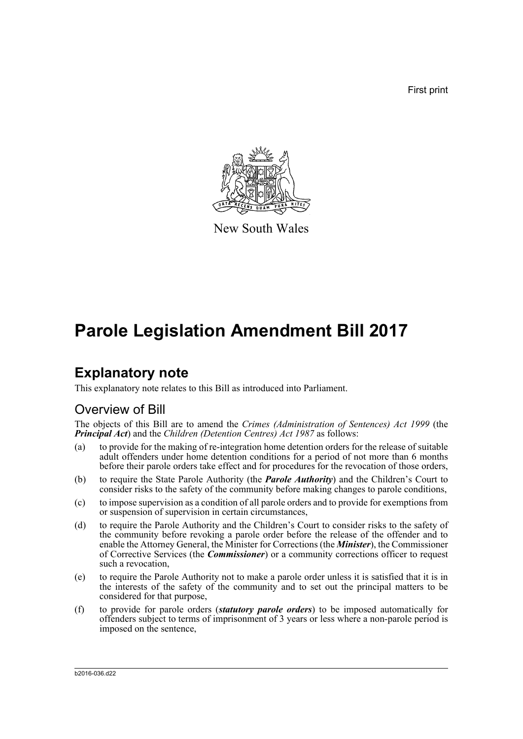First print



New South Wales

# **Parole Legislation Amendment Bill 2017**

# **Explanatory note**

This explanatory note relates to this Bill as introduced into Parliament.

# Overview of Bill

The objects of this Bill are to amend the *Crimes (Administration of Sentences) Act 1999* (the *Principal Act*) and the *Children (Detention Centres) Act 1987* as follows:

- (a) to provide for the making of re-integration home detention orders for the release of suitable adult offenders under home detention conditions for a period of not more than 6 months before their parole orders take effect and for procedures for the revocation of those orders,
- (b) to require the State Parole Authority (the *Parole Authority*) and the Children's Court to consider risks to the safety of the community before making changes to parole conditions,
- (c) to impose supervision as a condition of all parole orders and to provide for exemptions from or suspension of supervision in certain circumstances,
- (d) to require the Parole Authority and the Children's Court to consider risks to the safety of the community before revoking a parole order before the release of the offender and to enable the Attorney General, the Minister for Corrections (the *Minister*), the Commissioner of Corrective Services (the *Commissioner*) or a community corrections officer to request such a revocation,
- (e) to require the Parole Authority not to make a parole order unless it is satisfied that it is in the interests of the safety of the community and to set out the principal matters to be considered for that purpose,
- (f) to provide for parole orders (*statutory parole orders*) to be imposed automatically for offenders subject to terms of imprisonment of 3 years or less where a non-parole period is imposed on the sentence,

b2016-036.d22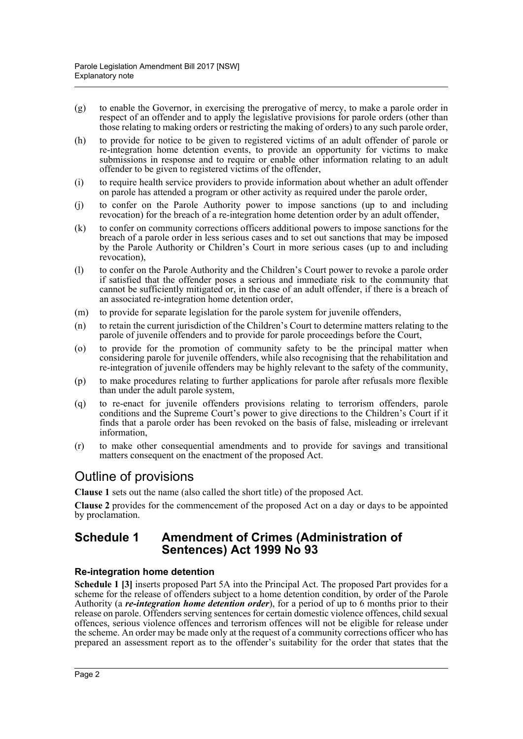- (g) to enable the Governor, in exercising the prerogative of mercy, to make a parole order in respect of an offender and to apply the legislative provisions for parole orders (other than those relating to making orders or restricting the making of orders) to any such parole order,
- (h) to provide for notice to be given to registered victims of an adult offender of parole or re-integration home detention events, to provide an opportunity for victims to make submissions in response and to require or enable other information relating to an adult offender to be given to registered victims of the offender,
- (i) to require health service providers to provide information about whether an adult offender on parole has attended a program or other activity as required under the parole order,
- (j) to confer on the Parole Authority power to impose sanctions (up to and including revocation) for the breach of a re-integration home detention order by an adult offender,
- (k) to confer on community corrections officers additional powers to impose sanctions for the breach of a parole order in less serious cases and to set out sanctions that may be imposed by the Parole Authority or Children's Court in more serious cases (up to and including revocation),
- (l) to confer on the Parole Authority and the Children's Court power to revoke a parole order if satisfied that the offender poses a serious and immediate risk to the community that cannot be sufficiently mitigated or, in the case of an adult offender, if there is a breach of an associated re-integration home detention order,
- (m) to provide for separate legislation for the parole system for juvenile offenders,
- (n) to retain the current jurisdiction of the Children's Court to determine matters relating to the parole of juvenile offenders and to provide for parole proceedings before the Court,
- (o) to provide for the promotion of community safety to be the principal matter when considering parole for juvenile offenders, while also recognising that the rehabilitation and re-integration of juvenile offenders may be highly relevant to the safety of the community,
- (p) to make procedures relating to further applications for parole after refusals more flexible than under the adult parole system,
- (q) to re-enact for juvenile offenders provisions relating to terrorism offenders, parole conditions and the Supreme Court's power to give directions to the Children's Court if it finds that a parole order has been revoked on the basis of false, misleading or irrelevant information,
- (r) to make other consequential amendments and to provide for savings and transitional matters consequent on the enactment of the proposed Act.

# Outline of provisions

**Clause 1** sets out the name (also called the short title) of the proposed Act.

**Clause 2** provides for the commencement of the proposed Act on a day or days to be appointed by proclamation.

# **Schedule 1 Amendment of Crimes (Administration of Sentences) Act 1999 No 93**

#### **Re-integration home detention**

**Schedule 1 [3]** inserts proposed Part 5A into the Principal Act. The proposed Part provides for a scheme for the release of offenders subject to a home detention condition, by order of the Parole Authority (a *re-integration home detention order*), for a period of up to 6 months prior to their release on parole. Offenders serving sentences for certain domestic violence offences, child sexual offences, serious violence offences and terrorism offences will not be eligible for release under the scheme. An order may be made only at the request of a community corrections officer who has prepared an assessment report as to the offender's suitability for the order that states that the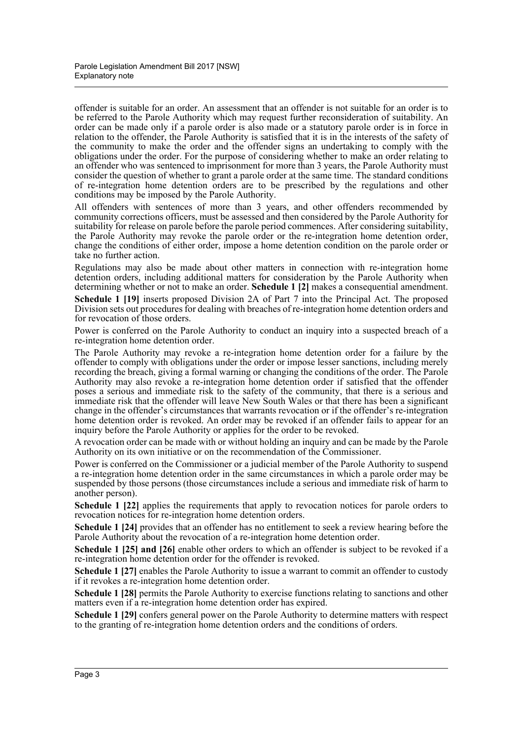offender is suitable for an order. An assessment that an offender is not suitable for an order is to be referred to the Parole Authority which may request further reconsideration of suitability. An order can be made only if a parole order is also made or a statutory parole order is in force in relation to the offender, the Parole Authority is satisfied that it is in the interests of the safety of the community to make the order and the offender signs an undertaking to comply with the obligations under the order. For the purpose of considering whether to make an order relating to an offender who was sentenced to imprisonment for more than 3 years, the Parole Authority must consider the question of whether to grant a parole order at the same time. The standard conditions of re-integration home detention orders are to be prescribed by the regulations and other conditions may be imposed by the Parole Authority.

All offenders with sentences of more than 3 years, and other offenders recommended by community corrections officers, must be assessed and then considered by the Parole Authority for suitability for release on parole before the parole period commences. After considering suitability, the Parole Authority may revoke the parole order or the re-integration home detention order, change the conditions of either order, impose a home detention condition on the parole order or take no further action.

Regulations may also be made about other matters in connection with re-integration home detention orders, including additional matters for consideration by the Parole Authority when determining whether or not to make an order. **Schedule 1 [2]** makes a consequential amendment.

**Schedule 1 [19]** inserts proposed Division 2A of Part 7 into the Principal Act. The proposed Division sets out procedures for dealing with breaches of re-integration home detention orders and for revocation of those orders.

Power is conferred on the Parole Authority to conduct an inquiry into a suspected breach of a re-integration home detention order.

The Parole Authority may revoke a re-integration home detention order for a failure by the offender to comply with obligations under the order or impose lesser sanctions, including merely recording the breach, giving a formal warning or changing the conditions of the order. The Parole Authority may also revoke a re-integration home detention order if satisfied that the offender poses a serious and immediate risk to the safety of the community, that there is a serious and immediate risk that the offender will leave New South Wales or that there has been a significant change in the offender's circumstances that warrants revocation or if the offender's re-integration home detention order is revoked. An order may be revoked if an offender fails to appear for an inquiry before the Parole Authority or applies for the order to be revoked.

A revocation order can be made with or without holding an inquiry and can be made by the Parole Authority on its own initiative or on the recommendation of the Commissioner.

Power is conferred on the Commissioner or a judicial member of the Parole Authority to suspend a re-integration home detention order in the same circumstances in which a parole order may be suspended by those persons (those circumstances include a serious and immediate risk of harm to another person).

**Schedule 1 [22]** applies the requirements that apply to revocation notices for parole orders to revocation notices for re-integration home detention orders.

**Schedule 1 [24]** provides that an offender has no entitlement to seek a review hearing before the Parole Authority about the revocation of a re-integration home detention order.

**Schedule 1 [25] and [26]** enable other orders to which an offender is subject to be revoked if a re-integration home detention order for the offender is revoked.

**Schedule 1 [27]** enables the Parole Authority to issue a warrant to commit an offender to custody if it revokes a re-integration home detention order.

**Schedule 1 [28]** permits the Parole Authority to exercise functions relating to sanctions and other matters even if a re-integration home detention order has expired.

**Schedule 1 [29]** confers general power on the Parole Authority to determine matters with respect to the granting of re-integration home detention orders and the conditions of orders.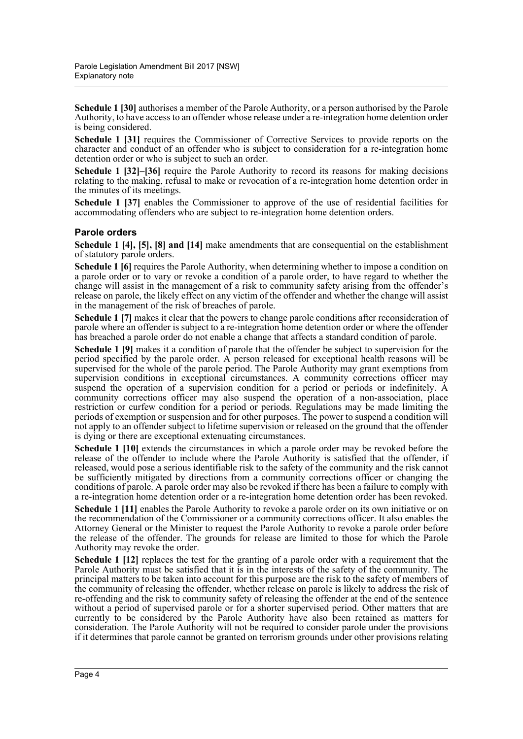**Schedule 1 [30]** authorises a member of the Parole Authority, or a person authorised by the Parole Authority, to have access to an offender whose release under a re-integration home detention order is being considered.

**Schedule 1 [31]** requires the Commissioner of Corrective Services to provide reports on the character and conduct of an offender who is subject to consideration for a re-integration home detention order or who is subject to such an order.

**Schedule 1 [32]–[36]** require the Parole Authority to record its reasons for making decisions relating to the making, refusal to make or revocation of a re-integration home detention order in the minutes of its meetings.

**Schedule 1 [37]** enables the Commissioner to approve of the use of residential facilities for accommodating offenders who are subject to re-integration home detention orders.

#### **Parole orders**

**Schedule 1 [4], [5], [8] and [14]** make amendments that are consequential on the establishment of statutory parole orders.

**Schedule 1 [6]** requires the Parole Authority, when determining whether to impose a condition on a parole order or to vary or revoke a condition of a parole order, to have regard to whether the change will assist in the management of a risk to community safety arising from the offender's release on parole, the likely effect on any victim of the offender and whether the change will assist in the management of the risk of breaches of parole.

**Schedule 1 [7]** makes it clear that the powers to change parole conditions after reconsideration of parole where an offender is subject to a re-integration home detention order or where the offender has breached a parole order do not enable a change that affects a standard condition of parole.

**Schedule 1 [9]** makes it a condition of parole that the offender be subject to supervision for the period specified by the parole order. A person released for exceptional health reasons will be supervised for the whole of the parole period. The Parole Authority may grant exemptions from supervision conditions in exceptional circumstances. A community corrections officer may suspend the operation of a supervision condition for a period or periods or indefinitely. A community corrections officer may also suspend the operation of a non-association, place restriction or curfew condition for a period or periods. Regulations may be made limiting the periods of exemption or suspension and for other purposes. The power to suspend a condition will not apply to an offender subject to lifetime supervision or released on the ground that the offender is dying or there are exceptional extenuating circumstances.

**Schedule 1 [10]** extends the circumstances in which a parole order may be revoked before the release of the offender to include where the Parole Authority is satisfied that the offender, if released, would pose a serious identifiable risk to the safety of the community and the risk cannot be sufficiently mitigated by directions from a community corrections officer or changing the conditions of parole. A parole order may also be revoked if there has been a failure to comply with a re-integration home detention order or a re-integration home detention order has been revoked.

**Schedule 1 [11]** enables the Parole Authority to revoke a parole order on its own initiative or on the recommendation of the Commissioner or a community corrections officer. It also enables the Attorney General or the Minister to request the Parole Authority to revoke a parole order before the release of the offender. The grounds for release are limited to those for which the Parole Authority may revoke the order.

**Schedule 1 [12]** replaces the test for the granting of a parole order with a requirement that the Parole Authority must be satisfied that it is in the interests of the safety of the community. The principal matters to be taken into account for this purpose are the risk to the safety of members of the community of releasing the offender, whether release on parole is likely to address the risk of re-offending and the risk to community safety of releasing the offender at the end of the sentence without a period of supervised parole or for a shorter supervised period. Other matters that are currently to be considered by the Parole Authority have also been retained as matters for consideration. The Parole Authority will not be required to consider parole under the provisions if it determines that parole cannot be granted on terrorism grounds under other provisions relating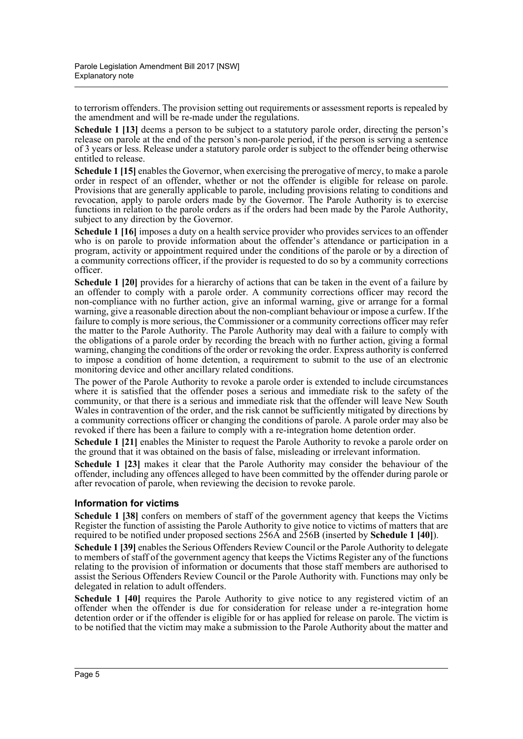to terrorism offenders. The provision setting out requirements or assessment reports is repealed by the amendment and will be re-made under the regulations.

**Schedule 1 [13]** deems a person to be subject to a statutory parole order, directing the person's release on parole at the end of the person's non-parole period, if the person is serving a sentence of 3 years or less. Release under a statutory parole order is subject to the offender being otherwise entitled to release.

**Schedule 1 [15]** enables the Governor, when exercising the prerogative of mercy, to make a parole order in respect of an offender, whether or not the offender is eligible for release on parole. Provisions that are generally applicable to parole, including provisions relating to conditions and revocation, apply to parole orders made by the Governor. The Parole Authority is to exercise functions in relation to the parole orders as if the orders had been made by the Parole Authority, subject to any direction by the Governor.

**Schedule 1 [16]** imposes a duty on a health service provider who provides services to an offender who is on parole to provide information about the offender's attendance or participation in a program, activity or appointment required under the conditions of the parole or by a direction of a community corrections officer, if the provider is requested to do so by a community corrections officer.

**Schedule 1 [20]** provides for a hierarchy of actions that can be taken in the event of a failure by an offender to comply with a parole order. A community corrections officer may record the non-compliance with no further action, give an informal warning, give or arrange for a formal warning, give a reasonable direction about the non-compliant behaviour or impose a curfew. If the failure to comply is more serious, the Commissioner or a community corrections officer may refer the matter to the Parole Authority. The Parole Authority may deal with a failure to comply with the obligations of a parole order by recording the breach with no further action, giving a formal warning, changing the conditions of the order or revoking the order. Express authority is conferred to impose a condition of home detention, a requirement to submit to the use of an electronic monitoring device and other ancillary related conditions.

The power of the Parole Authority to revoke a parole order is extended to include circumstances where it is satisfied that the offender poses a serious and immediate risk to the safety of the community, or that there is a serious and immediate risk that the offender will leave New South Wales in contravention of the order, and the risk cannot be sufficiently mitigated by directions by a community corrections officer or changing the conditions of parole. A parole order may also be revoked if there has been a failure to comply with a re-integration home detention order.

**Schedule 1 [21]** enables the Minister to request the Parole Authority to revoke a parole order on the ground that it was obtained on the basis of false, misleading or irrelevant information.

**Schedule 1 [23]** makes it clear that the Parole Authority may consider the behaviour of the offender, including any offences alleged to have been committed by the offender during parole or after revocation of parole, when reviewing the decision to revoke parole.

#### **Information for victims**

**Schedule 1 [38]** confers on members of staff of the government agency that keeps the Victims Register the function of assisting the Parole Authority to give notice to victims of matters that are required to be notified under proposed sections 256A and 256B (inserted by **Schedule 1 [40]**).

**Schedule 1 [39]** enables the Serious Offenders Review Council or the Parole Authority to delegate to members of staff of the government agency that keeps the Victims Register any of the functions relating to the provision of information or documents that those staff members are authorised to assist the Serious Offenders Review Council or the Parole Authority with. Functions may only be delegated in relation to adult offenders.

**Schedule 1 [40]** requires the Parole Authority to give notice to any registered victim of an offender when the offender is due for consideration for release under a re-integration home detention order or if the offender is eligible for or has applied for release on parole. The victim is to be notified that the victim may make a submission to the Parole Authority about the matter and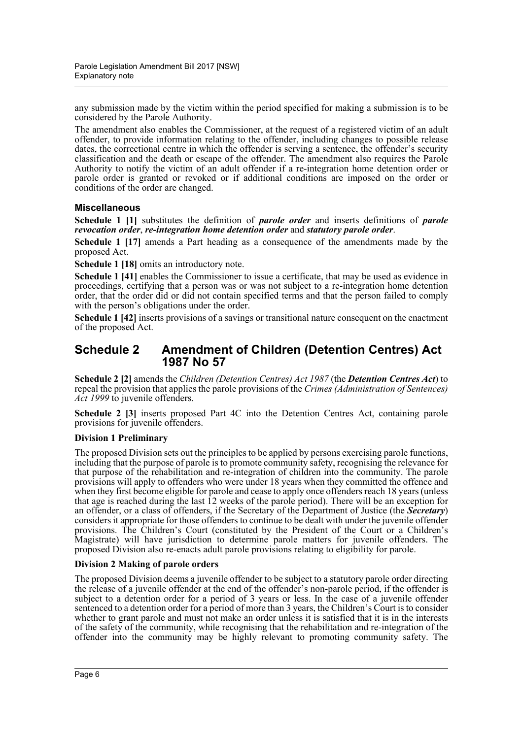any submission made by the victim within the period specified for making a submission is to be considered by the Parole Authority.

The amendment also enables the Commissioner, at the request of a registered victim of an adult offender, to provide information relating to the offender, including changes to possible release dates, the correctional centre in which the offender is serving a sentence, the offender's security classification and the death or escape of the offender. The amendment also requires the Parole Authority to notify the victim of an adult offender if a re-integration home detention order or parole order is granted or revoked or if additional conditions are imposed on the order or conditions of the order are changed.

#### **Miscellaneous**

**Schedule 1 [1]** substitutes the definition of *parole order* and inserts definitions of *parole revocation order*, *re-integration home detention order* and *statutory parole order*.

**Schedule 1 [17]** amends a Part heading as a consequence of the amendments made by the proposed Act.

**Schedule 1 [18]** omits an introductory note.

**Schedule 1 [41]** enables the Commissioner to issue a certificate, that may be used as evidence in proceedings, certifying that a person was or was not subject to a re-integration home detention order, that the order did or did not contain specified terms and that the person failed to comply with the person's obligations under the order.

**Schedule 1 [42]** inserts provisions of a savings or transitional nature consequent on the enactment of the proposed Act.

## **Schedule 2 Amendment of Children (Detention Centres) Act 1987 No 57**

**Schedule 2 [2]** amends the *Children (Detention Centres) Act 1987* (the *Detention Centres Act*) to repeal the provision that applies the parole provisions of the *Crimes (Administration of Sentences) Act 1999* to juvenile offenders.

**Schedule 2 [3]** inserts proposed Part 4C into the Detention Centres Act, containing parole provisions for juvenile offenders.

#### **Division 1 Preliminary**

The proposed Division sets out the principles to be applied by persons exercising parole functions, including that the purpose of parole is to promote community safety, recognising the relevance for that purpose of the rehabilitation and re-integration of children into the community. The parole provisions will apply to offenders who were under 18 years when they committed the offence and when they first become eligible for parole and cease to apply once offenders reach 18 years (unless that age is reached during the last 12 weeks of the parole period). There will be an exception for an offender, or a class of offenders, if the Secretary of the Department of Justice (the *Secretary*) considers it appropriate for those offenders to continue to be dealt with under the juvenile offender provisions. The Children's Court (constituted by the President of the Court or a Children's Magistrate) will have jurisdiction to determine parole matters for juvenile offenders. The proposed Division also re-enacts adult parole provisions relating to eligibility for parole.

#### **Division 2 Making of parole orders**

The proposed Division deems a juvenile offender to be subject to a statutory parole order directing the release of a juvenile offender at the end of the offender's non-parole period, if the offender is subject to a detention order for a period of 3 years or less. In the case of a juvenile offender sentenced to a detention order for a period of more than 3 years, the Children's Court is to consider whether to grant parole and must not make an order unless it is satisfied that it is in the interests of the safety of the community, while recognising that the rehabilitation and re-integration of the offender into the community may be highly relevant to promoting community safety. The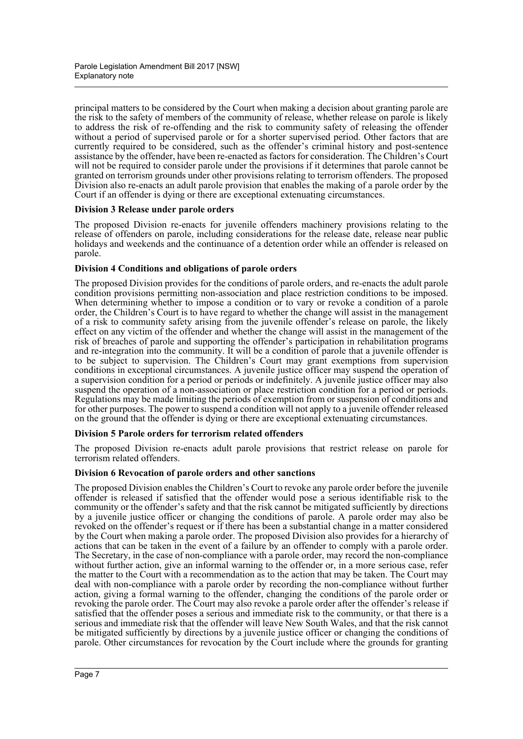principal matters to be considered by the Court when making a decision about granting parole are the risk to the safety of members of the community of release, whether release on parole is likely to address the risk of re-offending and the risk to community safety of releasing the offender without a period of supervised parole or for a shorter supervised period. Other factors that are currently required to be considered, such as the offender's criminal history and post-sentence assistance by the offender, have been re-enacted as factors for consideration. The Children's Court will not be required to consider parole under the provisions if it determines that parole cannot be granted on terrorism grounds under other provisions relating to terrorism offenders. The proposed Division also re-enacts an adult parole provision that enables the making of a parole order by the Court if an offender is dying or there are exceptional extenuating circumstances.

#### **Division 3 Release under parole orders**

The proposed Division re-enacts for juvenile offenders machinery provisions relating to the release of offenders on parole, including considerations for the release date, release near public holidays and weekends and the continuance of a detention order while an offender is released on parole.

#### **Division 4 Conditions and obligations of parole orders**

The proposed Division provides for the conditions of parole orders, and re-enacts the adult parole condition provisions permitting non-association and place restriction conditions to be imposed. When determining whether to impose a condition or to vary or revoke a condition of a parole order, the Children's Court is to have regard to whether the change will assist in the management of a risk to community safety arising from the juvenile offender's release on parole, the likely effect on any victim of the offender and whether the change will assist in the management of the risk of breaches of parole and supporting the offender's participation in rehabilitation programs and re-integration into the community. It will be a condition of parole that a juvenile offender is to be subject to supervision. The Children's Court may grant exemptions from supervision conditions in exceptional circumstances. A juvenile justice officer may suspend the operation of a supervision condition for a period or periods or indefinitely. A juvenile justice officer may also suspend the operation of a non-association or place restriction condition for a period or periods. Regulations may be made limiting the periods of exemption from or suspension of conditions and for other purposes. The power to suspend a condition will not apply to a juvenile offender released on the ground that the offender is dying or there are exceptional extenuating circumstances.

#### **Division 5 Parole orders for terrorism related offenders**

The proposed Division re-enacts adult parole provisions that restrict release on parole for terrorism related offenders.

#### **Division 6 Revocation of parole orders and other sanctions**

The proposed Division enables the Children's Court to revoke any parole order before the juvenile offender is released if satisfied that the offender would pose a serious identifiable risk to the community or the offender's safety and that the risk cannot be mitigated sufficiently by directions by a juvenile justice officer or changing the conditions of parole. A parole order may also be revoked on the offender's request or if there has been a substantial change in a matter considered by the Court when making a parole order. The proposed Division also provides for a hierarchy of actions that can be taken in the event of a failure by an offender to comply with a parole order. The Secretary, in the case of non-compliance with a parole order, may record the non-compliance without further action, give an informal warning to the offender or, in a more serious case, refer the matter to the Court with a recommendation as to the action that may be taken. The Court may deal with non-compliance with a parole order by recording the non-compliance without further action, giving a formal warning to the offender, changing the conditions of the parole order or revoking the parole order. The Court may also revoke a parole order after the offender's release if satisfied that the offender poses a serious and immediate risk to the community, or that there is a serious and immediate risk that the offender will leave New South Wales, and that the risk cannot be mitigated sufficiently by directions by a juvenile justice officer or changing the conditions of parole. Other circumstances for revocation by the Court include where the grounds for granting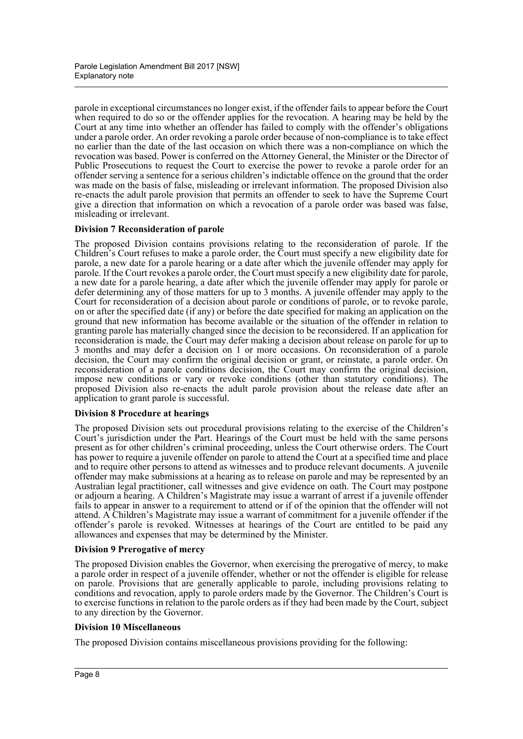parole in exceptional circumstances no longer exist, if the offender fails to appear before the Court when required to do so or the offender applies for the revocation. A hearing may be held by the Court at any time into whether an offender has failed to comply with the offender's obligations under a parole order. An order revoking a parole order because of non-compliance is to take effect no earlier than the date of the last occasion on which there was a non-compliance on which the revocation was based. Power is conferred on the Attorney General, the Minister or the Director of Public Prosecutions to request the Court to exercise the power to revoke a parole order for an offender serving a sentence for a serious children's indictable offence on the ground that the order was made on the basis of false, misleading or irrelevant information. The proposed Division also re-enacts the adult parole provision that permits an offender to seek to have the Supreme Court give a direction that information on which a revocation of a parole order was based was false, misleading or irrelevant.

#### **Division 7 Reconsideration of parole**

The proposed Division contains provisions relating to the reconsideration of parole. If the Children's Court refuses to make a parole order, the Court must specify a new eligibility date for parole, a new date for a parole hearing or a date after which the juvenile offender may apply for parole. If the Court revokes a parole order, the Court must specify a new eligibility date for parole, a new date for a parole hearing, a date after which the juvenile offender may apply for parole or defer determining any of those matters for up to 3 months. A juvenile offender may apply to the Court for reconsideration of a decision about parole or conditions of parole, or to revoke parole, on or after the specified date (if any) or before the date specified for making an application on the ground that new information has become available or the situation of the offender in relation to granting parole has materially changed since the decision to be reconsidered. If an application for reconsideration is made, the Court may defer making a decision about release on parole for up to 3 months and may defer a decision on 1 or more occasions. On reconsideration of a parole decision, the Court may confirm the original decision or grant, or reinstate, a parole order. On reconsideration of a parole conditions decision, the Court may confirm the original decision, impose new conditions or vary or revoke conditions (other than statutory conditions). The proposed Division also re-enacts the adult parole provision about the release date after an application to grant parole is successful.

#### **Division 8 Procedure at hearings**

The proposed Division sets out procedural provisions relating to the exercise of the Children's Court's jurisdiction under the Part. Hearings of the Court must be held with the same persons present as for other children's criminal proceeding, unless the Court otherwise orders. The Court has power to require a juvenile offender on parole to attend the Court at a specified time and place and to require other persons to attend as witnesses and to produce relevant documents. A juvenile offender may make submissions at a hearing as to release on parole and may be represented by an Australian legal practitioner, call witnesses and give evidence on oath. The Court may postpone or adjourn a hearing. A Children's Magistrate may issue a warrant of arrest if a juvenile offender fails to appear in answer to a requirement to attend or if of the opinion that the offender will not attend. A Children's Magistrate may issue a warrant of commitment for a juvenile offender if the offender's parole is revoked. Witnesses at hearings of the Court are entitled to be paid any allowances and expenses that may be determined by the Minister.

#### **Division 9 Prerogative of mercy**

The proposed Division enables the Governor, when exercising the prerogative of mercy, to make a parole order in respect of a juvenile offender, whether or not the offender is eligible for release on parole. Provisions that are generally applicable to parole, including provisions relating to conditions and revocation, apply to parole orders made by the Governor. The Children's Court is to exercise functions in relation to the parole orders as if they had been made by the Court, subject to any direction by the Governor.

#### **Division 10 Miscellaneous**

The proposed Division contains miscellaneous provisions providing for the following: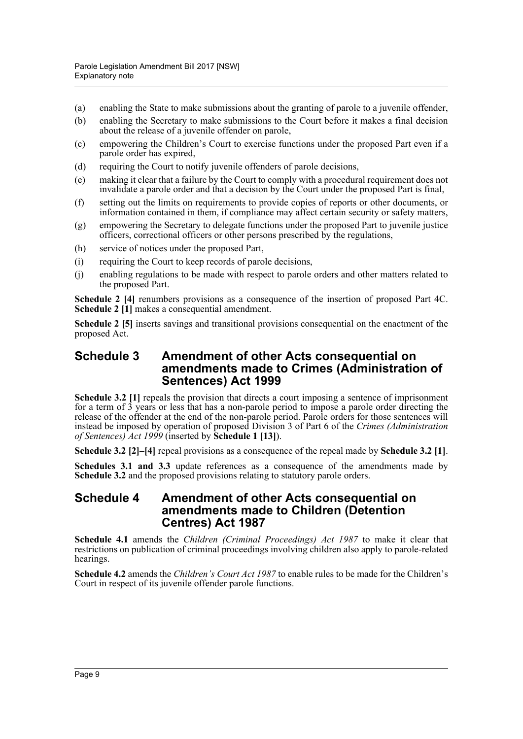- (a) enabling the State to make submissions about the granting of parole to a juvenile offender,
- (b) enabling the Secretary to make submissions to the Court before it makes a final decision about the release of a juvenile offender on parole,
- (c) empowering the Children's Court to exercise functions under the proposed Part even if a parole order has expired,
- (d) requiring the Court to notify juvenile offenders of parole decisions,
- (e) making it clear that a failure by the Court to comply with a procedural requirement does not invalidate a parole order and that a decision by the Court under the proposed Part is final,
- (f) setting out the limits on requirements to provide copies of reports or other documents, or information contained in them, if compliance may affect certain security or safety matters,
- (g) empowering the Secretary to delegate functions under the proposed Part to juvenile justice officers, correctional officers or other persons prescribed by the regulations,
- (h) service of notices under the proposed Part,
- (i) requiring the Court to keep records of parole decisions,
- (j) enabling regulations to be made with respect to parole orders and other matters related to the proposed Part.

**Schedule 2 [4]** renumbers provisions as a consequence of the insertion of proposed Part 4C. **Schedule 2 [1]** makes a consequential amendment.

**Schedule 2** [5] inserts savings and transitional provisions consequential on the enactment of the proposed Act.

## **Schedule 3 Amendment of other Acts consequential on amendments made to Crimes (Administration of Sentences) Act 1999**

**Schedule 3.2 [1]** repeals the provision that directs a court imposing a sentence of imprisonment for a term of 3 years or less that has a non-parole period to impose a parole order directing the release of the offender at the end of the non-parole period. Parole orders for those sentences will instead be imposed by operation of proposed Division 3 of Part 6 of the *Crimes (Administration of Sentences) Act 1999* (inserted by **Schedule 1 [13]**).

**Schedule 3.2 [2]–[4]** repeal provisions as a consequence of the repeal made by **Schedule 3.2 [1]**.

**Schedules 3.1 and 3.3** update references as a consequence of the amendments made by **Schedule 3.2** and the proposed provisions relating to statutory parole orders.

## **Schedule 4 Amendment of other Acts consequential on amendments made to Children (Detention Centres) Act 1987**

**Schedule 4.1** amends the *Children (Criminal Proceedings) Act 1987* to make it clear that restrictions on publication of criminal proceedings involving children also apply to parole-related hearings.

**Schedule 4.2** amends the *Children's Court Act 1987* to enable rules to be made for the Children's Court in respect of its juvenile offender parole functions.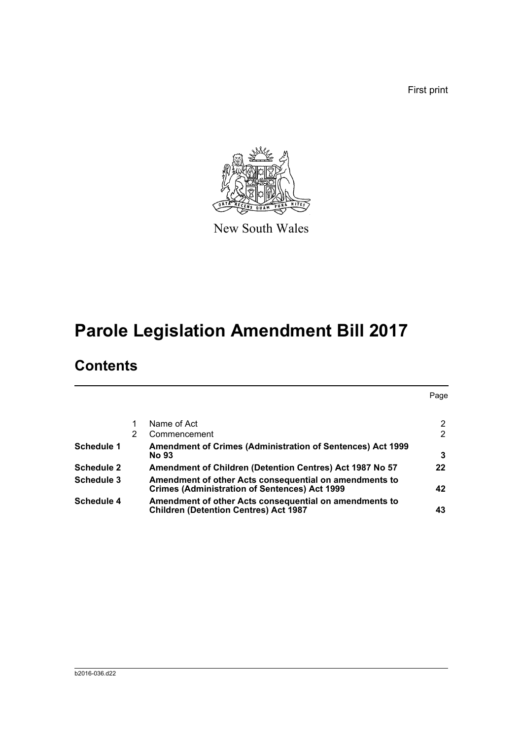First print



New South Wales

# **Parole Legislation Amendment Bill 2017**

# **Contents**

|                   |   |                                                                                                                | Page            |
|-------------------|---|----------------------------------------------------------------------------------------------------------------|-----------------|
|                   |   | Name of Act                                                                                                    | 2               |
|                   | 2 | Commencement                                                                                                   | $\overline{2}$  |
| <b>Schedule 1</b> |   | Amendment of Crimes (Administration of Sentences) Act 1999                                                     |                 |
|                   |   | <b>No 93</b>                                                                                                   | 3               |
| <b>Schedule 2</b> |   | Amendment of Children (Detention Centres) Act 1987 No 57                                                       | 22 <sub>2</sub> |
| Schedule 3        |   | Amendment of other Acts consequential on amendments to<br><b>Crimes (Administration of Sentences) Act 1999</b> | 42              |
| <b>Schedule 4</b> |   | Amendment of other Acts consequential on amendments to<br><b>Children (Detention Centres) Act 1987</b>         | 43              |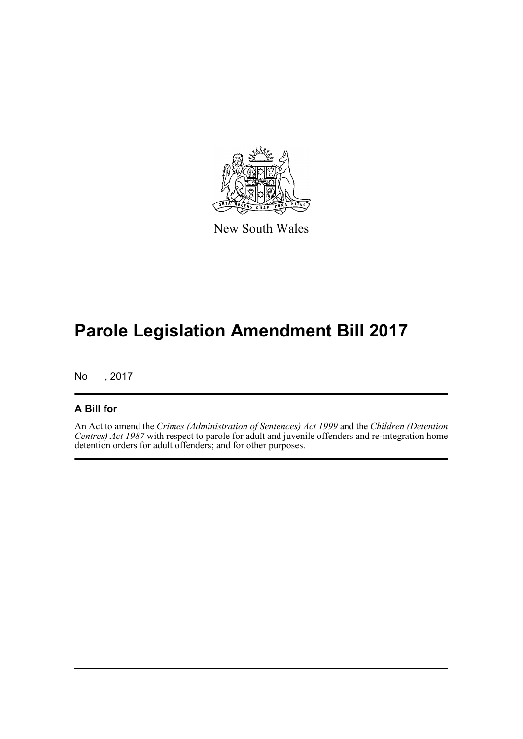

New South Wales

# **Parole Legislation Amendment Bill 2017**

No , 2017

# **A Bill for**

An Act to amend the *Crimes (Administration of Sentences) Act 1999* and the *Children (Detention Centres) Act 1987* with respect to parole for adult and juvenile offenders and re-integration home detention orders for adult offenders; and for other purposes.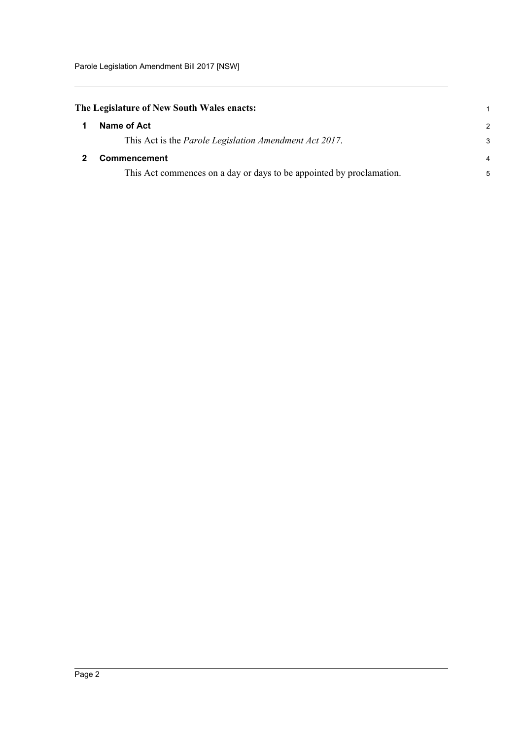# <span id="page-11-0"></span>**The Legislature of New South Wales enacts:**

<span id="page-11-1"></span>

| Name of Act                                                          | $\mathcal{P}$  |
|----------------------------------------------------------------------|----------------|
| This Act is the <i>Parole Legislation Amendment Act 2017</i> .       | 3              |
| <b>Commencement</b>                                                  | $\overline{4}$ |
| This Act commences on a day or days to be appointed by proclamation. | 5              |

1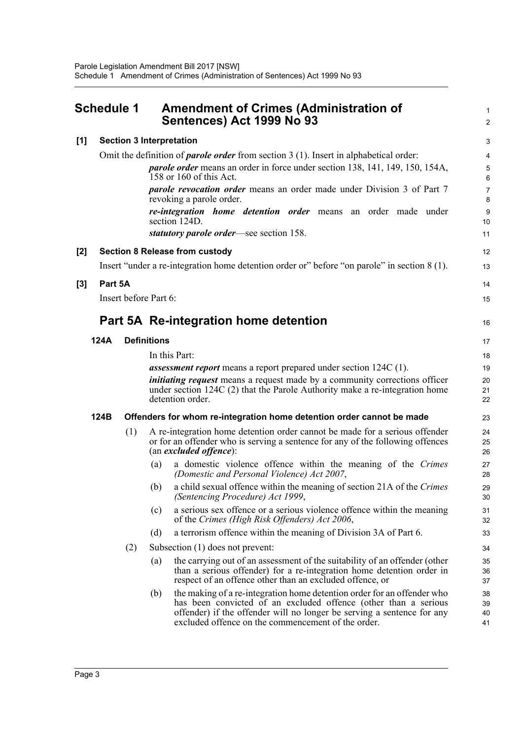<span id="page-12-0"></span>

| Schedule 1 |         |                       |                    | <b>Amendment of Crimes (Administration of</b><br>Sentences) Act 1999 No 93                                                                                                                                                                                                 |                      |  |
|------------|---------|-----------------------|--------------------|----------------------------------------------------------------------------------------------------------------------------------------------------------------------------------------------------------------------------------------------------------------------------|----------------------|--|
| [1]        |         |                       |                    | <b>Section 3 Interpretation</b>                                                                                                                                                                                                                                            | 3                    |  |
|            |         |                       |                    | Omit the definition of <i>parole order</i> from section $3(1)$ . Insert in alphabetical order:                                                                                                                                                                             | $\overline{4}$       |  |
|            |         |                       |                    | <i>parole order</i> means an order in force under section 138, 141, 149, 150, 154A,<br>158 or 160 of this Act.                                                                                                                                                             | $\,$ 5 $\,$<br>6     |  |
|            |         |                       |                    | <i>parole revocation order</i> means an order made under Division 3 of Part 7<br>revoking a parole order.                                                                                                                                                                  | $\overline{7}$<br>8  |  |
|            |         |                       |                    | <i>re-integration home detention order</i> means an order made under<br>section 124D.                                                                                                                                                                                      | 9<br>10              |  |
|            |         |                       |                    | statutory parole order—see section 158.                                                                                                                                                                                                                                    | 11                   |  |
| [2]        |         |                       |                    | <b>Section 8 Release from custody</b>                                                                                                                                                                                                                                      | 12                   |  |
|            |         |                       |                    | Insert "under a re-integration home detention order or" before "on parole" in section 8 (1).                                                                                                                                                                               | 13                   |  |
| [3]        | Part 5A |                       |                    |                                                                                                                                                                                                                                                                            | 14                   |  |
|            |         | Insert before Part 6: |                    |                                                                                                                                                                                                                                                                            | 15                   |  |
|            |         |                       |                    | Part 5A Re-integration home detention                                                                                                                                                                                                                                      | 16                   |  |
|            | 124A    |                       | <b>Definitions</b> |                                                                                                                                                                                                                                                                            | 17                   |  |
|            |         |                       |                    | In this Part:                                                                                                                                                                                                                                                              | 18                   |  |
|            |         |                       |                    | <b>assessment report</b> means a report prepared under section 124C (1).                                                                                                                                                                                                   | 19                   |  |
|            |         |                       |                    | <i>initiating request</i> means a request made by a community corrections officer<br>under section 124C (2) that the Parole Authority make a re-integration home<br>detention order.                                                                                       | 20<br>21<br>22       |  |
|            | 124B    |                       |                    | Offenders for whom re-integration home detention order cannot be made                                                                                                                                                                                                      | 23                   |  |
|            |         | (1)                   |                    | A re-integration home detention order cannot be made for a serious offender<br>or for an offender who is serving a sentence for any of the following offences<br>(an excluded offence):                                                                                    | 24<br>25<br>26       |  |
|            |         |                       | (a)                | a domestic violence offence within the meaning of the Crimes<br>(Domestic and Personal Violence) Act 2007,                                                                                                                                                                 | 27<br>28             |  |
|            |         |                       | (b)                | a child sexual offence within the meaning of section 21A of the Crimes<br>(Sentencing Procedure) Act 1999,                                                                                                                                                                 | 29<br>30             |  |
|            |         |                       | (c)                | a serious sex offence or a serious violence offence within the meaning<br>of the Crimes (High Risk Offenders) Act 2006,                                                                                                                                                    | 31<br>32             |  |
|            |         |                       | (d)                | a terrorism offence within the meaning of Division 3A of Part 6.                                                                                                                                                                                                           | 33                   |  |
|            |         | (2)                   |                    | Subsection (1) does not prevent:                                                                                                                                                                                                                                           | 34                   |  |
|            |         |                       | (a)                | the carrying out of an assessment of the suitability of an offender (other<br>than a serious offender) for a re-integration home detention order in<br>respect of an offence other than an excluded offence, or                                                            | 35<br>36<br>37       |  |
|            |         |                       | (b)                | the making of a re-integration home detention order for an offender who<br>has been convicted of an excluded offence (other than a serious<br>offender) if the offender will no longer be serving a sentence for any<br>excluded offence on the commencement of the order. | 38<br>39<br>40<br>41 |  |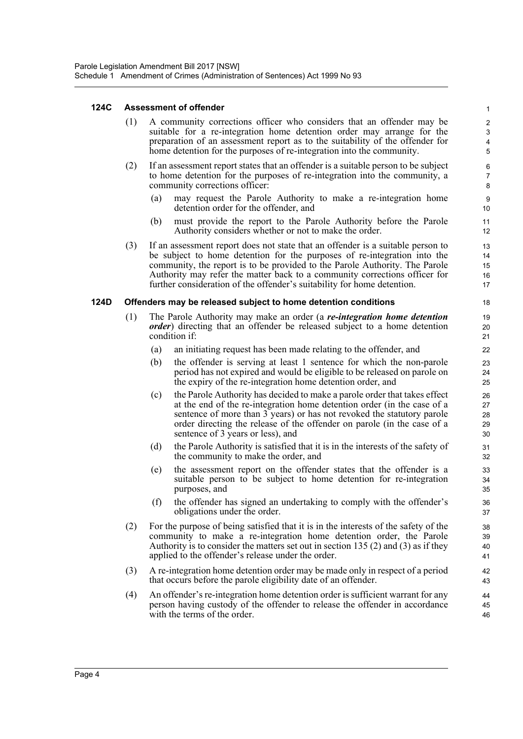#### **124C Assessment of offender**

(1) A community corrections officer who considers that an offender may be suitable for a re-integration home detention order may arrange for the preparation of an assessment report as to the suitability of the offender for home detention for the purposes of re-integration into the community.

- (2) If an assessment report states that an offender is a suitable person to be subject to home detention for the purposes of re-integration into the community, a community corrections officer:
	- (a) may request the Parole Authority to make a re-integration home detention order for the offender, and
	- (b) must provide the report to the Parole Authority before the Parole Authority considers whether or not to make the order.
- (3) If an assessment report does not state that an offender is a suitable person to be subject to home detention for the purposes of re-integration into the community, the report is to be provided to the Parole Authority. The Parole Authority may refer the matter back to a community corrections officer for further consideration of the offender's suitability for home detention.

#### **124D Offenders may be released subject to home detention conditions**

- (1) The Parole Authority may make an order (a *re-integration home detention order*) directing that an offender be released subject to a home detention condition if:
	- (a) an initiating request has been made relating to the offender, and
	- (b) the offender is serving at least 1 sentence for which the non-parole period has not expired and would be eligible to be released on parole on the expiry of the re-integration home detention order, and
	- (c) the Parole Authority has decided to make a parole order that takes effect at the end of the re-integration home detention order (in the case of a sentence of more than 3 years) or has not revoked the statutory parole order directing the release of the offender on parole (in the case of a sentence of 3 years or less), and
	- (d) the Parole Authority is satisfied that it is in the interests of the safety of the community to make the order, and
	- (e) the assessment report on the offender states that the offender is a suitable person to be subject to home detention for re-integration purposes, and
	- (f) the offender has signed an undertaking to comply with the offender's obligations under the order.
- (2) For the purpose of being satisfied that it is in the interests of the safety of the community to make a re-integration home detention order, the Parole Authority is to consider the matters set out in section 135 (2) and (3) as if they applied to the offender's release under the order.
- (3) A re-integration home detention order may be made only in respect of a period that occurs before the parole eligibility date of an offender.
- (4) An offender's re-integration home detention order is sufficient warrant for any person having custody of the offender to release the offender in accordance with the terms of the order.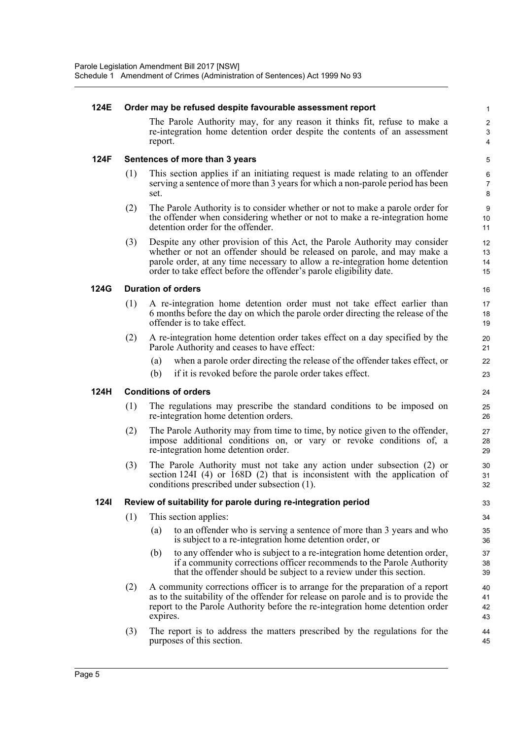#### **124E Order may be refused despite favourable assessment report**

The Parole Authority may, for any reason it thinks fit, refuse to make a re-integration home detention order despite the contents of an assessment report.

#### **124F Sentences of more than 3 years**

- (1) This section applies if an initiating request is made relating to an offender serving a sentence of more than 3 years for which a non-parole period has been set.
- (2) The Parole Authority is to consider whether or not to make a parole order for the offender when considering whether or not to make a re-integration home detention order for the offender.
- (3) Despite any other provision of this Act, the Parole Authority may consider whether or not an offender should be released on parole, and may make a parole order, at any time necessary to allow a re-integration home detention order to take effect before the offender's parole eligibility date.

#### **124G Duration of orders**

- (1) A re-integration home detention order must not take effect earlier than 6 months before the day on which the parole order directing the release of the offender is to take effect.
- (2) A re-integration home detention order takes effect on a day specified by the Parole Authority and ceases to have effect:
	- (a) when a parole order directing the release of the offender takes effect, or
	- (b) if it is revoked before the parole order takes effect.

#### **124H Conditions of orders**

- (1) The regulations may prescribe the standard conditions to be imposed on re-integration home detention orders.
- (2) The Parole Authority may from time to time, by notice given to the offender, impose additional conditions on, or vary or revoke conditions of, a re-integration home detention order.
- (3) The Parole Authority must not take any action under subsection (2) or section 124I (4) or 168D (2) that is inconsistent with the application of conditions prescribed under subsection (1).

#### **124I Review of suitability for parole during re-integration period**

- (1) This section applies:
	- (a) to an offender who is serving a sentence of more than 3 years and who is subject to a re-integration home detention order, or
	- (b) to any offender who is subject to a re-integration home detention order, if a community corrections officer recommends to the Parole Authority that the offender should be subject to a review under this section.
- (2) A community corrections officer is to arrange for the preparation of a report as to the suitability of the offender for release on parole and is to provide the report to the Parole Authority before the re-integration home detention order expires.
- (3) The report is to address the matters prescribed by the regulations for the purposes of this section.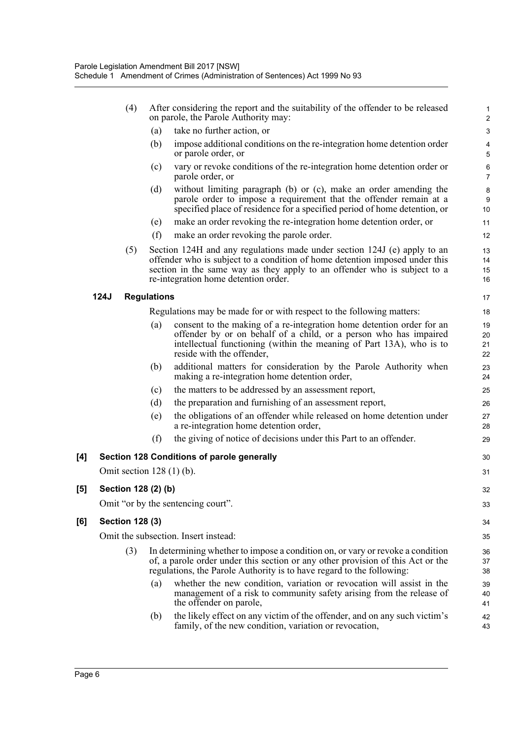|      |     | (a) |                                                                                                                                                                                                                                                 |                                                                                                                                                                                                                                                                                                                                                                                                                                                                                                                                                                                                                                                                                                                                                                                                           |
|------|-----|-----|-------------------------------------------------------------------------------------------------------------------------------------------------------------------------------------------------------------------------------------------------|-----------------------------------------------------------------------------------------------------------------------------------------------------------------------------------------------------------------------------------------------------------------------------------------------------------------------------------------------------------------------------------------------------------------------------------------------------------------------------------------------------------------------------------------------------------------------------------------------------------------------------------------------------------------------------------------------------------------------------------------------------------------------------------------------------------|
|      |     |     | take no further action, or                                                                                                                                                                                                                      | 3                                                                                                                                                                                                                                                                                                                                                                                                                                                                                                                                                                                                                                                                                                                                                                                                         |
|      |     | (b) | impose additional conditions on the re-integration home detention order<br>or parole order, or                                                                                                                                                  | $\overline{\mathbf{4}}$<br>5                                                                                                                                                                                                                                                                                                                                                                                                                                                                                                                                                                                                                                                                                                                                                                              |
|      |     | (c) | vary or revoke conditions of the re-integration home detention order or<br>parole order, or                                                                                                                                                     | 6<br>$\overline{7}$                                                                                                                                                                                                                                                                                                                                                                                                                                                                                                                                                                                                                                                                                                                                                                                       |
|      |     | (d) | without limiting paragraph (b) or (c), make an order amending the<br>parole order to impose a requirement that the offender remain at a<br>specified place of residence for a specified period of home detention, or                            | 8<br>9<br>10                                                                                                                                                                                                                                                                                                                                                                                                                                                                                                                                                                                                                                                                                                                                                                                              |
|      |     | (e) | make an order revoking the re-integration home detention order, or                                                                                                                                                                              | 11                                                                                                                                                                                                                                                                                                                                                                                                                                                                                                                                                                                                                                                                                                                                                                                                        |
|      |     | (f) | make an order revoking the parole order.                                                                                                                                                                                                        | 12                                                                                                                                                                                                                                                                                                                                                                                                                                                                                                                                                                                                                                                                                                                                                                                                        |
|      | (5) |     |                                                                                                                                                                                                                                                 | 13<br>14<br>15<br>16                                                                                                                                                                                                                                                                                                                                                                                                                                                                                                                                                                                                                                                                                                                                                                                      |
| 124J |     |     |                                                                                                                                                                                                                                                 | 17                                                                                                                                                                                                                                                                                                                                                                                                                                                                                                                                                                                                                                                                                                                                                                                                        |
|      |     |     |                                                                                                                                                                                                                                                 | 18                                                                                                                                                                                                                                                                                                                                                                                                                                                                                                                                                                                                                                                                                                                                                                                                        |
|      |     | (a) | consent to the making of a re-integration home detention order for an<br>offender by or on behalf of a child, or a person who has impaired<br>intellectual functioning (within the meaning of Part 13A), who is to<br>reside with the offender, | 19<br>20<br>21<br>22                                                                                                                                                                                                                                                                                                                                                                                                                                                                                                                                                                                                                                                                                                                                                                                      |
|      |     | (b) | additional matters for consideration by the Parole Authority when<br>making a re-integration home detention order,                                                                                                                              | 23<br>24                                                                                                                                                                                                                                                                                                                                                                                                                                                                                                                                                                                                                                                                                                                                                                                                  |
|      |     | (c) | the matters to be addressed by an assessment report,                                                                                                                                                                                            | 25                                                                                                                                                                                                                                                                                                                                                                                                                                                                                                                                                                                                                                                                                                                                                                                                        |
|      |     | (d) | the preparation and furnishing of an assessment report,                                                                                                                                                                                         | 26                                                                                                                                                                                                                                                                                                                                                                                                                                                                                                                                                                                                                                                                                                                                                                                                        |
|      |     | (e) | the obligations of an offender while released on home detention under<br>a re-integration home detention order,                                                                                                                                 | 27<br>28                                                                                                                                                                                                                                                                                                                                                                                                                                                                                                                                                                                                                                                                                                                                                                                                  |
|      |     | (f) | the giving of notice of decisions under this Part to an offender.                                                                                                                                                                               | 29                                                                                                                                                                                                                                                                                                                                                                                                                                                                                                                                                                                                                                                                                                                                                                                                        |
|      |     |     |                                                                                                                                                                                                                                                 | 30                                                                                                                                                                                                                                                                                                                                                                                                                                                                                                                                                                                                                                                                                                                                                                                                        |
|      |     |     |                                                                                                                                                                                                                                                 | 31                                                                                                                                                                                                                                                                                                                                                                                                                                                                                                                                                                                                                                                                                                                                                                                                        |
|      |     |     |                                                                                                                                                                                                                                                 | 32                                                                                                                                                                                                                                                                                                                                                                                                                                                                                                                                                                                                                                                                                                                                                                                                        |
|      |     |     |                                                                                                                                                                                                                                                 | 33                                                                                                                                                                                                                                                                                                                                                                                                                                                                                                                                                                                                                                                                                                                                                                                                        |
|      |     |     |                                                                                                                                                                                                                                                 | 34                                                                                                                                                                                                                                                                                                                                                                                                                                                                                                                                                                                                                                                                                                                                                                                                        |
|      |     |     |                                                                                                                                                                                                                                                 | 35                                                                                                                                                                                                                                                                                                                                                                                                                                                                                                                                                                                                                                                                                                                                                                                                        |
|      | (3) |     |                                                                                                                                                                                                                                                 | 36<br>37<br>38                                                                                                                                                                                                                                                                                                                                                                                                                                                                                                                                                                                                                                                                                                                                                                                            |
|      |     | (a) | whether the new condition, variation or revocation will assist in the<br>management of a risk to community safety arising from the release of<br>the offender on parole,                                                                        | 39<br>40<br>41                                                                                                                                                                                                                                                                                                                                                                                                                                                                                                                                                                                                                                                                                                                                                                                            |
|      |     | (b) | the likely effect on any victim of the offender, and on any such victim's<br>family, of the new condition, variation or revocation,                                                                                                             | 42<br>43                                                                                                                                                                                                                                                                                                                                                                                                                                                                                                                                                                                                                                                                                                                                                                                                  |
|      |     |     | <b>Section 128 (3)</b>                                                                                                                                                                                                                          | Section 124H and any regulations made under section 124J (e) apply to an<br>offender who is subject to a condition of home detention imposed under this<br>section in the same way as they apply to an offender who is subject to a<br>re-integration home detention order.<br><b>Regulations</b><br>Regulations may be made for or with respect to the following matters:<br>Section 128 Conditions of parole generally<br>Omit section $128(1)$ (b).<br>Section 128 (2) (b)<br>Omit "or by the sentencing court".<br>Omit the subsection. Insert instead:<br>In determining whether to impose a condition on, or vary or revoke a condition<br>of, a parole order under this section or any other provision of this Act or the<br>regulations, the Parole Authority is to have regard to the following: |

 $[5]$ 

**[6] Section 128 (3)**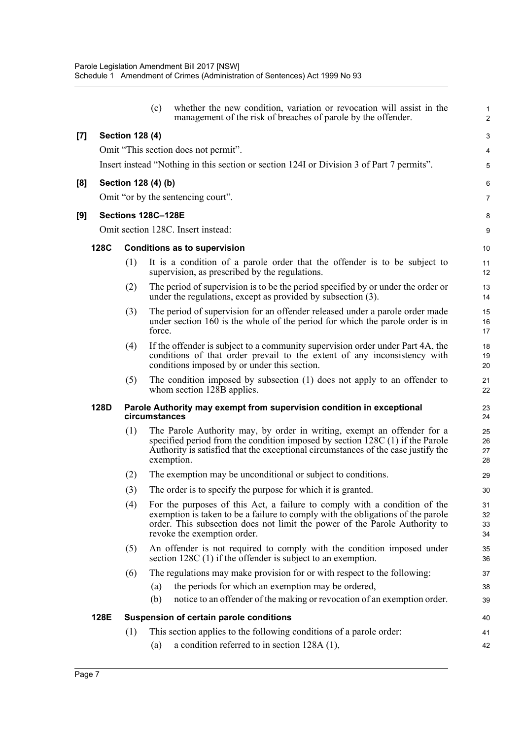|       |      |                        | (c)           | whether the new condition, variation or revocation will assist in the<br>management of the risk of breaches of parole by the offender.                                                                                                                                    | $\mathbf{1}$<br>$\overline{2}$ |
|-------|------|------------------------|---------------|---------------------------------------------------------------------------------------------------------------------------------------------------------------------------------------------------------------------------------------------------------------------------|--------------------------------|
| $[7]$ |      | <b>Section 128 (4)</b> |               |                                                                                                                                                                                                                                                                           | 3                              |
|       |      |                        |               | Omit "This section does not permit".                                                                                                                                                                                                                                      | $\overline{\mathbf{4}}$        |
|       |      |                        |               | Insert instead "Nothing in this section or section 1241 or Division 3 of Part 7 permits".                                                                                                                                                                                 | 5                              |
| [8]   |      | Section 128 (4) (b)    |               |                                                                                                                                                                                                                                                                           | 6                              |
|       |      |                        |               | Omit "or by the sentencing court".                                                                                                                                                                                                                                        | 7                              |
| [9]   |      | Sections 128C-128E     |               |                                                                                                                                                                                                                                                                           | 8                              |
|       |      |                        |               | Omit section 128C. Insert instead:                                                                                                                                                                                                                                        | 9                              |
|       | 128C |                        |               | <b>Conditions as to supervision</b>                                                                                                                                                                                                                                       | 10                             |
|       |      | (1)                    |               | It is a condition of a parole order that the offender is to be subject to<br>supervision, as prescribed by the regulations.                                                                                                                                               | 11<br>12                       |
|       |      | (2)                    |               | The period of supervision is to be the period specified by or under the order or<br>under the regulations, except as provided by subsection (3).                                                                                                                          | 13<br>14                       |
|       |      | (3)                    | force.        | The period of supervision for an offender released under a parole order made<br>under section $160$ is the whole of the period for which the parole order is in                                                                                                           | 15<br>16<br>17                 |
|       |      | (4)                    |               | If the offender is subject to a community supervision order under Part 4A, the<br>conditions of that order prevail to the extent of any inconsistency with<br>conditions imposed by or under this section.                                                                | 18<br>19<br>20                 |
|       |      | (5)                    |               | The condition imposed by subsection (1) does not apply to an offender to<br>whom section 128B applies.                                                                                                                                                                    | 21<br>22                       |
|       | 128D |                        | circumstances | Parole Authority may exempt from supervision condition in exceptional                                                                                                                                                                                                     | 23<br>24                       |
|       |      | (1)                    |               | The Parole Authority may, by order in writing, exempt an offender for a<br>specified period from the condition imposed by section $128C(1)$ if the Parole<br>Authority is satisfied that the exceptional circumstances of the case justify the<br>exemption.              | 25<br>26<br>27<br>28           |
|       |      | (2)                    |               | The exemption may be unconditional or subject to conditions.                                                                                                                                                                                                              | 29                             |
|       |      | (3)                    |               | The order is to specify the purpose for which it is granted.                                                                                                                                                                                                              | $30\,$                         |
|       |      | (4)                    |               | For the purposes of this Act, a failure to comply with a condition of the<br>exemption is taken to be a failure to comply with the obligations of the parole<br>order. This subsection does not limit the power of the Parole Authority to<br>revoke the exemption order. | 31<br>32<br>33<br>34           |
|       |      | (5)                    |               | An offender is not required to comply with the condition imposed under<br>section $128C(1)$ if the offender is subject to an exemption.                                                                                                                                   | 35<br>36                       |
|       |      | (6)                    |               | The regulations may make provision for or with respect to the following:                                                                                                                                                                                                  | 37                             |
|       |      |                        | (a)           | the periods for which an exemption may be ordered,                                                                                                                                                                                                                        | 38                             |
|       |      |                        | (b)           | notice to an offender of the making or revocation of an exemption order.                                                                                                                                                                                                  | 39                             |
|       | 128E |                        |               | Suspension of certain parole conditions                                                                                                                                                                                                                                   | 40                             |
|       |      | (1)                    |               | This section applies to the following conditions of a parole order:                                                                                                                                                                                                       | 41                             |
|       |      |                        | (a)           | a condition referred to in section $128A(1)$ ,                                                                                                                                                                                                                            | 42                             |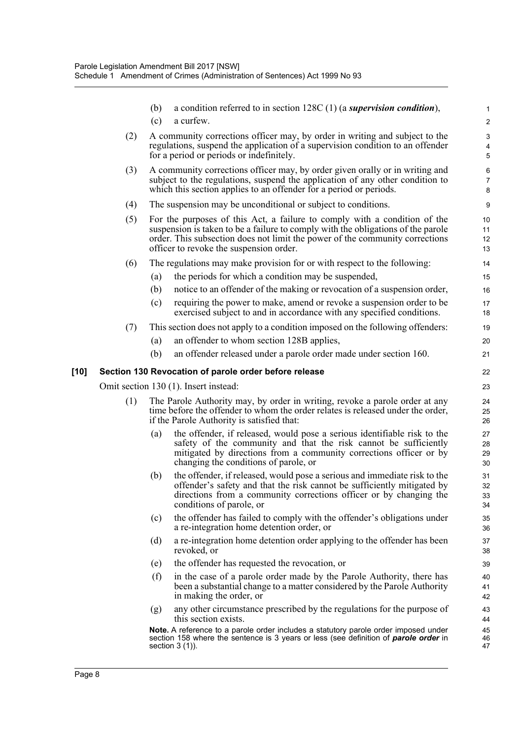|      |     | (b)<br>(c) | a condition referred to in section $128C(1)$ (a supervision condition),<br>a curfew.                                                                                                                                                                                                     | $\mathbf{1}$<br>$\boldsymbol{2}$      |
|------|-----|------------|------------------------------------------------------------------------------------------------------------------------------------------------------------------------------------------------------------------------------------------------------------------------------------------|---------------------------------------|
|      | (2) |            | A community corrections officer may, by order in writing and subject to the<br>regulations, suspend the application of a supervision condition to an offender                                                                                                                            | $\sqrt{3}$<br>$\overline{\mathbf{4}}$ |
|      | (3) |            | for a period or periods or indefinitely.<br>A community corrections officer may, by order given orally or in writing and<br>subject to the regulations, suspend the application of any other condition to<br>which this section applies to an offender for a period or periods.          | 5<br>6<br>$\overline{7}$<br>8         |
|      | (4) |            | The suspension may be unconditional or subject to conditions.                                                                                                                                                                                                                            | 9                                     |
|      | (5) |            | For the purposes of this Act, a failure to comply with a condition of the<br>suspension is taken to be a failure to comply with the obligations of the parole<br>order. This subsection does not limit the power of the community corrections<br>officer to revoke the suspension order. | 10<br>11<br>12<br>13                  |
|      | (6) |            | The regulations may make provision for or with respect to the following:                                                                                                                                                                                                                 | 14                                    |
|      |     | (a)        | the periods for which a condition may be suspended,                                                                                                                                                                                                                                      | 15                                    |
|      |     | (b)        | notice to an offender of the making or revocation of a suspension order,                                                                                                                                                                                                                 | 16                                    |
|      |     | (c)        | requiring the power to make, amend or revoke a suspension order to be<br>exercised subject to and in accordance with any specified conditions.                                                                                                                                           | 17<br>18                              |
|      | (7) |            | This section does not apply to a condition imposed on the following offenders:                                                                                                                                                                                                           | 19                                    |
|      |     | (a)        | an offender to whom section 128B applies,                                                                                                                                                                                                                                                | 20                                    |
|      |     | (b)        | an offender released under a parole order made under section 160.                                                                                                                                                                                                                        | 21                                    |
| [10] |     |            | Section 130 Revocation of parole order before release                                                                                                                                                                                                                                    | 22                                    |
|      |     |            | Omit section 130 (1). Insert instead:                                                                                                                                                                                                                                                    | 23                                    |
|      | (1) |            | The Parole Authority may, by order in writing, revoke a parole order at any<br>time before the offender to whom the order relates is released under the order,<br>if the Parole Authority is satisfied that:                                                                             | 24<br>25<br>26                        |
|      |     | (a)        | the offender, if released, would pose a serious identifiable risk to the<br>safety of the community and that the risk cannot be sufficiently<br>mitigated by directions from a community corrections officer or by<br>changing the conditions of parole, or                              | 27<br>28<br>29<br>30                  |
|      |     | (b)        | the offender, if released, would pose a serious and immediate risk to the<br>offender's safety and that the risk cannot be sufficiently mitigated by<br>directions from a community corrections officer or by changing the<br>conditions of parole, or                                   | 31<br>32<br>33<br>34                  |
|      |     | (c)        | the offender has failed to comply with the offender's obligations under<br>a re-integration home detention order, or                                                                                                                                                                     | 35<br>36                              |
|      |     | (d)        | a re-integration home detention order applying to the offender has been<br>revoked, or                                                                                                                                                                                                   | 37<br>38                              |
|      |     | (e)        | the offender has requested the revocation, or                                                                                                                                                                                                                                            | 39                                    |
|      |     | (f)        | in the case of a parole order made by the Parole Authority, there has<br>been a substantial change to a matter considered by the Parole Authority<br>in making the order, or                                                                                                             | 40<br>41<br>42                        |
|      |     | (g)        | any other circumstance prescribed by the regulations for the purpose of<br>this section exists.                                                                                                                                                                                          | 43<br>44                              |
|      |     |            | Note. A reference to a parole order includes a statutory parole order imposed under<br>section 158 where the sentence is 3 years or less (see definition of <b>parole order</b> in<br>section $3(1)$ ).                                                                                  | 45<br>46<br>47                        |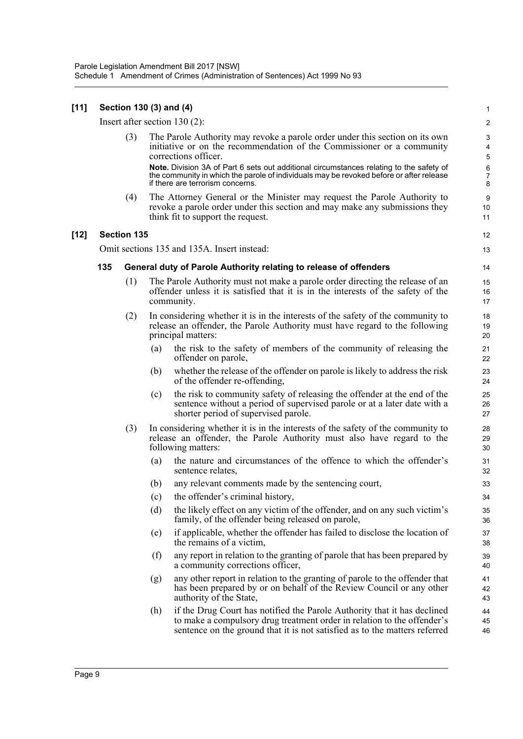#### **[11] Section 130 (3) and (4)**

Insert after section 130 (2):

(3) The Parole Authority may revoke a parole order under this section on its own initiative or on the recommendation of the Commissioner or a community corrections officer. **Note.** Division 3A of Part 6 sets out additional circumstances relating to the safety of the community in which the parole of individuals may be revoked before or after release if there are terrorism concerns.

(4) The Attorney General or the Minister may request the Parole Authority to revoke a parole order under this section and may make any submissions they think fit to support the request.

#### **[12] Section 135**

Omit sections 135 and 135A. Insert instead:

#### **135 General duty of Parole Authority relating to release of offenders**

- (1) The Parole Authority must not make a parole order directing the release of an offender unless it is satisfied that it is in the interests of the safety of the community.
- (2) In considering whether it is in the interests of the safety of the community to release an offender, the Parole Authority must have regard to the following principal matters:
	- (a) the risk to the safety of members of the community of releasing the offender on parole,
	- (b) whether the release of the offender on parole is likely to address the risk of the offender re-offending,
	- (c) the risk to community safety of releasing the offender at the end of the sentence without a period of supervised parole or at a later date with a shorter period of supervised parole.
- (3) In considering whether it is in the interests of the safety of the community to release an offender, the Parole Authority must also have regard to the following matters:
	- (a) the nature and circumstances of the offence to which the offender's sentence relates,
	- (b) any relevant comments made by the sentencing court,
	- (c) the offender's criminal history,
	- (d) the likely effect on any victim of the offender, and on any such victim's family, of the offender being released on parole,
	- (e) if applicable, whether the offender has failed to disclose the location of the remains of a victim,
	- (f) any report in relation to the granting of parole that has been prepared by a community corrections officer,
	- (g) any other report in relation to the granting of parole to the offender that has been prepared by or on behalf of the Review Council or any other authority of the State,
	- (h) if the Drug Court has notified the Parole Authority that it has declined to make a compulsory drug treatment order in relation to the offender's sentence on the ground that it is not satisfied as to the matters referred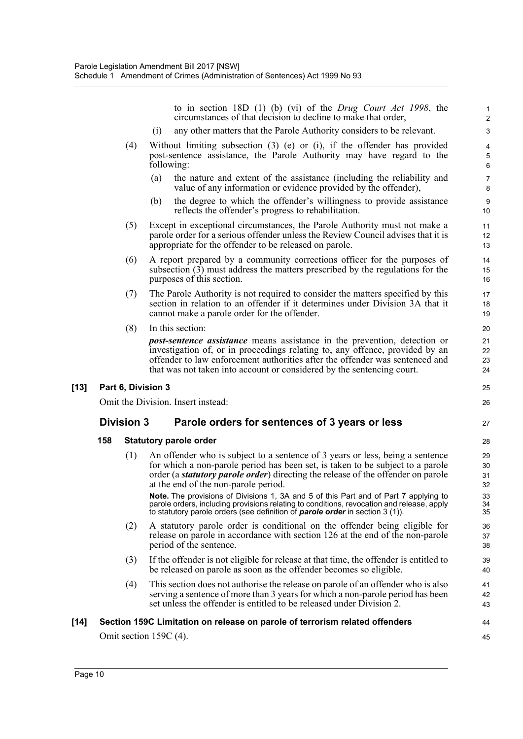to in section 18D (1) (b) (vi) of the *Drug Court Act 1998*, the circumstances of that decision to decline to make that order,

27

44 45

- (i) any other matters that the Parole Authority considers to be relevant.
- (4) Without limiting subsection (3) (e) or (i), if the offender has provided post-sentence assistance, the Parole Authority may have regard to the following:
	- (a) the nature and extent of the assistance (including the reliability and value of any information or evidence provided by the offender),
	- (b) the degree to which the offender's willingness to provide assistance reflects the offender's progress to rehabilitation.
- (5) Except in exceptional circumstances, the Parole Authority must not make a parole order for a serious offender unless the Review Council advises that it is appropriate for the offender to be released on parole.
- (6) A report prepared by a community corrections officer for the purposes of subsection (3) must address the matters prescribed by the regulations for the purposes of this section.
- (7) The Parole Authority is not required to consider the matters specified by this section in relation to an offender if it determines under Division 3A that it cannot make a parole order for the offender.
- (8) In this section:

*post-sentence assistance* means assistance in the prevention, detection or investigation of, or in proceedings relating to, any offence, provided by an offender to law enforcement authorities after the offender was sentenced and that was not taken into account or considered by the sentencing court.

#### **[13] Part 6, Division 3**

Omit the Division. Insert instead:

### **Division 3 Parole orders for sentences of 3 years or less**

#### **158 Statutory parole order**

(1) An offender who is subject to a sentence of 3 years or less, being a sentence for which a non-parole period has been set, is taken to be subject to a parole order (a *statutory parole order*) directing the release of the offender on parole at the end of the non-parole period. **Note.** The provisions of Divisions 1, 3A and 5 of this Part and of Part 7 applying to

parole orders, including provisions relating to conditions, revocation and release, apply to statutory parole orders (see definition of *parole order* in section 3 (1)).

- (2) A statutory parole order is conditional on the offender being eligible for release on parole in accordance with section 126 at the end of the non-parole period of the sentence.
- (3) If the offender is not eligible for release at that time, the offender is entitled to be released on parole as soon as the offender becomes so eligible.
- (4) This section does not authorise the release on parole of an offender who is also serving a sentence of more than 3 years for which a non-parole period has been set unless the offender is entitled to be released under Division 2.

#### **[14] Section 159C Limitation on release on parole of terrorism related offenders**

Omit section 159C (4).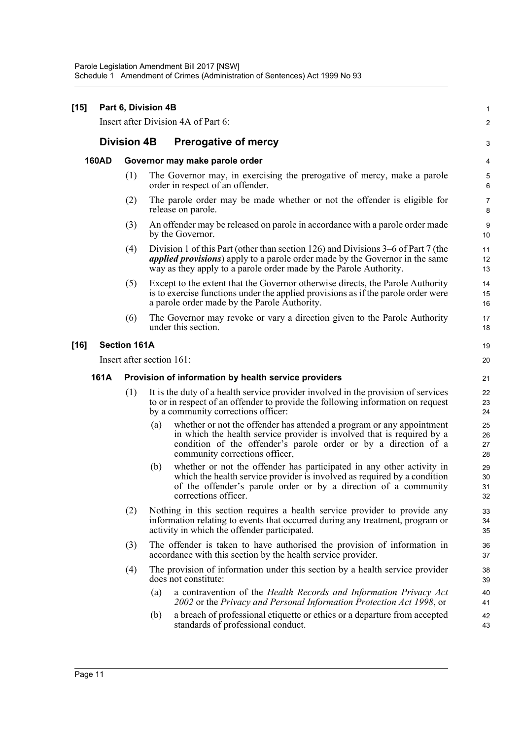#### **[15] Part 6, Division 4B**

Insert after Division 4A of Part 6:

### **Division 4B Prerogative of mercy**

#### **160AD Governor may make parole order**

(1) The Governor may, in exercising the prerogative of mercy, make a parole order in respect of an offender.

1  $\mathfrak{p}$ 

- (2) The parole order may be made whether or not the offender is eligible for release on parole.
- (3) An offender may be released on parole in accordance with a parole order made by the Governor.
- (4) Division 1 of this Part (other than section 126) and Divisions 3–6 of Part 7 (the *applied provisions*) apply to a parole order made by the Governor in the same way as they apply to a parole order made by the Parole Authority.
- (5) Except to the extent that the Governor otherwise directs, the Parole Authority is to exercise functions under the applied provisions as if the parole order were a parole order made by the Parole Authority.
- (6) The Governor may revoke or vary a direction given to the Parole Authority under this section.

#### **[16] Section 161A**

Insert after section 161:

#### **161A Provision of information by health service providers**

- (1) It is the duty of a health service provider involved in the provision of services to or in respect of an offender to provide the following information on request by a community corrections officer:
	- (a) whether or not the offender has attended a program or any appointment in which the health service provider is involved that is required by a condition of the offender's parole order or by a direction of a community corrections officer,
	- (b) whether or not the offender has participated in any other activity in which the health service provider is involved as required by a condition of the offender's parole order or by a direction of a community corrections officer.
- (2) Nothing in this section requires a health service provider to provide any information relating to events that occurred during any treatment, program or activity in which the offender participated.
- (3) The offender is taken to have authorised the provision of information in accordance with this section by the health service provider.
- (4) The provision of information under this section by a health service provider does not constitute:
	- (a) a contravention of the *Health Records and Information Privacy Act 2002* or the *Privacy and Personal Information Protection Act 1998*, or
	- (b) a breach of professional etiquette or ethics or a departure from accepted standards of professional conduct.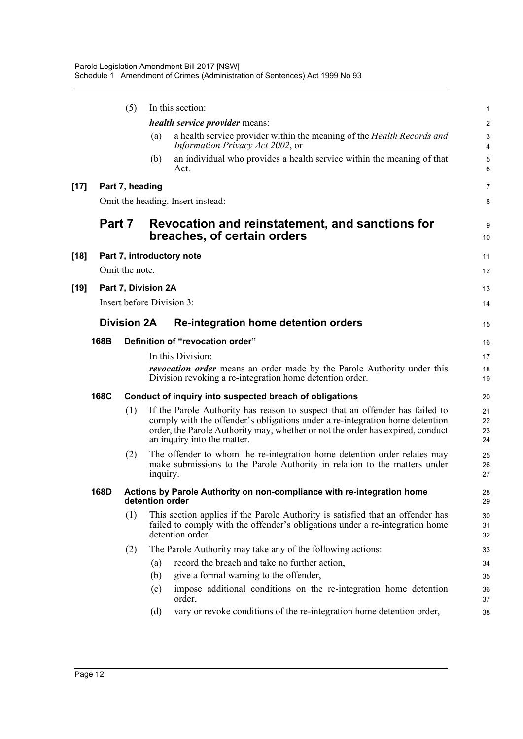|        |                | (5)                       |          | In this section:                                                                                                                                                                                                                                                              | 1                       |  |
|--------|----------------|---------------------------|----------|-------------------------------------------------------------------------------------------------------------------------------------------------------------------------------------------------------------------------------------------------------------------------------|-------------------------|--|
|        |                |                           |          | <i>health service provider means:</i>                                                                                                                                                                                                                                         | $\overline{\mathbf{c}}$ |  |
|        |                |                           | (a)      | a health service provider within the meaning of the Health Records and<br>Information Privacy Act 2002, or                                                                                                                                                                    | 3<br>$\overline{4}$     |  |
|        |                |                           | (b)      | an individual who provides a health service within the meaning of that<br>Act.                                                                                                                                                                                                | $\sqrt{5}$<br>6         |  |
| $[17]$ |                | Part 7, heading           |          |                                                                                                                                                                                                                                                                               | $\overline{7}$          |  |
|        |                |                           |          | Omit the heading. Insert instead:                                                                                                                                                                                                                                             | 8                       |  |
|        | Part 7         |                           |          | Revocation and reinstatement, and sanctions for<br>breaches, of certain orders                                                                                                                                                                                                | 9<br>10                 |  |
| [18]   |                |                           |          | Part 7, introductory note                                                                                                                                                                                                                                                     | 11                      |  |
|        | Omit the note. |                           |          |                                                                                                                                                                                                                                                                               |                         |  |
| [19]   |                | Part 7, Division 2A       |          |                                                                                                                                                                                                                                                                               | 13                      |  |
|        |                | Insert before Division 3: |          |                                                                                                                                                                                                                                                                               |                         |  |
|        |                | <b>Division 2A</b>        |          | Re-integration home detention orders                                                                                                                                                                                                                                          | 15                      |  |
|        | 168B           |                           |          | Definition of "revocation order"                                                                                                                                                                                                                                              | 16                      |  |
|        |                |                           |          | In this Division:                                                                                                                                                                                                                                                             | 17                      |  |
|        |                |                           |          | <i>revocation order</i> means an order made by the Parole Authority under this<br>Division revoking a re-integration home detention order.                                                                                                                                    | 18<br>19                |  |
|        | 168C           |                           |          | Conduct of inquiry into suspected breach of obligations                                                                                                                                                                                                                       | 20                      |  |
|        |                | (1)                       |          | If the Parole Authority has reason to suspect that an offender has failed to<br>comply with the offender's obligations under a re-integration home detention<br>order, the Parole Authority may, whether or not the order has expired, conduct<br>an inquiry into the matter. | 21<br>22<br>23<br>24    |  |
|        |                | (2)                       | inquiry. | The offender to whom the re-integration home detention order relates may<br>make submissions to the Parole Authority in relation to the matters under                                                                                                                         | 25<br>26<br>27          |  |
|        | 168D           |                           |          | Actions by Parole Authority on non-compliance with re-integration home<br>detention order                                                                                                                                                                                     | 28<br>29                |  |
|        |                | (1)                       |          | This section applies if the Parole Authority is satisfied that an offender has<br>failed to comply with the offender's obligations under a re-integration home<br>detention order.                                                                                            | 30<br>31<br>32          |  |
|        |                | (2)                       |          | The Parole Authority may take any of the following actions:                                                                                                                                                                                                                   | 33                      |  |
|        |                |                           | (a)      | record the breach and take no further action,                                                                                                                                                                                                                                 | 34                      |  |
|        |                |                           | (b)      | give a formal warning to the offender,                                                                                                                                                                                                                                        | 35                      |  |
|        |                |                           | (c)      | impose additional conditions on the re-integration home detention<br>order,                                                                                                                                                                                                   | 36<br>37                |  |
|        |                |                           | (d)      | vary or revoke conditions of the re-integration home detention order,                                                                                                                                                                                                         | 38                      |  |
|        |                |                           |          |                                                                                                                                                                                                                                                                               |                         |  |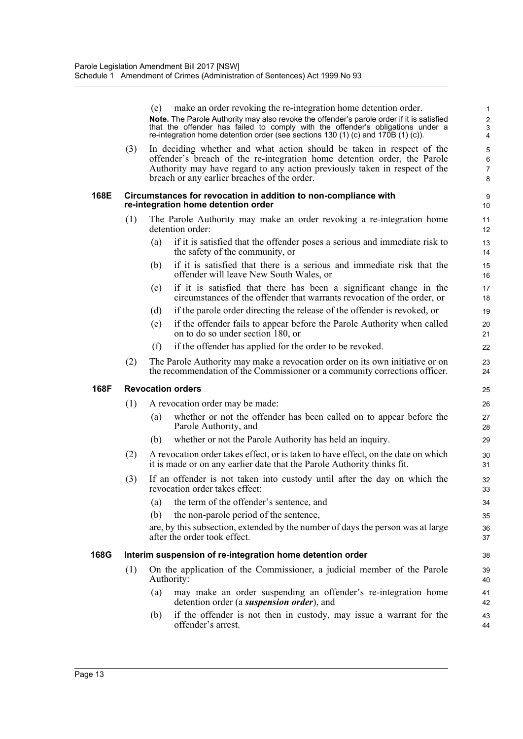|      |     | (e) | make an order revoking the re-integration home detention order.<br>Note. The Parole Authority may also revoke the offender's parole order if it is satisfied<br>that the offender has failed to comply with the offender's obligations under a                                  | 1<br>$\overline{\mathbf{c}}$<br>3 |
|------|-----|-----|---------------------------------------------------------------------------------------------------------------------------------------------------------------------------------------------------------------------------------------------------------------------------------|-----------------------------------|
|      |     |     | re-integration home detention order (see sections 130 (1) (c) and 170B (1) (c)).                                                                                                                                                                                                | 4                                 |
|      | (3) |     | In deciding whether and what action should be taken in respect of the<br>offender's breach of the re-integration home detention order, the Parole<br>Authority may have regard to any action previously taken in respect of the<br>breach or any earlier breaches of the order. | 5<br>6<br>7<br>8                  |
| 168E |     |     | Circumstances for revocation in addition to non-compliance with<br>re-integration home detention order                                                                                                                                                                          | 9<br>10                           |
|      | (1) |     | The Parole Authority may make an order revoking a re-integration home<br>detention order:                                                                                                                                                                                       | 11<br>12                          |
|      |     | (a) | if it is satisfied that the offender poses a serious and immediate risk to<br>the safety of the community, or                                                                                                                                                                   | 13<br>14                          |
|      |     | (b) | if it is satisfied that there is a serious and immediate risk that the<br>offender will leave New South Wales, or                                                                                                                                                               | 15<br>16                          |
|      |     | (c) | if it is satisfied that there has been a significant change in the<br>circumstances of the offender that warrants revocation of the order, or                                                                                                                                   | 17<br>18                          |
|      |     | (d) | if the parole order directing the release of the offender is revoked, or                                                                                                                                                                                                        | 19                                |
|      |     | (e) | if the offender fails to appear before the Parole Authority when called<br>on to do so under section 180, or                                                                                                                                                                    | 20<br>21                          |
|      |     | (f) | if the offender has applied for the order to be revoked.                                                                                                                                                                                                                        | 22                                |
|      | (2) |     | The Parole Authority may make a revocation order on its own initiative or on<br>the recommendation of the Commissioner or a community corrections officer.                                                                                                                      | 23<br>24                          |
| 168F |     |     | <b>Revocation orders</b>                                                                                                                                                                                                                                                        | 25                                |
|      | (1) |     | A revocation order may be made:                                                                                                                                                                                                                                                 | 26                                |
|      |     | (a) | whether or not the offender has been called on to appear before the<br>Parole Authority, and                                                                                                                                                                                    | 27<br>28                          |
|      |     | (b) | whether or not the Parole Authority has held an inquiry.                                                                                                                                                                                                                        | 29                                |
|      | (2) |     | A revocation order takes effect, or is taken to have effect, on the date on which<br>it is made or on any earlier date that the Parole Authority thinks fit.                                                                                                                    | 30<br>31                          |
|      | (3) |     | If an offender is not taken into custody until after the day on which the<br>revocation order takes effect:                                                                                                                                                                     | 32<br>33                          |
|      |     | (a) | the term of the offender's sentence, and                                                                                                                                                                                                                                        | 34                                |
|      |     | (b) | the non-parole period of the sentence,                                                                                                                                                                                                                                          | 35                                |
|      |     |     | are, by this subsection, extended by the number of days the person was at large<br>after the order took effect.                                                                                                                                                                 | 36<br>37                          |
| 168G |     |     | Interim suspension of re-integration home detention order                                                                                                                                                                                                                       | 38                                |
|      | (1) |     | On the application of the Commissioner, a judicial member of the Parole<br>Authority:                                                                                                                                                                                           | 39<br>40                          |
|      |     | (a) | may make an order suspending an offender's re-integration home<br>detention order (a <i>suspension order</i> ), and                                                                                                                                                             | 41<br>42                          |
|      |     | (b) | if the offender is not then in custody, may issue a warrant for the<br>offender's arrest.                                                                                                                                                                                       | 43<br>44                          |
|      |     |     |                                                                                                                                                                                                                                                                                 |                                   |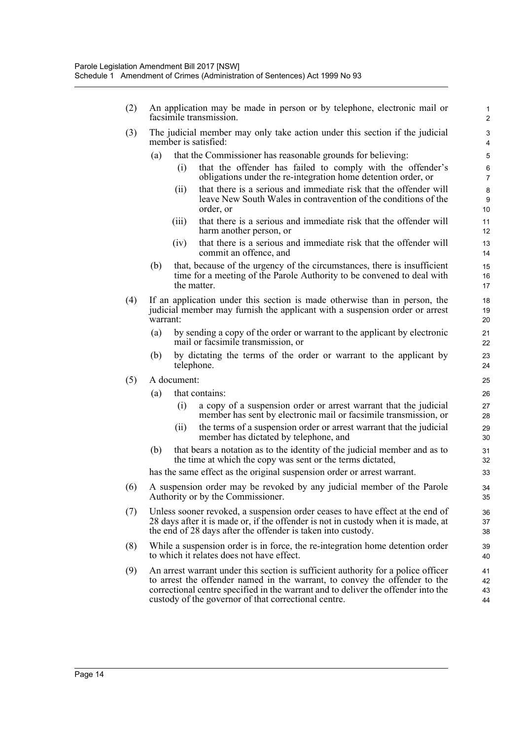- (2) An application may be made in person or by telephone, electronic mail or facsimile transmission.
- (3) The judicial member may only take action under this section if the judicial member is satisfied:
	- (a) that the Commissioner has reasonable grounds for believing:
		- (i) that the offender has failed to comply with the offender's obligations under the re-integration home detention order, or

- (ii) that there is a serious and immediate risk that the offender will leave New South Wales in contravention of the conditions of the order, or
- (iii) that there is a serious and immediate risk that the offender will harm another person, or
- (iv) that there is a serious and immediate risk that the offender will commit an offence, and
- (b) that, because of the urgency of the circumstances, there is insufficient time for a meeting of the Parole Authority to be convened to deal with the matter.
- (4) If an application under this section is made otherwise than in person, the judicial member may furnish the applicant with a suspension order or arrest warrant:
	- (a) by sending a copy of the order or warrant to the applicant by electronic mail or facsimile transmission, or
	- (b) by dictating the terms of the order or warrant to the applicant by telephone.
- (5) A document:
	- (a) that contains:
		- (i) a copy of a suspension order or arrest warrant that the judicial member has sent by electronic mail or facsimile transmission, or
		- (ii) the terms of a suspension order or arrest warrant that the judicial member has dictated by telephone, and
	- (b) that bears a notation as to the identity of the judicial member and as to the time at which the copy was sent or the terms dictated,

has the same effect as the original suspension order or arrest warrant.

- (6) A suspension order may be revoked by any judicial member of the Parole Authority or by the Commissioner.
- (7) Unless sooner revoked, a suspension order ceases to have effect at the end of 28 days after it is made or, if the offender is not in custody when it is made, at the end of 28 days after the offender is taken into custody.
- (8) While a suspension order is in force, the re-integration home detention order to which it relates does not have effect.
- (9) An arrest warrant under this section is sufficient authority for a police officer to arrest the offender named in the warrant, to convey the offender to the correctional centre specified in the warrant and to deliver the offender into the custody of the governor of that correctional centre.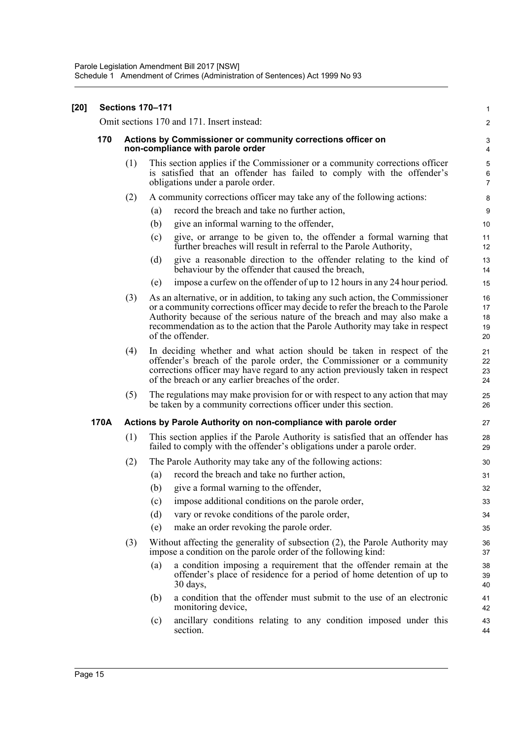| $[20]$ | <b>Sections 170-171</b> |     |     |                                                                                                                                                                                                                                                                                                                                                     |                                         |  |
|--------|-------------------------|-----|-----|-----------------------------------------------------------------------------------------------------------------------------------------------------------------------------------------------------------------------------------------------------------------------------------------------------------------------------------------------------|-----------------------------------------|--|
|        |                         |     |     | Omit sections 170 and 171. Insert instead:                                                                                                                                                                                                                                                                                                          | $\overline{c}$                          |  |
|        | 170                     |     |     | Actions by Commissioner or community corrections officer on<br>non-compliance with parole order                                                                                                                                                                                                                                                     | 3<br>4                                  |  |
|        |                         | (1) |     | This section applies if the Commissioner or a community corrections officer<br>is satisfied that an offender has failed to comply with the offender's<br>obligations under a parole order.                                                                                                                                                          | $\sqrt{5}$<br>$\,6\,$<br>$\overline{7}$ |  |
|        |                         | (2) |     | A community corrections officer may take any of the following actions:                                                                                                                                                                                                                                                                              | 8                                       |  |
|        |                         |     | (a) | record the breach and take no further action,                                                                                                                                                                                                                                                                                                       | 9                                       |  |
|        |                         |     | (b) | give an informal warning to the offender,                                                                                                                                                                                                                                                                                                           | 10                                      |  |
|        |                         |     | (c) | give, or arrange to be given to, the offender a formal warning that<br>further breaches will result in referral to the Parole Authority,                                                                                                                                                                                                            | 11<br>12                                |  |
|        |                         |     | (d) | give a reasonable direction to the offender relating to the kind of<br>behaviour by the offender that caused the breach,                                                                                                                                                                                                                            | 13<br>14                                |  |
|        |                         |     | (e) | impose a curfew on the offender of up to 12 hours in any 24 hour period.                                                                                                                                                                                                                                                                            | 15                                      |  |
|        |                         | (3) |     | As an alternative, or in addition, to taking any such action, the Commissioner<br>or a community corrections officer may decide to refer the breach to the Parole<br>Authority because of the serious nature of the breach and may also make a<br>recommendation as to the action that the Parole Authority may take in respect<br>of the offender. | 16<br>17<br>18<br>19<br>20              |  |
|        |                         | (4) |     | In deciding whether and what action should be taken in respect of the<br>offender's breach of the parole order, the Commissioner or a community<br>corrections officer may have regard to any action previously taken in respect<br>of the breach or any earlier breaches of the order.                                                             | 21<br>22<br>23<br>24                    |  |
|        |                         | (5) |     | The regulations may make provision for or with respect to any action that may<br>be taken by a community corrections officer under this section.                                                                                                                                                                                                    | 25<br>26                                |  |
|        | 170A                    |     |     | Actions by Parole Authority on non-compliance with parole order                                                                                                                                                                                                                                                                                     | 27                                      |  |
|        |                         | (1) |     | This section applies if the Parole Authority is satisfied that an offender has<br>failed to comply with the offender's obligations under a parole order.                                                                                                                                                                                            | 28<br>29                                |  |
|        |                         | (2) |     | The Parole Authority may take any of the following actions:                                                                                                                                                                                                                                                                                         | 30                                      |  |
|        |                         |     | (a) | record the breach and take no further action,                                                                                                                                                                                                                                                                                                       | 31                                      |  |
|        |                         |     | (b) | give a formal warning to the offender,                                                                                                                                                                                                                                                                                                              | 32                                      |  |
|        |                         |     | (c) | impose additional conditions on the parole order,                                                                                                                                                                                                                                                                                                   | 33                                      |  |
|        |                         |     | (d) | vary or revoke conditions of the parole order,                                                                                                                                                                                                                                                                                                      | 34                                      |  |
|        |                         |     | (e) | make an order revoking the parole order.                                                                                                                                                                                                                                                                                                            | 35                                      |  |
|        |                         | (3) |     | Without affecting the generality of subsection (2), the Parole Authority may<br>impose a condition on the parole order of the following kind:                                                                                                                                                                                                       | 36<br>37                                |  |
|        |                         |     | (a) | a condition imposing a requirement that the offender remain at the<br>offender's place of residence for a period of home detention of up to<br>$30$ days,                                                                                                                                                                                           | 38<br>39<br>40                          |  |
|        |                         |     | (b) | a condition that the offender must submit to the use of an electronic<br>monitoring device,                                                                                                                                                                                                                                                         | 41<br>42                                |  |
|        |                         |     | (c) | ancillary conditions relating to any condition imposed under this<br>section.                                                                                                                                                                                                                                                                       | 43<br>44                                |  |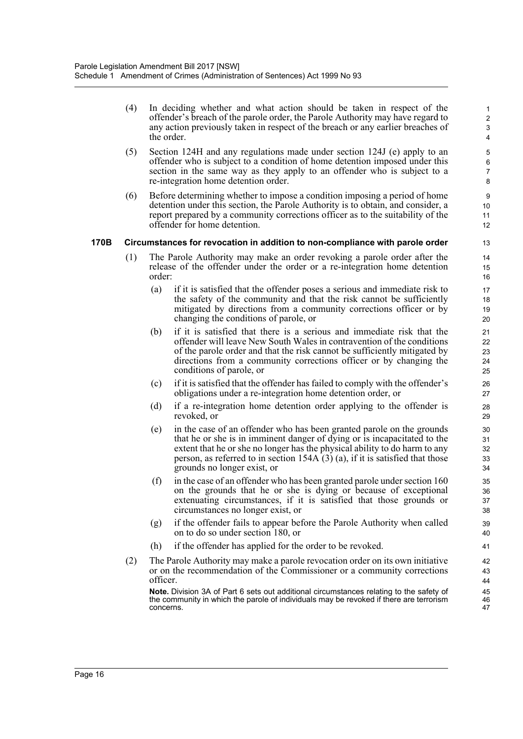(4) In deciding whether and what action should be taken in respect of the offender's breach of the parole order, the Parole Authority may have regard to any action previously taken in respect of the breach or any earlier breaches of the order.

- (5) Section 124H and any regulations made under section 124J (e) apply to an offender who is subject to a condition of home detention imposed under this section in the same way as they apply to an offender who is subject to a re-integration home detention order.
- (6) Before determining whether to impose a condition imposing a period of home detention under this section, the Parole Authority is to obtain, and consider, a report prepared by a community corrections officer as to the suitability of the offender for home detention.

#### **170B Circumstances for revocation in addition to non-compliance with parole order**

- (1) The Parole Authority may make an order revoking a parole order after the release of the offender under the order or a re-integration home detention order:
	- (a) if it is satisfied that the offender poses a serious and immediate risk to the safety of the community and that the risk cannot be sufficiently mitigated by directions from a community corrections officer or by changing the conditions of parole, or
	- (b) if it is satisfied that there is a serious and immediate risk that the offender will leave New South Wales in contravention of the conditions of the parole order and that the risk cannot be sufficiently mitigated by directions from a community corrections officer or by changing the conditions of parole, or
	- (c) if it is satisfied that the offender has failed to comply with the offender's obligations under a re-integration home detention order, or
	- (d) if a re-integration home detention order applying to the offender is revoked, or
	- (e) in the case of an offender who has been granted parole on the grounds that he or she is in imminent danger of dying or is incapacitated to the extent that he or she no longer has the physical ability to do harm to any person, as referred to in section 154A (3) (a), if it is satisfied that those grounds no longer exist, or
	- (f) in the case of an offender who has been granted parole under section  $160$ on the grounds that he or she is dying or because of exceptional extenuating circumstances, if it is satisfied that those grounds or circumstances no longer exist, or
	- (g) if the offender fails to appear before the Parole Authority when called on to do so under section 180, or
	- (h) if the offender has applied for the order to be revoked.
- (2) The Parole Authority may make a parole revocation order on its own initiative or on the recommendation of the Commissioner or a community corrections officer.

**Note.** Division 3A of Part 6 sets out additional circumstances relating to the safety of the community in which the parole of individuals may be revoked if there are terrorism concerns.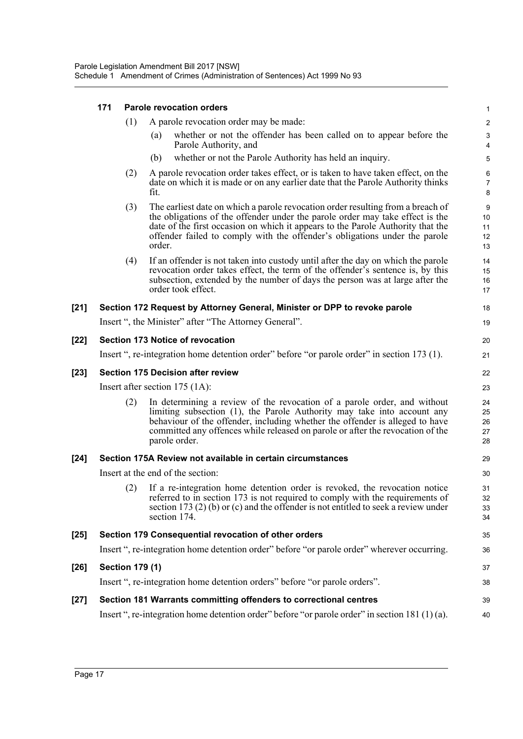|        | 171                                      |     |        | <b>Parole revocation orders</b>                                                                                                                                                                                                                                                                                                        | $\mathbf{1}$                                         |  |
|--------|------------------------------------------|-----|--------|----------------------------------------------------------------------------------------------------------------------------------------------------------------------------------------------------------------------------------------------------------------------------------------------------------------------------------------|------------------------------------------------------|--|
|        |                                          | (1) |        | A parole revocation order may be made:                                                                                                                                                                                                                                                                                                 | $\sqrt{2}$                                           |  |
|        |                                          |     | (a)    | whether or not the offender has been called on to appear before the<br>Parole Authority, and                                                                                                                                                                                                                                           | $\ensuremath{\mathsf{3}}$<br>$\overline{\mathbf{4}}$ |  |
|        |                                          |     | (b)    | whether or not the Parole Authority has held an inquiry.                                                                                                                                                                                                                                                                               | $\mathbf 5$                                          |  |
|        |                                          | (2) | fit.   | A parole revocation order takes effect, or is taken to have taken effect, on the<br>date on which it is made or on any earlier date that the Parole Authority thinks                                                                                                                                                                   | 6<br>$\overline{7}$<br>8                             |  |
|        |                                          | (3) | order. | The earliest date on which a parole revocation order resulting from a breach of<br>the obligations of the offender under the parole order may take effect is the<br>date of the first occasion on which it appears to the Parole Authority that the<br>offender failed to comply with the offender's obligations under the parole      | $\boldsymbol{9}$<br>10<br>11<br>12<br>13             |  |
|        |                                          | (4) |        | If an offender is not taken into custody until after the day on which the parole<br>revocation order takes effect, the term of the offender's sentence is, by this<br>subsection, extended by the number of days the person was at large after the<br>order took effect.                                                               | 14<br>15<br>16<br>17                                 |  |
| [21]   |                                          |     |        | Section 172 Request by Attorney General, Minister or DPP to revoke parole                                                                                                                                                                                                                                                              | 18                                                   |  |
|        |                                          |     |        | Insert ", the Minister" after "The Attorney General".                                                                                                                                                                                                                                                                                  | 19                                                   |  |
| [22]   |                                          |     |        | <b>Section 173 Notice of revocation</b>                                                                                                                                                                                                                                                                                                | 20                                                   |  |
|        |                                          |     |        | Insert ", re-integration home detention order" before "or parole order" in section 173 (1).                                                                                                                                                                                                                                            | 21                                                   |  |
| [23]   | <b>Section 175 Decision after review</b> |     |        |                                                                                                                                                                                                                                                                                                                                        |                                                      |  |
|        | Insert after section $175$ (1A):         |     |        |                                                                                                                                                                                                                                                                                                                                        |                                                      |  |
|        |                                          | (2) |        | In determining a review of the revocation of a parole order, and without<br>limiting subsection (1), the Parole Authority may take into account any<br>behaviour of the offender, including whether the offender is alleged to have<br>committed any offences while released on parole or after the revocation of the<br>parole order. | 24<br>25<br>26<br>27<br>28                           |  |
| $[24]$ |                                          |     |        | Section 175A Review not available in certain circumstances                                                                                                                                                                                                                                                                             | 29                                                   |  |
|        |                                          |     |        | Insert at the end of the section:                                                                                                                                                                                                                                                                                                      | 30                                                   |  |
|        |                                          |     |        | (2) If a re-integration home detention order is revoked, the revocation notice<br>referred to in section 173 is not required to comply with the requirements of<br>section 173 $(2)$ (b) or (c) and the offender is not entitled to seek a review under<br>section 174.                                                                | 31<br>32<br>33<br>34                                 |  |
| $[25]$ |                                          |     |        | Section 179 Consequential revocation of other orders                                                                                                                                                                                                                                                                                   | 35                                                   |  |
|        |                                          |     |        | Insert ", re-integration home detention order" before "or parole order" wherever occurring.                                                                                                                                                                                                                                            | 36                                                   |  |
| [26]   | <b>Section 179 (1)</b>                   |     |        |                                                                                                                                                                                                                                                                                                                                        | 37                                                   |  |
|        |                                          |     |        | Insert ", re-integration home detention orders" before "or parole orders".                                                                                                                                                                                                                                                             | 38                                                   |  |
| $[27]$ |                                          |     |        | Section 181 Warrants committing offenders to correctional centres                                                                                                                                                                                                                                                                      | 39                                                   |  |
|        |                                          |     |        | Insert ", re-integration home detention order" before "or parole order" in section $181(1)(a)$ .                                                                                                                                                                                                                                       | 40                                                   |  |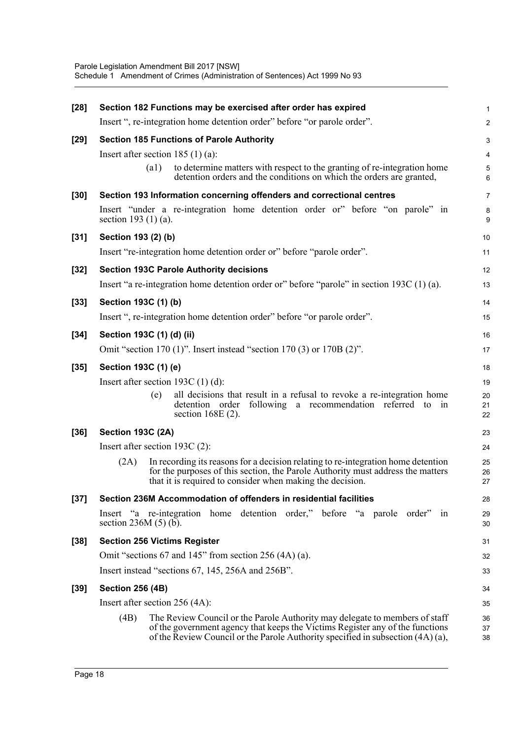| $[28]$ | Section 182 Functions may be exercised after order has expired                                                                                                                                                                                          |                                  |  |  |  |  |  |
|--------|---------------------------------------------------------------------------------------------------------------------------------------------------------------------------------------------------------------------------------------------------------|----------------------------------|--|--|--|--|--|
|        | Insert ", re-integration home detention order" before "or parole order".                                                                                                                                                                                | 2                                |  |  |  |  |  |
| $[29]$ | <b>Section 185 Functions of Parole Authority</b>                                                                                                                                                                                                        | G                                |  |  |  |  |  |
|        | Insert after section $185(1)(a)$ :                                                                                                                                                                                                                      | 4                                |  |  |  |  |  |
|        | (a1)<br>to determine matters with respect to the granting of re-integration home<br>detention orders and the conditions on which the orders are granted,                                                                                                | $\epsilon$                       |  |  |  |  |  |
| $[30]$ | Section 193 Information concerning offenders and correctional centres                                                                                                                                                                                   | 7                                |  |  |  |  |  |
|        | Insert "under a re-integration home detention order or" before "on parole" in<br>section 193 $(1)$ $(a)$ .                                                                                                                                              | ε<br>ç                           |  |  |  |  |  |
| $[31]$ | Section 193 (2) (b)                                                                                                                                                                                                                                     | 10                               |  |  |  |  |  |
|        | Insert "re-integration home detention order or" before "parole order".                                                                                                                                                                                  | 11                               |  |  |  |  |  |
| $[32]$ | <b>Section 193C Parole Authority decisions</b>                                                                                                                                                                                                          | 12                               |  |  |  |  |  |
|        | Insert "a re-integration home detention order or" before "parole" in section 193C (1) (a).                                                                                                                                                              | 13                               |  |  |  |  |  |
| $[33]$ | Section 193C (1) (b)                                                                                                                                                                                                                                    | 14                               |  |  |  |  |  |
|        | Insert ", re-integration home detention order" before "or parole order".                                                                                                                                                                                | 15                               |  |  |  |  |  |
| $[34]$ | Section 193C (1) (d) (ii)                                                                                                                                                                                                                               | 16                               |  |  |  |  |  |
|        | Omit "section 170 (1)". Insert instead "section 170 (3) or 170B (2)".                                                                                                                                                                                   | 17                               |  |  |  |  |  |
| $[35]$ | Section 193C (1) (e)                                                                                                                                                                                                                                    | 18                               |  |  |  |  |  |
|        | Insert after section 193C $(1)$ $(d)$ :                                                                                                                                                                                                                 |                                  |  |  |  |  |  |
|        | all decisions that result in a refusal to revoke a re-integration home<br>(e)<br>detention order following a recommendation referred to in<br>section 168E (2).                                                                                         | 1 <sup>c</sup><br>20<br>21<br>22 |  |  |  |  |  |
| $[36]$ | <b>Section 193C (2A)</b>                                                                                                                                                                                                                                | 23                               |  |  |  |  |  |
|        | Insert after section 193C (2):                                                                                                                                                                                                                          | 24                               |  |  |  |  |  |
|        | In recording its reasons for a decision relating to re-integration home detention<br>(2A)<br>for the purposes of this section, the Parole Authority must address the matters<br>that it is required to consider when making the decision.               | 25<br>26<br>27                   |  |  |  |  |  |
| $[37]$ | Section 236M Accommodation of offenders in residential facilities                                                                                                                                                                                       | 28                               |  |  |  |  |  |
|        | Insert "a re-integration home detention order," before "a parole order" in<br>section $236M(5)$ (b).                                                                                                                                                    | 29<br>30                         |  |  |  |  |  |
| $[38]$ | <b>Section 256 Victims Register</b>                                                                                                                                                                                                                     | 31                               |  |  |  |  |  |
|        | Omit "sections 67 and 145" from section 256 (4A) (a).                                                                                                                                                                                                   | 32                               |  |  |  |  |  |
|        | Insert instead "sections 67, 145, 256A and 256B".                                                                                                                                                                                                       | 33                               |  |  |  |  |  |
| $[39]$ | <b>Section 256 (4B)</b>                                                                                                                                                                                                                                 | 34                               |  |  |  |  |  |
|        | Insert after section $256$ (4A):                                                                                                                                                                                                                        | 35                               |  |  |  |  |  |
|        | (4B)<br>The Review Council or the Parole Authority may delegate to members of staff<br>of the government agency that keeps the Victims Register any of the functions<br>of the Review Council or the Parole Authority specified in subsection (4A) (a), | 36<br>37<br>38                   |  |  |  |  |  |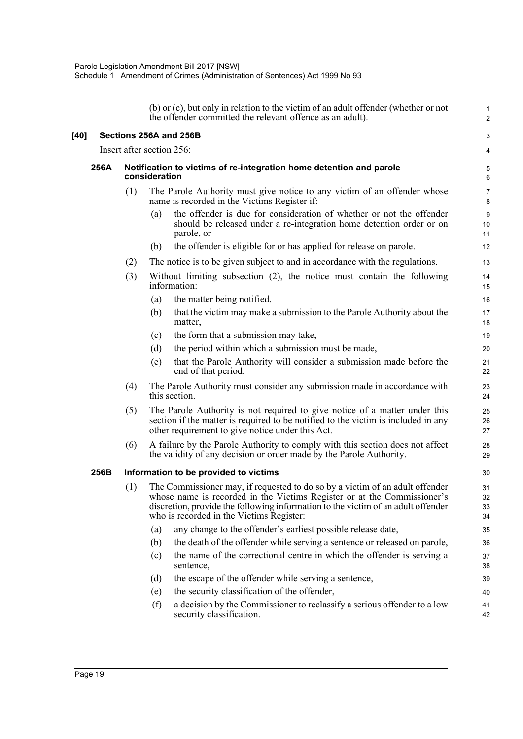|        |      |                           |               | (b) or (c), but only in relation to the victim of an adult offender (whether or not<br>the offender committed the relevant offence as an adult).                                                                                                                                        | $\mathbf{1}$<br>$\overline{2}$ |  |  |
|--------|------|---------------------------|---------------|-----------------------------------------------------------------------------------------------------------------------------------------------------------------------------------------------------------------------------------------------------------------------------------------|--------------------------------|--|--|
| $[40]$ |      | Sections 256A and 256B    |               |                                                                                                                                                                                                                                                                                         |                                |  |  |
|        |      | Insert after section 256: |               |                                                                                                                                                                                                                                                                                         |                                |  |  |
|        | 256A |                           | consideration | Notification to victims of re-integration home detention and parole                                                                                                                                                                                                                     | 5<br>6                         |  |  |
|        |      | (1)                       |               | The Parole Authority must give notice to any victim of an offender whose<br>name is recorded in the Victims Register if:                                                                                                                                                                | $\overline{7}$<br>8            |  |  |
|        |      |                           | (a)           | the offender is due for consideration of whether or not the offender<br>should be released under a re-integration home detention order or on<br>parole, or                                                                                                                              | $\boldsymbol{9}$<br>10<br>11   |  |  |
|        |      |                           | (b)           | the offender is eligible for or has applied for release on parole.                                                                                                                                                                                                                      | 12                             |  |  |
|        |      | (2)                       |               | The notice is to be given subject to and in accordance with the regulations.                                                                                                                                                                                                            | 13                             |  |  |
|        |      | (3)                       |               | Without limiting subsection $(2)$ , the notice must contain the following<br>information:                                                                                                                                                                                               | 14<br>15                       |  |  |
|        |      |                           | (a)           | the matter being notified,                                                                                                                                                                                                                                                              | 16                             |  |  |
|        |      |                           | (b)           | that the victim may make a submission to the Parole Authority about the<br>matter,                                                                                                                                                                                                      | 17<br>18                       |  |  |
|        |      |                           | (c)           | the form that a submission may take,                                                                                                                                                                                                                                                    | 19                             |  |  |
|        |      |                           | (d)           | the period within which a submission must be made,                                                                                                                                                                                                                                      | 20                             |  |  |
|        |      |                           | (e)           | that the Parole Authority will consider a submission made before the<br>end of that period.                                                                                                                                                                                             | 21<br>22                       |  |  |
|        |      | (4)                       |               | The Parole Authority must consider any submission made in accordance with<br>this section.                                                                                                                                                                                              | 23<br>24                       |  |  |
|        |      | (5)                       |               | The Parole Authority is not required to give notice of a matter under this<br>section if the matter is required to be notified to the victim is included in any<br>other requirement to give notice under this Act.                                                                     | 25<br>26<br>27                 |  |  |
|        |      | (6)                       |               | A failure by the Parole Authority to comply with this section does not affect<br>the validity of any decision or order made by the Parole Authority.                                                                                                                                    | 28<br>29                       |  |  |
|        | 256B |                           |               | Information to be provided to victims                                                                                                                                                                                                                                                   | 30                             |  |  |
|        |      | (1)                       |               | The Commissioner may, if requested to do so by a victim of an adult offender<br>whose name is recorded in the Victims Register or at the Commissioner's<br>discretion, provide the following information to the victim of an adult offender<br>who is recorded in the Victims Register: | 31<br>32<br>33<br>34           |  |  |
|        |      |                           | (a)           | any change to the offender's earliest possible release date,                                                                                                                                                                                                                            | 35                             |  |  |
|        |      |                           | (b)           | the death of the offender while serving a sentence or released on parole,                                                                                                                                                                                                               | 36                             |  |  |
|        |      |                           | (c)           | the name of the correctional centre in which the offender is serving a<br>sentence,                                                                                                                                                                                                     | 37<br>38                       |  |  |
|        |      |                           | (d)           | the escape of the offender while serving a sentence,                                                                                                                                                                                                                                    | 39                             |  |  |
|        |      |                           | (e)           | the security classification of the offender,                                                                                                                                                                                                                                            | 40                             |  |  |
|        |      |                           | (f)           | a decision by the Commissioner to reclassify a serious offender to a low<br>security classification.                                                                                                                                                                                    | 41<br>42                       |  |  |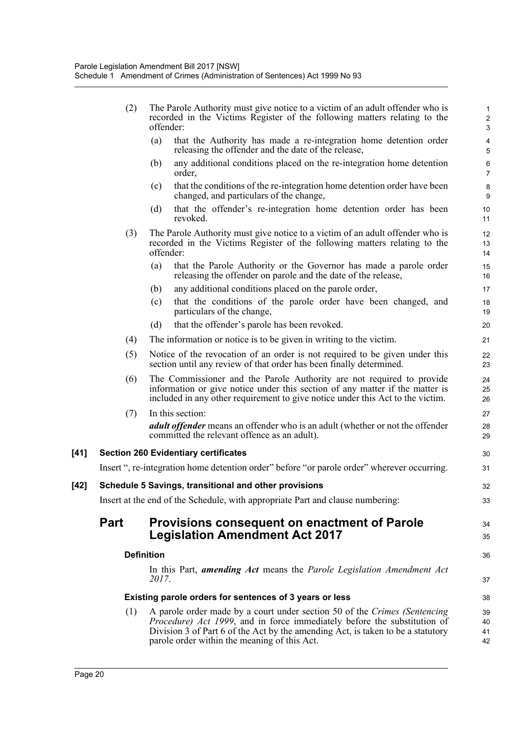|      | (2)         | The Parole Authority must give notice to a victim of an adult offender who is<br>recorded in the Victims Register of the following matters relating to the<br>offender:                                                                                                                         | $\mathbf{1}$<br>$\overline{c}$<br>3 |
|------|-------------|-------------------------------------------------------------------------------------------------------------------------------------------------------------------------------------------------------------------------------------------------------------------------------------------------|-------------------------------------|
|      |             | that the Authority has made a re-integration home detention order<br>(a)<br>releasing the offender and the date of the release,                                                                                                                                                                 | $\overline{\mathbf{4}}$<br>5        |
|      |             | (b)<br>any additional conditions placed on the re-integration home detention<br>order,                                                                                                                                                                                                          | $\,6\,$<br>$\overline{7}$           |
|      |             | that the conditions of the re-integration home detention order have been<br>(c)<br>changed, and particulars of the change,                                                                                                                                                                      | 8<br>$\boldsymbol{9}$               |
|      |             | that the offender's re-integration home detention order has been<br>(d)<br>revoked.                                                                                                                                                                                                             | 10<br>11                            |
|      | (3)         | The Parole Authority must give notice to a victim of an adult offender who is<br>recorded in the Victims Register of the following matters relating to the<br>offender:                                                                                                                         | 12<br>13<br>14                      |
|      |             | that the Parole Authority or the Governor has made a parole order<br>(a)<br>releasing the offender on parole and the date of the release,                                                                                                                                                       | 15<br>16                            |
|      |             | any additional conditions placed on the parole order,<br>(b)                                                                                                                                                                                                                                    | 17                                  |
|      |             | that the conditions of the parole order have been changed, and<br>(c)<br>particulars of the change,                                                                                                                                                                                             | 18<br>19                            |
|      |             | (d)<br>that the offender's parole has been revoked.                                                                                                                                                                                                                                             | 20                                  |
|      | (4)         | The information or notice is to be given in writing to the victim.                                                                                                                                                                                                                              | 21                                  |
|      | (5)         | Notice of the revocation of an order is not required to be given under this<br>section until any review of that order has been finally determined.                                                                                                                                              | 22<br>23                            |
|      | (6)         | The Commissioner and the Parole Authority are not required to provide<br>information or give notice under this section of any matter if the matter is<br>included in any other requirement to give notice under this Act to the victim.                                                         | 24<br>25<br>26                      |
|      | (7)         | In this section:                                                                                                                                                                                                                                                                                | 27                                  |
|      |             | <i>adult offender</i> means an offender who is an adult (whether or not the offender<br>committed the relevant offence as an adult).                                                                                                                                                            | 28<br>29                            |
| [41] |             | <b>Section 260 Evidentiary certificates</b>                                                                                                                                                                                                                                                     | 30                                  |
|      |             | Insert ", re-integration home detention order" before "or parole order" wherever occurring.                                                                                                                                                                                                     | 31                                  |
| [42] |             | Schedule 5 Savings, transitional and other provisions                                                                                                                                                                                                                                           | 32                                  |
|      |             | Insert at the end of the Schedule, with appropriate Part and clause numbering:                                                                                                                                                                                                                  | 33                                  |
|      | <b>Part</b> | <b>Provisions consequent on enactment of Parole</b><br><b>Legislation Amendment Act 2017</b>                                                                                                                                                                                                    | 34<br>35                            |
|      |             | <b>Definition</b>                                                                                                                                                                                                                                                                               | 36                                  |
|      |             | In this Part, <i>amending Act</i> means the <i>Parole Legislation Amendment Act</i><br>2017.                                                                                                                                                                                                    | 37                                  |
|      |             | Existing parole orders for sentences of 3 years or less                                                                                                                                                                                                                                         | 38                                  |
|      | (1)         | A parole order made by a court under section 50 of the Crimes (Sentencing<br><i>Procedure)</i> Act 1999, and in force immediately before the substitution of<br>Division 3 of Part 6 of the Act by the amending Act, is taken to be a statutory<br>parole order within the meaning of this Act. | 39<br>40<br>41<br>42                |

[41]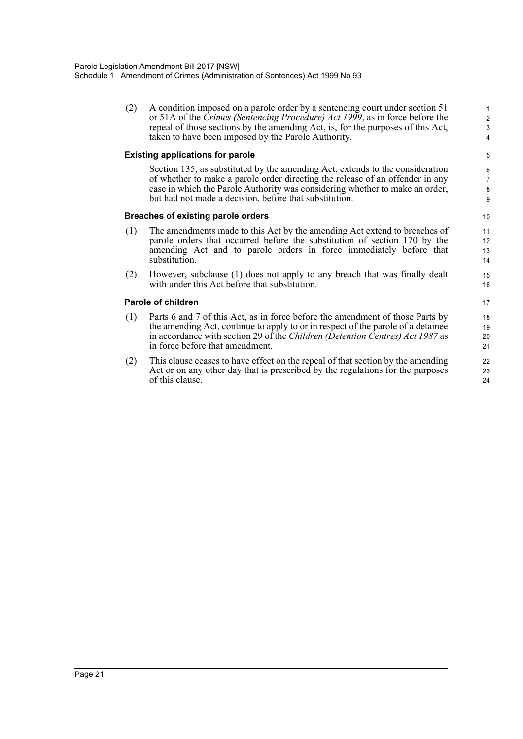(2) A condition imposed on a parole order by a sentencing court under section 51 or 51A of the *Crimes (Sentencing Procedure) Act 1999*, as in force before the repeal of those sections by the amending Act, is, for the purposes of this Act, taken to have been imposed by the Parole Authority.

#### **Existing applications for parole**

Section 135, as substituted by the amending Act, extends to the consideration of whether to make a parole order directing the release of an offender in any case in which the Parole Authority was considering whether to make an order, but had not made a decision, before that substitution.

#### **Breaches of existing parole orders**

- (1) The amendments made to this Act by the amending Act extend to breaches of parole orders that occurred before the substitution of section 170 by the amending Act and to parole orders in force immediately before that substitution.
- (2) However, subclause (1) does not apply to any breach that was finally dealt with under this Act before that substitution.

#### **Parole of children**

- (1) Parts 6 and 7 of this Act, as in force before the amendment of those Parts by the amending Act, continue to apply to or in respect of the parole of a detainee in accordance with section 29 of the *Children (Detention Centres) Act 1987* as in force before that amendment.
- (2) This clause ceases to have effect on the repeal of that section by the amending Act or on any other day that is prescribed by the regulations for the purposes of this clause.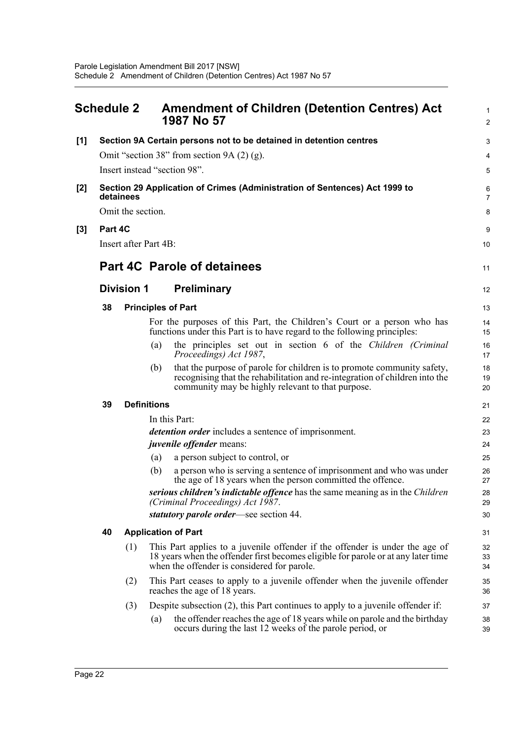<span id="page-31-0"></span>

|     | <b>Schedule 2</b> |                   |                       | <b>Amendment of Children (Detention Centres) Act</b><br>1987 No 57                                                                                                                                               | 1<br>$\overline{c}$ |
|-----|-------------------|-------------------|-----------------------|------------------------------------------------------------------------------------------------------------------------------------------------------------------------------------------------------------------|---------------------|
| [1] |                   |                   |                       | Section 9A Certain persons not to be detained in detention centres                                                                                                                                               | 3                   |
|     |                   |                   |                       | Omit "section 38" from section 9A $(2)$ $(g)$ .                                                                                                                                                                  | 4                   |
|     |                   |                   |                       | Insert instead "section 98".                                                                                                                                                                                     | 5                   |
| [2] |                   | detainees         |                       | Section 29 Application of Crimes (Administration of Sentences) Act 1999 to                                                                                                                                       | 6<br>$\overline{7}$ |
|     |                   | Omit the section. |                       |                                                                                                                                                                                                                  | 8                   |
| [3] | Part 4C           |                   |                       |                                                                                                                                                                                                                  | 9                   |
|     |                   |                   | Insert after Part 4B: |                                                                                                                                                                                                                  | 10                  |
|     |                   |                   |                       | <b>Part 4C Parole of detainees</b>                                                                                                                                                                               | 11                  |
|     |                   | <b>Division 1</b> |                       | <b>Preliminary</b>                                                                                                                                                                                               | 12                  |
|     | 38                |                   |                       | <b>Principles of Part</b>                                                                                                                                                                                        | 13                  |
|     |                   |                   |                       | For the purposes of this Part, the Children's Court or a person who has<br>functions under this Part is to have regard to the following principles:                                                              | 14<br>15            |
|     |                   |                   | (a)                   | the principles set out in section 6 of the Children (Criminal<br>Proceedings) Act 1987,                                                                                                                          | 16<br>17            |
|     |                   |                   | (b)                   | that the purpose of parole for children is to promote community safety,<br>recognising that the rehabilitation and re-integration of children into the<br>community may be highly relevant to that purpose.      | 18<br>19<br>20      |
|     | 39                |                   | <b>Definitions</b>    |                                                                                                                                                                                                                  | 21                  |
|     |                   |                   |                       | In this Part:                                                                                                                                                                                                    | 22                  |
|     |                   |                   |                       | detention order includes a sentence of imprisonment.                                                                                                                                                             | 23                  |
|     |                   |                   |                       | <i>juvenile offender</i> means:                                                                                                                                                                                  | 24                  |
|     |                   |                   | (a)                   | a person subject to control, or                                                                                                                                                                                  | 25                  |
|     |                   |                   | (b)                   | a person who is serving a sentence of imprisonment and who was under<br>the age of 18 years when the person committed the offence.                                                                               | 26<br>27            |
|     |                   |                   |                       | serious children's indictable offence has the same meaning as in the Children<br>(Criminal Proceedings) Act 1987.                                                                                                | 28<br>29            |
|     |                   |                   |                       | statutory parole order—see section 44.                                                                                                                                                                           | 30                  |
|     | 40                |                   |                       | <b>Application of Part</b>                                                                                                                                                                                       | 31                  |
|     |                   | (1)               |                       | This Part applies to a juvenile offender if the offender is under the age of<br>18 years when the offender first becomes eligible for parole or at any later time<br>when the offender is considered for parole. | 32<br>33<br>34      |
|     |                   | (2)               |                       | This Part ceases to apply to a juvenile offender when the juvenile offender<br>reaches the age of 18 years.                                                                                                      | 35<br>36            |
|     |                   | (3)               |                       | Despite subsection (2), this Part continues to apply to a juvenile offender if:                                                                                                                                  | 37                  |
|     |                   |                   | $\left( a\right)$     | the offender reaches the age of 18 years while on parole and the birthday<br>occurs during the last 12 weeks of the parole period, or                                                                            | 38<br>39            |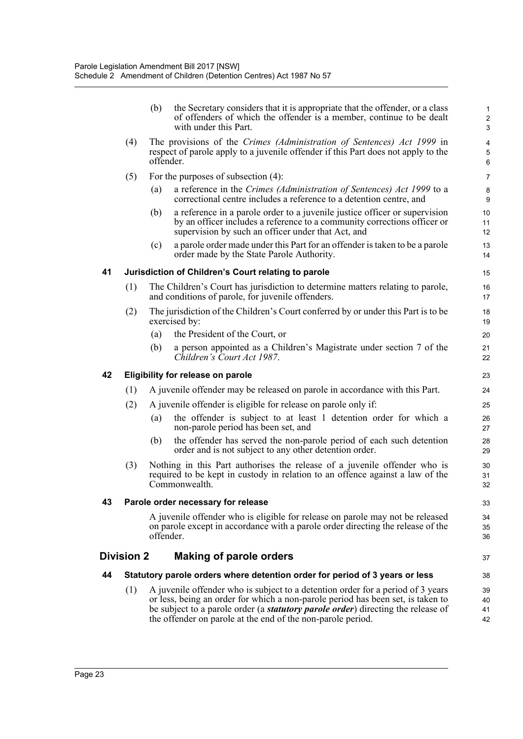|    |                                                                                                                                                                                 | (b)       | the Secretary considers that it is appropriate that the offender, or a class<br>of offenders of which the offender is a member, continue to be dealt<br>with under this Part.                                                                                                                                                 | $\mathbf{1}$<br>$\overline{c}$<br>3 |  |  |  |  |  |
|----|---------------------------------------------------------------------------------------------------------------------------------------------------------------------------------|-----------|-------------------------------------------------------------------------------------------------------------------------------------------------------------------------------------------------------------------------------------------------------------------------------------------------------------------------------|-------------------------------------|--|--|--|--|--|
|    | The provisions of the Crimes (Administration of Sentences) Act 1999 in<br>(4)<br>respect of parole apply to a juvenile offender if this Part does not apply to the<br>offender. |           |                                                                                                                                                                                                                                                                                                                               |                                     |  |  |  |  |  |
|    | (5)                                                                                                                                                                             |           | For the purposes of subsection $(4)$ :                                                                                                                                                                                                                                                                                        | $\overline{7}$                      |  |  |  |  |  |
|    |                                                                                                                                                                                 | (a)       | a reference in the Crimes (Administration of Sentences) Act 1999 to a<br>correctional centre includes a reference to a detention centre, and                                                                                                                                                                                  | 8<br>9                              |  |  |  |  |  |
|    |                                                                                                                                                                                 | (b)       | a reference in a parole order to a juvenile justice officer or supervision<br>by an officer includes a reference to a community corrections officer or<br>supervision by such an officer under that Act, and                                                                                                                  | 10<br>11<br>12                      |  |  |  |  |  |
|    |                                                                                                                                                                                 | (c)       | a parole order made under this Part for an offender is taken to be a parole<br>order made by the State Parole Authority.                                                                                                                                                                                                      | 13<br>14                            |  |  |  |  |  |
| 41 |                                                                                                                                                                                 |           | Jurisdiction of Children's Court relating to parole                                                                                                                                                                                                                                                                           | 15                                  |  |  |  |  |  |
|    | (1)                                                                                                                                                                             |           | The Children's Court has jurisdiction to determine matters relating to parole,<br>and conditions of parole, for juvenile offenders.                                                                                                                                                                                           | 16<br>17                            |  |  |  |  |  |
|    | (2)                                                                                                                                                                             |           | The jurisdiction of the Children's Court conferred by or under this Part is to be<br>exercised by:                                                                                                                                                                                                                            | 18<br>19                            |  |  |  |  |  |
|    |                                                                                                                                                                                 | (a)       | the President of the Court, or                                                                                                                                                                                                                                                                                                | 20                                  |  |  |  |  |  |
|    |                                                                                                                                                                                 | (b)       | a person appointed as a Children's Magistrate under section 7 of the<br>Children's Court Act 1987.                                                                                                                                                                                                                            | 21<br>22                            |  |  |  |  |  |
| 42 | Eligibility for release on parole                                                                                                                                               |           |                                                                                                                                                                                                                                                                                                                               |                                     |  |  |  |  |  |
|    | (1)                                                                                                                                                                             |           | A juvenile offender may be released on parole in accordance with this Part.                                                                                                                                                                                                                                                   | 24                                  |  |  |  |  |  |
|    | (2)                                                                                                                                                                             |           | A juvenile offender is eligible for release on parole only if:                                                                                                                                                                                                                                                                | 25                                  |  |  |  |  |  |
|    |                                                                                                                                                                                 | (a)       | the offender is subject to at least 1 detention order for which a<br>non-parole period has been set, and                                                                                                                                                                                                                      | 26<br>27                            |  |  |  |  |  |
|    |                                                                                                                                                                                 | (b)       | the offender has served the non-parole period of each such detention<br>order and is not subject to any other detention order.                                                                                                                                                                                                | 28<br>29                            |  |  |  |  |  |
|    | (3)                                                                                                                                                                             |           | Nothing in this Part authorises the release of a juvenile offender who is<br>required to be kept in custody in relation to an offence against a law of the<br>Commonwealth.                                                                                                                                                   | 30<br>31<br>32                      |  |  |  |  |  |
| 43 |                                                                                                                                                                                 |           | Parole order necessary for release                                                                                                                                                                                                                                                                                            | 33                                  |  |  |  |  |  |
|    |                                                                                                                                                                                 | offender. | A juvenile offender who is eligible for release on parole may not be released<br>on parole except in accordance with a parole order directing the release of the                                                                                                                                                              | 34<br>35<br>36                      |  |  |  |  |  |
|    | <b>Division 2</b>                                                                                                                                                               |           | <b>Making of parole orders</b>                                                                                                                                                                                                                                                                                                | 37                                  |  |  |  |  |  |
| 44 |                                                                                                                                                                                 |           | Statutory parole orders where detention order for period of 3 years or less                                                                                                                                                                                                                                                   | 38                                  |  |  |  |  |  |
|    | (1)                                                                                                                                                                             |           | A juvenile offender who is subject to a detention order for a period of 3 years<br>or less, being an order for which a non-parole period has been set, is taken to<br>be subject to a parole order (a <i>statutory parole order</i> ) directing the release of<br>the offender on parole at the end of the non-parole period. | 39<br>40<br>41<br>42                |  |  |  |  |  |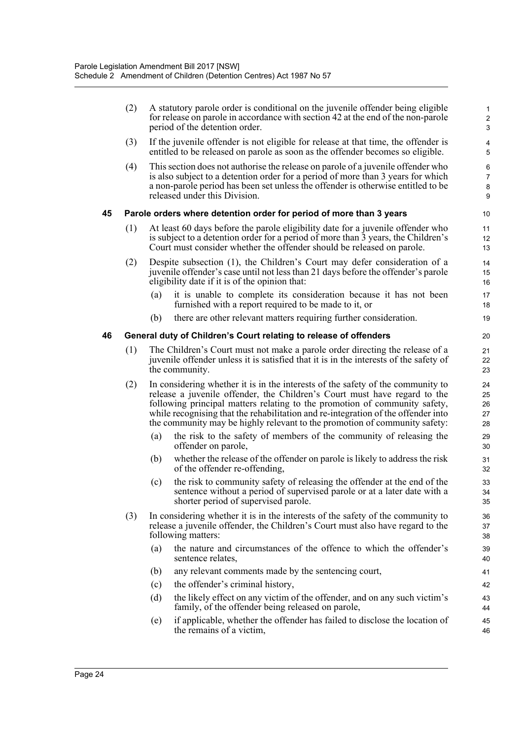|    | (2) |                                                                                                                                                                                         | A statutory parole order is conditional on the juvenile offender being eligible<br>for release on parole in accordance with section 42 at the end of the non-parole<br>period of the detention order.                                                                                                                                                                                                         | 2<br>3                     |  |  |
|----|-----|-----------------------------------------------------------------------------------------------------------------------------------------------------------------------------------------|---------------------------------------------------------------------------------------------------------------------------------------------------------------------------------------------------------------------------------------------------------------------------------------------------------------------------------------------------------------------------------------------------------------|----------------------------|--|--|
|    | (3) |                                                                                                                                                                                         | If the juvenile offender is not eligible for release at that time, the offender is<br>entitled to be released on parole as soon as the offender becomes so eligible.                                                                                                                                                                                                                                          | 4<br>5                     |  |  |
|    | (4) |                                                                                                                                                                                         | This section does not authorise the release on parole of a juvenile offender who<br>is also subject to a detention order for a period of more than 3 years for which<br>a non-parole period has been set unless the offender is otherwise entitled to be<br>released under this Division.                                                                                                                     | 6<br>7<br>8<br>g           |  |  |
| 45 |     |                                                                                                                                                                                         | Parole orders where detention order for period of more than 3 years                                                                                                                                                                                                                                                                                                                                           | 10                         |  |  |
|    | (1) |                                                                                                                                                                                         | At least 60 days before the parole eligibility date for a juvenile offender who<br>is subject to a detention order for a period of more than 3 years, the Children's<br>Court must consider whether the offender should be released on parole.                                                                                                                                                                | 11<br>12<br>13             |  |  |
|    | (2) |                                                                                                                                                                                         | Despite subsection (1), the Children's Court may defer consideration of a<br>juvenile offender's case until not less than 21 days before the offender's parole<br>eligibility date if it is of the opinion that:                                                                                                                                                                                              | 14<br>15<br>16             |  |  |
|    |     | (a)                                                                                                                                                                                     | it is unable to complete its consideration because it has not been<br>furnished with a report required to be made to it, or                                                                                                                                                                                                                                                                                   | 17<br>18                   |  |  |
|    |     | (b)                                                                                                                                                                                     | there are other relevant matters requiring further consideration.                                                                                                                                                                                                                                                                                                                                             | 19                         |  |  |
| 46 |     |                                                                                                                                                                                         | General duty of Children's Court relating to release of offenders                                                                                                                                                                                                                                                                                                                                             | 20                         |  |  |
|    | (1) | The Children's Court must not make a parole order directing the release of a<br>juvenile offender unless it is satisfied that it is in the interests of the safety of<br>the community. |                                                                                                                                                                                                                                                                                                                                                                                                               |                            |  |  |
|    | (2) |                                                                                                                                                                                         | In considering whether it is in the interests of the safety of the community to<br>release a juvenile offender, the Children's Court must have regard to the<br>following principal matters relating to the promotion of community safety,<br>while recognising that the rehabilitation and re-integration of the offender into<br>the community may be highly relevant to the promotion of community safety: | 24<br>25<br>26<br>27<br>28 |  |  |
|    |     | (a)                                                                                                                                                                                     | the risk to the safety of members of the community of releasing the<br>offender on parole,                                                                                                                                                                                                                                                                                                                    | 29<br>30                   |  |  |
|    |     | (b)                                                                                                                                                                                     | whether the release of the offender on parole is likely to address the risk<br>of the offender re-offending,                                                                                                                                                                                                                                                                                                  | 31<br>32                   |  |  |
|    |     | (c)                                                                                                                                                                                     | the risk to community safety of releasing the offender at the end of the<br>sentence without a period of supervised parole or at a later date with a<br>shorter period of supervised parole.                                                                                                                                                                                                                  | 33<br>34<br>35             |  |  |
|    | (3) |                                                                                                                                                                                         | In considering whether it is in the interests of the safety of the community to<br>release a juvenile offender, the Children's Court must also have regard to the<br>following matters:                                                                                                                                                                                                                       | 36<br>37<br>38             |  |  |
|    |     | (a)                                                                                                                                                                                     | the nature and circumstances of the offence to which the offender's<br>sentence relates,                                                                                                                                                                                                                                                                                                                      | 39<br>40                   |  |  |
|    |     | (b)                                                                                                                                                                                     | any relevant comments made by the sentencing court,                                                                                                                                                                                                                                                                                                                                                           | 41                         |  |  |
|    |     | (c)                                                                                                                                                                                     | the offender's criminal history,                                                                                                                                                                                                                                                                                                                                                                              | 42                         |  |  |
|    |     | (d)                                                                                                                                                                                     | the likely effect on any victim of the offender, and on any such victim's<br>family, of the offender being released on parole,                                                                                                                                                                                                                                                                                | 43<br>44                   |  |  |
|    |     | (e)                                                                                                                                                                                     | if applicable, whether the offender has failed to disclose the location of<br>the remains of a victim,                                                                                                                                                                                                                                                                                                        | 45<br>46                   |  |  |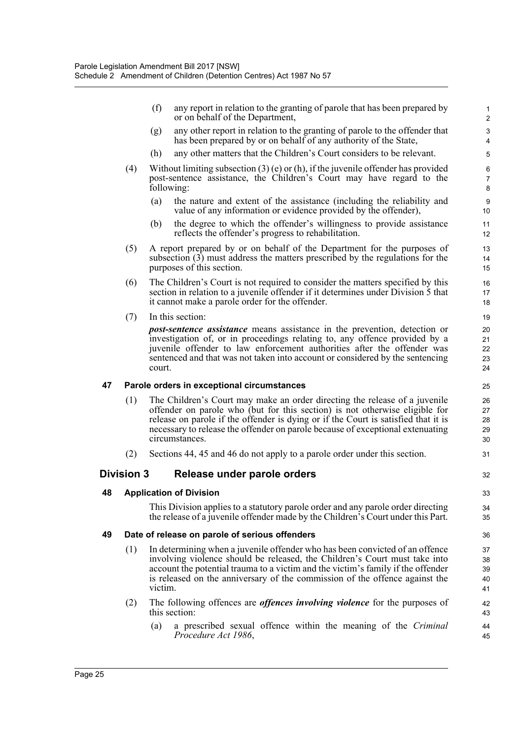(f) any report in relation to the granting of parole that has been prepared by or on behalf of the Department,

- (g) any other report in relation to the granting of parole to the offender that has been prepared by or on behalf of any authority of the State,
- (h) any other matters that the Children's Court considers to be relevant.
- (4) Without limiting subsection (3) (e) or (h), if the juvenile offender has provided post-sentence assistance, the Children's Court may have regard to the following:
	- (a) the nature and extent of the assistance (including the reliability and value of any information or evidence provided by the offender),
	- (b) the degree to which the offender's willingness to provide assistance reflects the offender's progress to rehabilitation.
- (5) A report prepared by or on behalf of the Department for the purposes of subsection (3) must address the matters prescribed by the regulations for the purposes of this section.
- (6) The Children's Court is not required to consider the matters specified by this section in relation to a juvenile offender if it determines under Division 5 that it cannot make a parole order for the offender.
- (7) In this section:

*post-sentence assistance* means assistance in the prevention, detection or investigation of, or in proceedings relating to, any offence provided by a juvenile offender to law enforcement authorities after the offender was sentenced and that was not taken into account or considered by the sentencing court.

#### **47 Parole orders in exceptional circumstances**

- (1) The Children's Court may make an order directing the release of a juvenile offender on parole who (but for this section) is not otherwise eligible for release on parole if the offender is dying or if the Court is satisfied that it is necessary to release the offender on parole because of exceptional extenuating circumstances.
- (2) Sections 44, 45 and 46 do not apply to a parole order under this section.

#### **Division 3 Release under parole orders**

#### **48 Application of Division**

This Division applies to a statutory parole order and any parole order directing the release of a juvenile offender made by the Children's Court under this Part.

#### **49 Date of release on parole of serious offenders**

- (1) In determining when a juvenile offender who has been convicted of an offence involving violence should be released, the Children's Court must take into account the potential trauma to a victim and the victim's family if the offender is released on the anniversary of the commission of the offence against the victim.
- (2) The following offences are *offences involving violence* for the purposes of this section:
	- (a) a prescribed sexual offence within the meaning of the *Criminal Procedure Act 1986*,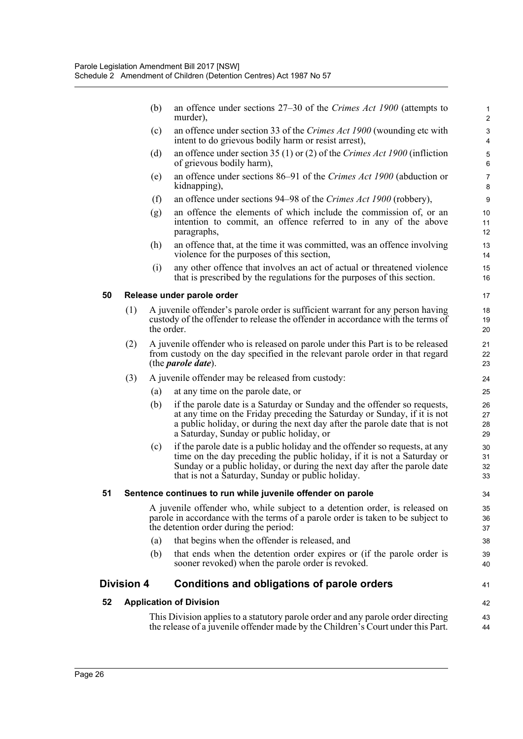(b) an offence under sections 27–30 of the *Crimes Act 1900* (attempts to murder),

41

42

- (c) an offence under section 33 of the *Crimes Act 1900* (wounding etc with intent to do grievous bodily harm or resist arrest),
- (d) an offence under section 35 (1) or (2) of the *Crimes Act 1900* (infliction of grievous bodily harm),
- (e) an offence under sections 86–91 of the *Crimes Act 1900* (abduction or kidnapping),
- (f) an offence under sections 94–98 of the *Crimes Act 1900* (robbery),
- (g) an offence the elements of which include the commission of, or an intention to commit, an offence referred to in any of the above paragraphs,
- (h) an offence that, at the time it was committed, was an offence involving violence for the purposes of this section,
- (i) any other offence that involves an act of actual or threatened violence that is prescribed by the regulations for the purposes of this section.

#### **50 Release under parole order**

- (1) A juvenile offender's parole order is sufficient warrant for any person having custody of the offender to release the offender in accordance with the terms of the order.
- (2) A juvenile offender who is released on parole under this Part is to be released from custody on the day specified in the relevant parole order in that regard (the *parole date*).
- (3) A juvenile offender may be released from custody:
	- (a) at any time on the parole date, or
	- (b) if the parole date is a Saturday or Sunday and the offender so requests, at any time on the Friday preceding the Saturday or Sunday, if it is not a public holiday, or during the next day after the parole date that is not a Saturday, Sunday or public holiday, or
	- (c) if the parole date is a public holiday and the offender so requests, at any time on the day preceding the public holiday, if it is not a Saturday or Sunday or a public holiday, or during the next day after the parole date that is not a Saturday, Sunday or public holiday.

#### **51 Sentence continues to run while juvenile offender on parole**

A juvenile offender who, while subject to a detention order, is released on parole in accordance with the terms of a parole order is taken to be subject to the detention order during the period:

- (a) that begins when the offender is released, and
- (b) that ends when the detention order expires or (if the parole order is sooner revoked) when the parole order is revoked.

#### **Division 4 Conditions and obligations of parole orders**

#### **52 Application of Division**

This Division applies to a statutory parole order and any parole order directing the release of a juvenile offender made by the Children's Court under this Part. 43 44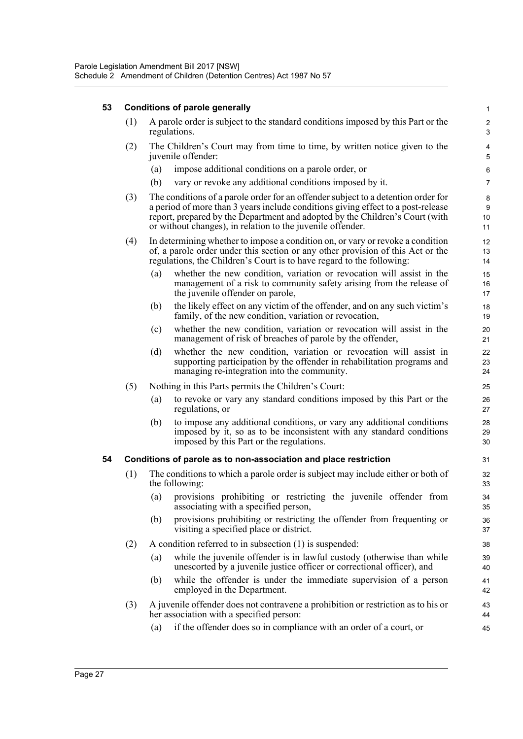#### **53 Conditions of parole generally**

|                      | (1) A parole order is subject to the standard conditions imposed by this Part or the<br>regulations. |  |  |  |  |  |  |  |
|----------------------|------------------------------------------------------------------------------------------------------|--|--|--|--|--|--|--|
| $\sim$ $\sim$ $\sim$ | $-$                                                                                                  |  |  |  |  |  |  |  |

- (2) The Children's Court may from time to time, by written notice given to the juvenile offender:
	- (a) impose additional conditions on a parole order, or
	- (b) vary or revoke any additional conditions imposed by it.
- (3) The conditions of a parole order for an offender subject to a detention order for a period of more than 3 years include conditions giving effect to a post-release report, prepared by the Department and adopted by the Children's Court (with or without changes), in relation to the juvenile offender.
- (4) In determining whether to impose a condition on, or vary or revoke a condition of, a parole order under this section or any other provision of this Act or the regulations, the Children's Court is to have regard to the following:
	- (a) whether the new condition, variation or revocation will assist in the management of a risk to community safety arising from the release of the juvenile offender on parole,
	- (b) the likely effect on any victim of the offender, and on any such victim's family, of the new condition, variation or revocation,
	- (c) whether the new condition, variation or revocation will assist in the management of risk of breaches of parole by the offender,
	- (d) whether the new condition, variation or revocation will assist in supporting participation by the offender in rehabilitation programs and managing re-integration into the community.
- (5) Nothing in this Parts permits the Children's Court:
	- (a) to revoke or vary any standard conditions imposed by this Part or the regulations, or
	- (b) to impose any additional conditions, or vary any additional conditions imposed by it, so as to be inconsistent with any standard conditions imposed by this Part or the regulations.

#### **54 Conditions of parole as to non-association and place restriction**

- (1) The conditions to which a parole order is subject may include either or both of the following:
	- (a) provisions prohibiting or restricting the juvenile offender from associating with a specified person,
	- (b) provisions prohibiting or restricting the offender from frequenting or visiting a specified place or district.
- (2) A condition referred to in subsection (1) is suspended:
	- (a) while the juvenile offender is in lawful custody (otherwise than while unescorted by a juvenile justice officer or correctional officer), and
	- (b) while the offender is under the immediate supervision of a person employed in the Department.
- (3) A juvenile offender does not contravene a prohibition or restriction as to his or her association with a specified person:
	- (a) if the offender does so in compliance with an order of a court, or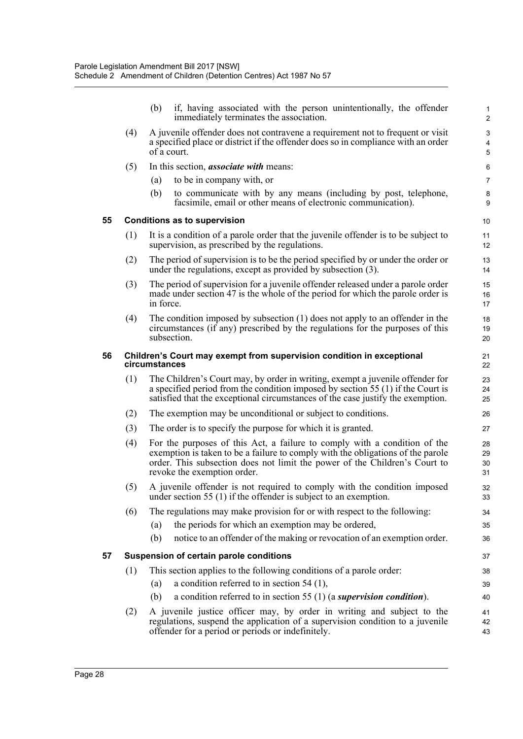|    |     | (b)                                                                                                                                                                                                                                                                       | if, having associated with the person unintentionally, the offender<br>immediately terminates the association.                                                                                                                                      | $\mathbf{1}$<br>$\overline{2}$ |  |  |  |
|----|-----|---------------------------------------------------------------------------------------------------------------------------------------------------------------------------------------------------------------------------------------------------------------------------|-----------------------------------------------------------------------------------------------------------------------------------------------------------------------------------------------------------------------------------------------------|--------------------------------|--|--|--|
|    | (4) | A juvenile offender does not contravene a requirement not to frequent or visit<br>a specified place or district if the offender does so in compliance with an order<br>of a court.                                                                                        |                                                                                                                                                                                                                                                     |                                |  |  |  |
|    | (5) |                                                                                                                                                                                                                                                                           | In this section, <i>associate with</i> means:                                                                                                                                                                                                       | 6                              |  |  |  |
|    |     | (a)                                                                                                                                                                                                                                                                       | to be in company with, or                                                                                                                                                                                                                           | 7                              |  |  |  |
|    |     | (b)                                                                                                                                                                                                                                                                       | to communicate with by any means (including by post, telephone,<br>facsimile, email or other means of electronic communication).                                                                                                                    | 8<br>9                         |  |  |  |
| 55 |     |                                                                                                                                                                                                                                                                           | <b>Conditions as to supervision</b>                                                                                                                                                                                                                 | 10                             |  |  |  |
|    | (1) |                                                                                                                                                                                                                                                                           | It is a condition of a parole order that the juvenile offender is to be subject to<br>supervision, as prescribed by the regulations.                                                                                                                | 11<br>$12 \overline{ }$        |  |  |  |
|    | (2) |                                                                                                                                                                                                                                                                           | The period of supervision is to be the period specified by or under the order or<br>under the regulations, except as provided by subsection (3).                                                                                                    | 13<br>14                       |  |  |  |
|    | (3) | in force.                                                                                                                                                                                                                                                                 | The period of supervision for a juvenile offender released under a parole order<br>made under section 47 is the whole of the period for which the parole order is                                                                                   | 15<br>16<br>17                 |  |  |  |
|    | (4) |                                                                                                                                                                                                                                                                           | The condition imposed by subsection (1) does not apply to an offender in the<br>circumstances (if any) prescribed by the regulations for the purposes of this<br>subsection.                                                                        | 18<br>19<br>20                 |  |  |  |
| 56 |     | circumstances                                                                                                                                                                                                                                                             | Children's Court may exempt from supervision condition in exceptional                                                                                                                                                                               | 21<br>22                       |  |  |  |
|    | (1) |                                                                                                                                                                                                                                                                           | The Children's Court may, by order in writing, exempt a juvenile offender for<br>a specified period from the condition imposed by section 55 (1) if the Court is<br>satisfied that the exceptional circumstances of the case justify the exemption. | 23<br>24<br>25                 |  |  |  |
|    | (2) |                                                                                                                                                                                                                                                                           | The exemption may be unconditional or subject to conditions.                                                                                                                                                                                        | 26                             |  |  |  |
|    | (3) |                                                                                                                                                                                                                                                                           | The order is to specify the purpose for which it is granted.                                                                                                                                                                                        | 27                             |  |  |  |
|    | (4) | For the purposes of this Act, a failure to comply with a condition of the<br>exemption is taken to be a failure to comply with the obligations of the parole<br>order. This subsection does not limit the power of the Children's Court to<br>revoke the exemption order. |                                                                                                                                                                                                                                                     |                                |  |  |  |
|    | (5) | A juvenile offender is not required to comply with the condition imposed<br>under section 55 $(1)$ if the offender is subject to an exemption.                                                                                                                            |                                                                                                                                                                                                                                                     |                                |  |  |  |
|    | (6) |                                                                                                                                                                                                                                                                           | The regulations may make provision for or with respect to the following:                                                                                                                                                                            | 34                             |  |  |  |
|    |     | (a)                                                                                                                                                                                                                                                                       | the periods for which an exemption may be ordered,                                                                                                                                                                                                  | 35                             |  |  |  |
|    |     | (b)                                                                                                                                                                                                                                                                       | notice to an offender of the making or revocation of an exemption order.                                                                                                                                                                            | 36                             |  |  |  |
| 57 |     |                                                                                                                                                                                                                                                                           | Suspension of certain parole conditions                                                                                                                                                                                                             | 37                             |  |  |  |
|    | (1) |                                                                                                                                                                                                                                                                           | This section applies to the following conditions of a parole order:                                                                                                                                                                                 | 38                             |  |  |  |
|    |     | (a)                                                                                                                                                                                                                                                                       | a condition referred to in section $54$ (1),                                                                                                                                                                                                        | 39                             |  |  |  |
|    |     | (b)                                                                                                                                                                                                                                                                       | a condition referred to in section 55 $(1)$ (a supervision condition).                                                                                                                                                                              | 40                             |  |  |  |
|    | (2) |                                                                                                                                                                                                                                                                           | A juvenile justice officer may, by order in writing and subject to the<br>regulations, suspend the application of a supervision condition to a juvenile<br>offender for a period or periods or indefinitely.                                        | 41<br>42<br>43                 |  |  |  |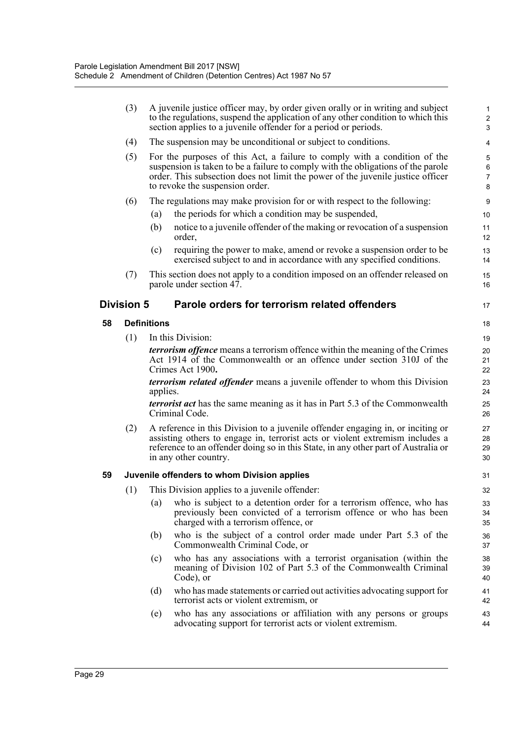|    | (3)               |                                                                                                                                                                                                                                                                                 | A juvenile justice officer may, by order given orally or in writing and subject<br>to the regulations, suspend the application of any other condition to which this<br>section applies to a juvenile offender for a period or periods.                                              | $\mathbf{1}$<br>$\boldsymbol{2}$<br>3 |  |  |
|----|-------------------|---------------------------------------------------------------------------------------------------------------------------------------------------------------------------------------------------------------------------------------------------------------------------------|-------------------------------------------------------------------------------------------------------------------------------------------------------------------------------------------------------------------------------------------------------------------------------------|---------------------------------------|--|--|
|    | (4)               |                                                                                                                                                                                                                                                                                 | The suspension may be unconditional or subject to conditions.                                                                                                                                                                                                                       | $\overline{\mathbf{4}}$               |  |  |
|    | (5)               |                                                                                                                                                                                                                                                                                 | For the purposes of this Act, a failure to comply with a condition of the<br>suspension is taken to be a failure to comply with the obligations of the parole<br>order. This subsection does not limit the power of the juvenile justice officer<br>to revoke the suspension order. | 5<br>6<br>$\overline{7}$<br>8         |  |  |
|    | (6)               |                                                                                                                                                                                                                                                                                 | The regulations may make provision for or with respect to the following:                                                                                                                                                                                                            | $\boldsymbol{9}$                      |  |  |
|    |                   | (a)                                                                                                                                                                                                                                                                             | the periods for which a condition may be suspended,                                                                                                                                                                                                                                 | 10                                    |  |  |
|    |                   | (b)                                                                                                                                                                                                                                                                             | notice to a juvenile offender of the making or revocation of a suspension<br>order,                                                                                                                                                                                                 | 11<br>12                              |  |  |
|    |                   | (c)                                                                                                                                                                                                                                                                             | requiring the power to make, amend or revoke a suspension order to be<br>exercised subject to and in accordance with any specified conditions.                                                                                                                                      | 13<br>14                              |  |  |
|    | (7)               |                                                                                                                                                                                                                                                                                 | This section does not apply to a condition imposed on an offender released on<br>parole under section 47.                                                                                                                                                                           | 15<br>16                              |  |  |
|    | <b>Division 5</b> |                                                                                                                                                                                                                                                                                 | Parole orders for terrorism related offenders                                                                                                                                                                                                                                       | 17                                    |  |  |
| 58 |                   | <b>Definitions</b>                                                                                                                                                                                                                                                              |                                                                                                                                                                                                                                                                                     | 18                                    |  |  |
|    | (1)               |                                                                                                                                                                                                                                                                                 | In this Division:                                                                                                                                                                                                                                                                   | 19                                    |  |  |
|    |                   |                                                                                                                                                                                                                                                                                 | <b><i>terrorism offence</i></b> means a terrorism offence within the meaning of the Crimes<br>Act 1914 of the Commonwealth or an offence under section 310J of the<br>Crimes Act 1900.                                                                                              | 20<br>21<br>22                        |  |  |
|    |                   | applies.                                                                                                                                                                                                                                                                        | <i>terrorism related offender</i> means a juvenile offender to whom this Division                                                                                                                                                                                                   | 23<br>24                              |  |  |
|    |                   |                                                                                                                                                                                                                                                                                 | <i>terrorist act</i> has the same meaning as it has in Part 5.3 of the Commonwealth<br>Criminal Code.                                                                                                                                                                               | 25<br>26                              |  |  |
|    | (2)               | A reference in this Division to a juvenile offender engaging in, or inciting or<br>assisting others to engage in, terrorist acts or violent extremism includes a<br>reference to an offender doing so in this State, in any other part of Australia or<br>in any other country. |                                                                                                                                                                                                                                                                                     |                                       |  |  |
| 59 |                   |                                                                                                                                                                                                                                                                                 | Juvenile offenders to whom Division applies                                                                                                                                                                                                                                         | 31                                    |  |  |
|    | (1)               |                                                                                                                                                                                                                                                                                 | This Division applies to a juvenile offender:                                                                                                                                                                                                                                       | 32                                    |  |  |
|    |                   | (a)                                                                                                                                                                                                                                                                             | who is subject to a detention order for a terrorism offence, who has<br>previously been convicted of a terrorism offence or who has been<br>charged with a terrorism offence, or                                                                                                    | 33<br>34<br>35                        |  |  |
|    |                   | (b)                                                                                                                                                                                                                                                                             | who is the subject of a control order made under Part 5.3 of the<br>Commonwealth Criminal Code, or                                                                                                                                                                                  | 36<br>37                              |  |  |
|    |                   | (c)                                                                                                                                                                                                                                                                             | who has any associations with a terrorist organisation (within the<br>meaning of Division 102 of Part 5.3 of the Commonwealth Criminal<br>Code), or                                                                                                                                 | 38<br>39<br>40                        |  |  |
|    |                   | (d)                                                                                                                                                                                                                                                                             | who has made statements or carried out activities advocating support for<br>terrorist acts or violent extremism, or                                                                                                                                                                 | 41<br>42                              |  |  |
|    |                   | (e)                                                                                                                                                                                                                                                                             | who has any associations or affiliation with any persons or groups<br>advocating support for terrorist acts or violent extremism.                                                                                                                                                   | 43<br>44                              |  |  |
|    |                   |                                                                                                                                                                                                                                                                                 |                                                                                                                                                                                                                                                                                     |                                       |  |  |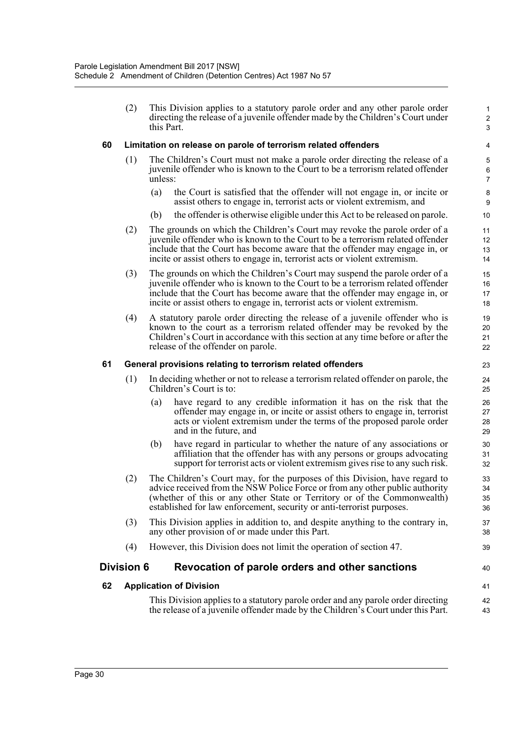(2) This Division applies to a statutory parole order and any other parole order directing the release of a juvenile offender made by the Children's Court under this Part.

1 2 3

40

41 42 43

#### **60 Limitation on release on parole of terrorism related offenders**

- (1) The Children's Court must not make a parole order directing the release of a juvenile offender who is known to the Court to be a terrorism related offender unless:
	- (a) the Court is satisfied that the offender will not engage in, or incite or assist others to engage in, terrorist acts or violent extremism, and
	- (b) the offender is otherwise eligible under this Act to be released on parole.
- (2) The grounds on which the Children's Court may revoke the parole order of a juvenile offender who is known to the Court to be a terrorism related offender include that the Court has become aware that the offender may engage in, or incite or assist others to engage in, terrorist acts or violent extremism.
- (3) The grounds on which the Children's Court may suspend the parole order of a juvenile offender who is known to the Court to be a terrorism related offender include that the Court has become aware that the offender may engage in, or incite or assist others to engage in, terrorist acts or violent extremism.
- (4) A statutory parole order directing the release of a juvenile offender who is known to the court as a terrorism related offender may be revoked by the Children's Court in accordance with this section at any time before or after the release of the offender on parole.

#### **61 General provisions relating to terrorism related offenders**

- (1) In deciding whether or not to release a terrorism related offender on parole, the Children's Court is to:
	- (a) have regard to any credible information it has on the risk that the offender may engage in, or incite or assist others to engage in, terrorist acts or violent extremism under the terms of the proposed parole order and in the future, and
	- (b) have regard in particular to whether the nature of any associations or affiliation that the offender has with any persons or groups advocating support for terrorist acts or violent extremism gives rise to any such risk.
- (2) The Children's Court may, for the purposes of this Division, have regard to advice received from the NSW Police Force or from any other public authority (whether of this or any other State or Territory or of the Commonwealth) established for law enforcement, security or anti-terrorist purposes.
- (3) This Division applies in addition to, and despite anything to the contrary in, any other provision of or made under this Part.
- (4) However, this Division does not limit the operation of section 47.

#### **Division 6 Revocation of parole orders and other sanctions**

#### **62 Application of Division**

This Division applies to a statutory parole order and any parole order directing the release of a juvenile offender made by the Children's Court under this Part.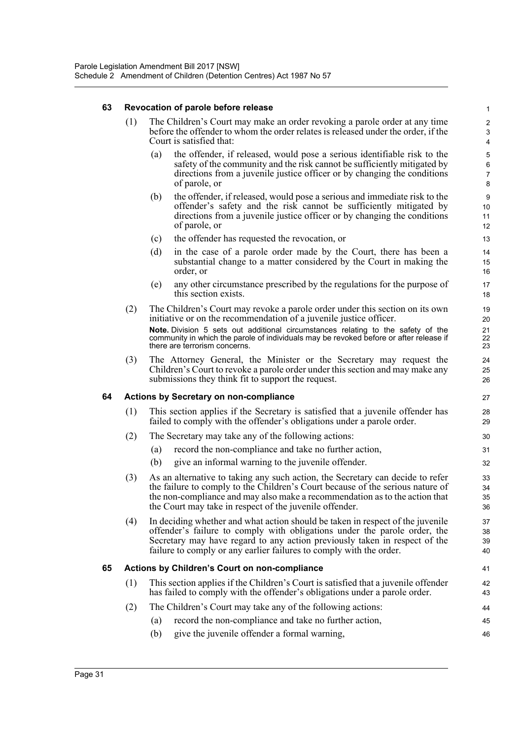#### **63 Revocation of parole before release**

- (1) The Children's Court may make an order revoking a parole order at any time before the offender to whom the order relates is released under the order, if the Court is satisfied that:
	- (a) the offender, if released, would pose a serious identifiable risk to the safety of the community and the risk cannot be sufficiently mitigated by directions from a juvenile justice officer or by changing the conditions of parole, or

46

- (b) the offender, if released, would pose a serious and immediate risk to the offender's safety and the risk cannot be sufficiently mitigated by directions from a juvenile justice officer or by changing the conditions of parole, or
- (c) the offender has requested the revocation, or
- (d) in the case of a parole order made by the Court, there has been a substantial change to a matter considered by the Court in making the order, or
- (e) any other circumstance prescribed by the regulations for the purpose of this section exists.
- (2) The Children's Court may revoke a parole order under this section on its own initiative or on the recommendation of a juvenile justice officer. **Note.** Division 5 sets out additional circumstances relating to the safety of the community in which the parole of individuals may be revoked before or after release if there are terrorism concerns.
- (3) The Attorney General, the Minister or the Secretary may request the Children's Court to revoke a parole order under this section and may make any submissions they think fit to support the request.

#### **64 Actions by Secretary on non-compliance**

- (1) This section applies if the Secretary is satisfied that a juvenile offender has failed to comply with the offender's obligations under a parole order.
- (2) The Secretary may take any of the following actions:
	- (a) record the non-compliance and take no further action,
	- (b) give an informal warning to the juvenile offender.
- (3) As an alternative to taking any such action, the Secretary can decide to refer the failure to comply to the Children's Court because of the serious nature of the non-compliance and may also make a recommendation as to the action that the Court may take in respect of the juvenile offender.
- (4) In deciding whether and what action should be taken in respect of the juvenile offender's failure to comply with obligations under the parole order, the Secretary may have regard to any action previously taken in respect of the failure to comply or any earlier failures to comply with the order.

#### **65 Actions by Children's Court on non-compliance**

- (1) This section applies if the Children's Court is satisfied that a juvenile offender has failed to comply with the offender's obligations under a parole order.
- (2) The Children's Court may take any of the following actions:
	- (a) record the non-compliance and take no further action, 45
	- (b) give the juvenile offender a formal warning,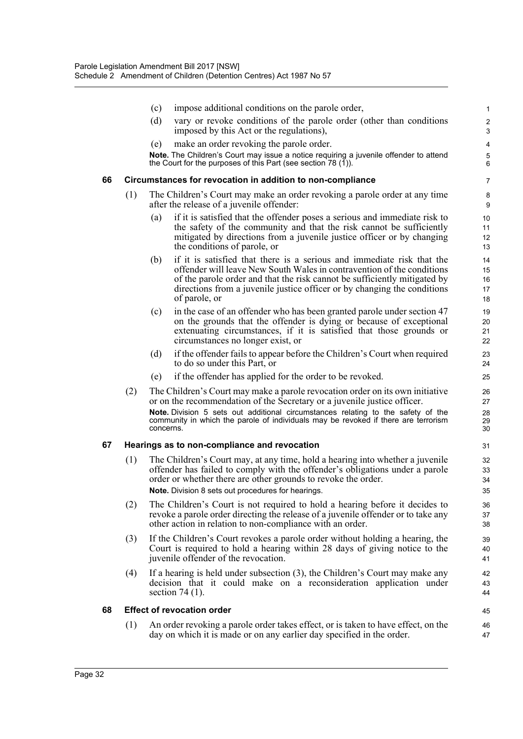|    |     | (c)               | impose additional conditions on the parole order,                                                                                                                      | 1              |
|----|-----|-------------------|------------------------------------------------------------------------------------------------------------------------------------------------------------------------|----------------|
|    |     | (d)               | vary or revoke conditions of the parole order (other than conditions                                                                                                   | 2              |
|    |     | (e)               | imposed by this Act or the regulations),<br>make an order revoking the parole order.                                                                                   | 3<br>4         |
|    |     |                   | Note. The Children's Court may issue a notice requiring a juvenile offender to attend                                                                                  | $\mathbf 5$    |
|    |     |                   | the Court for the purposes of this Part (see section 78 $(1)$ ).                                                                                                       | 6              |
| 66 |     |                   | Circumstances for revocation in addition to non-compliance                                                                                                             | 7              |
|    | (1) |                   | The Children's Court may make an order revoking a parole order at any time<br>after the release of a juvenile offender:                                                | 8<br>9         |
|    |     | $\left( a\right)$ | if it is satisfied that the offender poses a serious and immediate risk to                                                                                             | 10             |
|    |     |                   | the safety of the community and that the risk cannot be sufficiently<br>mitigated by directions from a juvenile justice officer or by changing                         | 11<br>12       |
|    |     |                   | the conditions of parole, or                                                                                                                                           | 13             |
|    |     | (b)               | if it is satisfied that there is a serious and immediate risk that the                                                                                                 | 14             |
|    |     |                   | offender will leave New South Wales in contravention of the conditions<br>of the parole order and that the risk cannot be sufficiently mitigated by                    | 15<br>16       |
|    |     |                   | directions from a juvenile justice officer or by changing the conditions                                                                                               | 17             |
|    |     |                   | of parole, or                                                                                                                                                          | 18             |
|    |     | (c)               | in the case of an offender who has been granted parole under section 47<br>on the grounds that the offender is dying or because of exceptional                         | 19<br>20       |
|    |     |                   | extenuating circumstances, if it is satisfied that those grounds or                                                                                                    | 21             |
|    |     |                   | circumstances no longer exist, or                                                                                                                                      | 22             |
|    |     | (d)               | if the offender fails to appear before the Children's Court when required<br>to do so under this Part, or                                                              | 23<br>24       |
|    |     | (e)               | if the offender has applied for the order to be revoked.                                                                                                               | 25             |
|    | (2) |                   | The Children's Court may make a parole revocation order on its own initiative<br>or on the recommendation of the Secretary or a juvenile justice officer.              | 26<br>27       |
|    |     | concerns.         | Note. Division 5 sets out additional circumstances relating to the safety of the<br>community in which the parole of individuals may be revoked if there are terrorism | 28<br>29<br>30 |
| 67 |     |                   | Hearings as to non-compliance and revocation                                                                                                                           | 31             |
|    | (1) |                   | The Children's Court may, at any time, hold a hearing into whether a juvenile                                                                                          | 32             |
|    |     |                   | offender has failed to comply with the offender's obligations under a parole                                                                                           | 33             |
|    |     |                   | order or whether there are other grounds to revoke the order.<br><b>Note.</b> Division 8 sets out procedures for hearings.                                             | 34<br>35       |
|    | (2) |                   | The Children's Court is not required to hold a hearing before it decides to                                                                                            | 36             |
|    |     |                   | revoke a parole order directing the release of a juvenile offender or to take any                                                                                      | 37             |
|    |     |                   | other action in relation to non-compliance with an order.                                                                                                              | 38             |
|    | (3) |                   | If the Children's Court revokes a parole order without holding a hearing, the                                                                                          | 39             |
|    |     |                   | Court is required to hold a hearing within 28 days of giving notice to the<br>juvenile offender of the revocation.                                                     | 40<br>41       |
|    | (4) |                   | If a hearing is held under subsection (3), the Children's Court may make any                                                                                           | 42             |
|    |     |                   | decision that it could make on a reconsideration application under                                                                                                     | 43             |
|    |     |                   | section $74(1)$ .                                                                                                                                                      | 44             |
| 68 |     |                   | <b>Effect of revocation order</b>                                                                                                                                      | 45             |
|    | (1) |                   | An order revoking a parole order takes effect, or is taken to have effect, on the<br>day on which it is made or on any earlier day specified in the order.             | 46<br>47       |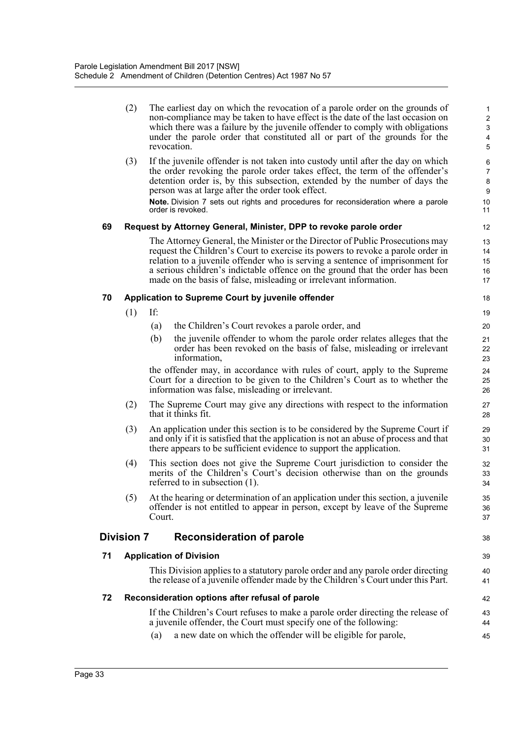|    | (2)                                               | The earliest day on which the revocation of a parole order on the grounds of<br>non-compliance may be taken to have effect is the date of the last occasion on<br>which there was a failure by the juvenile offender to comply with obligations<br>under the parole order that constituted all or part of the grounds for the<br>revocation.                                                            | $\mathbf{1}$<br>$\sqrt{2}$<br>3<br>4<br>5 |  |  |  |  |  |  |  |
|----|---------------------------------------------------|---------------------------------------------------------------------------------------------------------------------------------------------------------------------------------------------------------------------------------------------------------------------------------------------------------------------------------------------------------------------------------------------------------|-------------------------------------------|--|--|--|--|--|--|--|
|    | (3)                                               | If the juvenile offender is not taken into custody until after the day on which<br>the order revoking the parole order takes effect, the term of the offender's<br>detention order is, by this subsection, extended by the number of days the<br>person was at large after the order took effect.                                                                                                       | 6<br>$\overline{7}$<br>8<br>9             |  |  |  |  |  |  |  |
|    |                                                   | Note. Division 7 sets out rights and procedures for reconsideration where a parole<br>order is revoked.                                                                                                                                                                                                                                                                                                 | 10<br>11                                  |  |  |  |  |  |  |  |
| 69 |                                                   | Request by Attorney General, Minister, DPP to revoke parole order                                                                                                                                                                                                                                                                                                                                       | 12                                        |  |  |  |  |  |  |  |
|    |                                                   | The Attorney General, the Minister or the Director of Public Prosecutions may<br>request the Children's Court to exercise its powers to revoke a parole order in<br>relation to a juvenile offender who is serving a sentence of imprisonment for<br>a serious children's indictable offence on the ground that the order has been<br>made on the basis of false, misleading or irrelevant information. | 13<br>14<br>15<br>16<br>17                |  |  |  |  |  |  |  |
| 70 | Application to Supreme Court by juvenile offender |                                                                                                                                                                                                                                                                                                                                                                                                         |                                           |  |  |  |  |  |  |  |
|    | (1)                                               | If:                                                                                                                                                                                                                                                                                                                                                                                                     | 19                                        |  |  |  |  |  |  |  |
|    |                                                   | the Children's Court revokes a parole order, and<br>(a)                                                                                                                                                                                                                                                                                                                                                 | 20                                        |  |  |  |  |  |  |  |
|    |                                                   | the juvenile offender to whom the parole order relates alleges that the<br>(b)<br>order has been revoked on the basis of false, misleading or irrelevant<br>information.                                                                                                                                                                                                                                | 21<br>22<br>23                            |  |  |  |  |  |  |  |
|    |                                                   | the offender may, in accordance with rules of court, apply to the Supreme<br>Court for a direction to be given to the Children's Court as to whether the<br>information was false, misleading or irrelevant.                                                                                                                                                                                            | 24<br>25<br>26                            |  |  |  |  |  |  |  |
|    | (2)                                               | The Supreme Court may give any directions with respect to the information<br>that it thinks fit.                                                                                                                                                                                                                                                                                                        | 27<br>28                                  |  |  |  |  |  |  |  |
|    | (3)                                               | An application under this section is to be considered by the Supreme Court if<br>and only if it is satisfied that the application is not an abuse of process and that<br>there appears to be sufficient evidence to support the application.                                                                                                                                                            | 29<br>30<br>31                            |  |  |  |  |  |  |  |
|    | (4)                                               | This section does not give the Supreme Court jurisdiction to consider the<br>merits of the Children's Court's decision otherwise than on the grounds<br>referred to in subsection (1).                                                                                                                                                                                                                  | 32<br>33<br>34                            |  |  |  |  |  |  |  |
|    | (5)                                               | At the hearing or determination of an application under this section, a juvenile<br>offender is not entitled to appear in person, except by leave of the Supreme<br>Court.                                                                                                                                                                                                                              | 35<br>36<br>37                            |  |  |  |  |  |  |  |
|    | <b>Division 7</b>                                 | <b>Reconsideration of parole</b>                                                                                                                                                                                                                                                                                                                                                                        | 38                                        |  |  |  |  |  |  |  |
| 71 |                                                   | <b>Application of Division</b>                                                                                                                                                                                                                                                                                                                                                                          | 39                                        |  |  |  |  |  |  |  |
|    |                                                   | This Division applies to a statutory parole order and any parole order directing<br>the release of a juvenile offender made by the Children's Court under this Part.                                                                                                                                                                                                                                    | 40<br>41                                  |  |  |  |  |  |  |  |
| 72 |                                                   | Reconsideration options after refusal of parole                                                                                                                                                                                                                                                                                                                                                         | 42                                        |  |  |  |  |  |  |  |
|    |                                                   | If the Children's Court refuses to make a parole order directing the release of<br>a juvenile offender, the Court must specify one of the following:                                                                                                                                                                                                                                                    | 43<br>44                                  |  |  |  |  |  |  |  |
|    |                                                   | a new date on which the offender will be eligible for parole,<br>(a)                                                                                                                                                                                                                                                                                                                                    | 45                                        |  |  |  |  |  |  |  |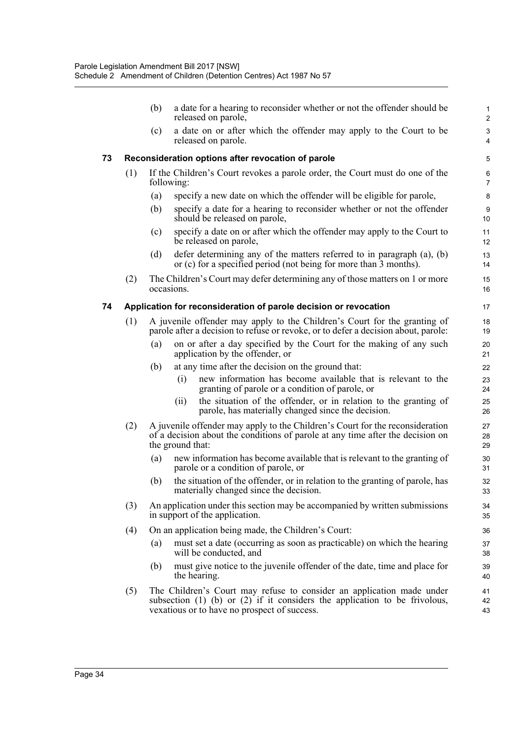|    |     | (b) |                  | a date for a hearing to reconsider whether or not the offender should be<br>released on parole,                                                                                                           | 1<br>2                                      |
|----|-----|-----|------------------|-----------------------------------------------------------------------------------------------------------------------------------------------------------------------------------------------------------|---------------------------------------------|
|    |     | (c) |                  | a date on or after which the offender may apply to the Court to be<br>released on parole.                                                                                                                 | $\ensuremath{\mathsf{3}}$<br>$\overline{4}$ |
| 73 |     |     |                  | Reconsideration options after revocation of parole                                                                                                                                                        | 5                                           |
|    | (1) |     | following:       | If the Children's Court revokes a parole order, the Court must do one of the                                                                                                                              | 6<br>7                                      |
|    |     | (a) |                  | specify a new date on which the offender will be eligible for parole,                                                                                                                                     | 8                                           |
|    |     | (b) |                  | specify a date for a hearing to reconsider whether or not the offender<br>should be released on parole,                                                                                                   | 9<br>10                                     |
|    |     | (c) |                  | specify a date on or after which the offender may apply to the Court to<br>be released on parole,                                                                                                         | 11<br>12                                    |
|    |     | (d) |                  | defer determining any of the matters referred to in paragraph $(a)$ , $(b)$<br>or (c) for a specified period (not being for more than 3 months).                                                          | 13<br>14                                    |
|    | (2) |     | occasions.       | The Children's Court may defer determining any of those matters on 1 or more                                                                                                                              | 15<br>16                                    |
| 74 |     |     |                  | Application for reconsideration of parole decision or revocation                                                                                                                                          | 17                                          |
|    | (1) |     |                  | A juvenile offender may apply to the Children's Court for the granting of<br>parole after a decision to refuse or revoke, or to defer a decision about, parole:                                           | 18<br>19                                    |
|    |     | (a) |                  | on or after a day specified by the Court for the making of any such<br>application by the offender, or                                                                                                    | 20<br>21                                    |
|    |     | (b) |                  | at any time after the decision on the ground that:                                                                                                                                                        | 22                                          |
|    |     |     | (i)              | new information has become available that is relevant to the<br>granting of parole or a condition of parole, or                                                                                           | 23<br>24                                    |
|    |     |     | (ii)             | the situation of the offender, or in relation to the granting of<br>parole, has materially changed since the decision.                                                                                    | 25<br>26                                    |
|    | (2) |     | the ground that: | A juvenile offender may apply to the Children's Court for the reconsideration<br>of a decision about the conditions of parole at any time after the decision on                                           | 27<br>28<br>29                              |
|    |     | (a) |                  | new information has become available that is relevant to the granting of<br>parole or a condition of parole, or                                                                                           | 30<br>31                                    |
|    |     | (b) |                  | the situation of the offender, or in relation to the granting of parole, has<br>materially changed since the decision.                                                                                    | 32<br>33                                    |
|    | (3) |     |                  | An application under this section may be accompanied by written submissions<br>in support of the application.                                                                                             | 34<br>35                                    |
|    | (4) |     |                  | On an application being made, the Children's Court:                                                                                                                                                       | 36                                          |
|    |     | (a) |                  | must set a date (occurring as soon as practicable) on which the hearing<br>will be conducted, and                                                                                                         | 37<br>38                                    |
|    |     | (b) |                  | must give notice to the juvenile offender of the date, time and place for<br>the hearing.                                                                                                                 | 39<br>40                                    |
|    | (5) |     |                  | The Children's Court may refuse to consider an application made under<br>subsection $(1)$ $(b)$ or $(2)$ if it considers the application to be frivolous,<br>vexatious or to have no prospect of success. | 41<br>42<br>43                              |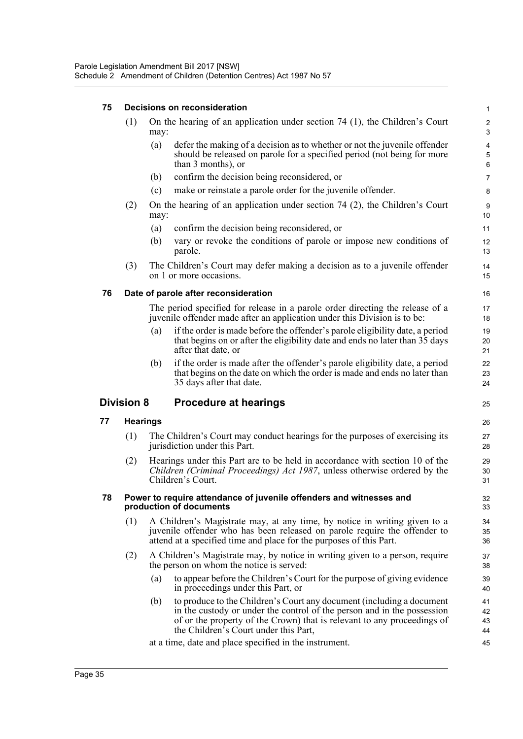#### **75 Decisions on reconsideration**

| (1) | On the hearing of an application under section $74$ (1), the Children's Court<br>may: |                                                                                                                                                                            |             |  |  |  |  |
|-----|---------------------------------------------------------------------------------------|----------------------------------------------------------------------------------------------------------------------------------------------------------------------------|-------------|--|--|--|--|
|     | $\left( a\right)$                                                                     | defer the making of a decision as to whether or not the juvenile offender<br>should be released on parole for a specified period (not being for more<br>than 3 months), or | 4<br>5<br>6 |  |  |  |  |
|     | (b)                                                                                   | confirm the decision being reconsidered, or                                                                                                                                | 7           |  |  |  |  |
|     | (c)                                                                                   | make or reinstate a parole order for the juvenile offender.                                                                                                                | 8           |  |  |  |  |
| (2) | On the hearing of an application under section $74$ (2), the Children's Court<br>may: |                                                                                                                                                                            |             |  |  |  |  |
|     | (a)                                                                                   | confirm the decision being reconsidered, or                                                                                                                                | 11          |  |  |  |  |
|     | (b)                                                                                   | vary or revoke the conditions of parole or impose new conditions of<br>parole.                                                                                             | 12<br>13    |  |  |  |  |
| (3) |                                                                                       | The Children's Court may defer making a decision as to a juvenile offender                                                                                                 | 14          |  |  |  |  |

1

15

# **76 Date of parole after reconsideration**

on 1 or more occasions.

The period specified for release in a parole order directing the release of a juvenile offender made after an application under this Division is to be:

- (a) if the order is made before the offender's parole eligibility date, a period that begins on or after the eligibility date and ends no later than 35 days after that date, or
- (b) if the order is made after the offender's parole eligibility date, a period that begins on the date on which the order is made and ends no later than 35 days after that date.

#### **Division 8 Procedure at hearings**

#### **77 Hearings**

- (1) The Children's Court may conduct hearings for the purposes of exercising its jurisdiction under this Part.
- (2) Hearings under this Part are to be held in accordance with section 10 of the *Children (Criminal Proceedings) Act 1987*, unless otherwise ordered by the Children's Court.

#### **78 Power to require attendance of juvenile offenders and witnesses and production of documents**

- (1) A Children's Magistrate may, at any time, by notice in writing given to a juvenile offender who has been released on parole require the offender to attend at a specified time and place for the purposes of this Part.
- (2) A Children's Magistrate may, by notice in writing given to a person, require the person on whom the notice is served:
	- (a) to appear before the Children's Court for the purpose of giving evidence in proceedings under this Part, or
	- (b) to produce to the Children's Court any document (including a document in the custody or under the control of the person and in the possession of or the property of the Crown) that is relevant to any proceedings of the Children's Court under this Part,

at a time, date and place specified in the instrument.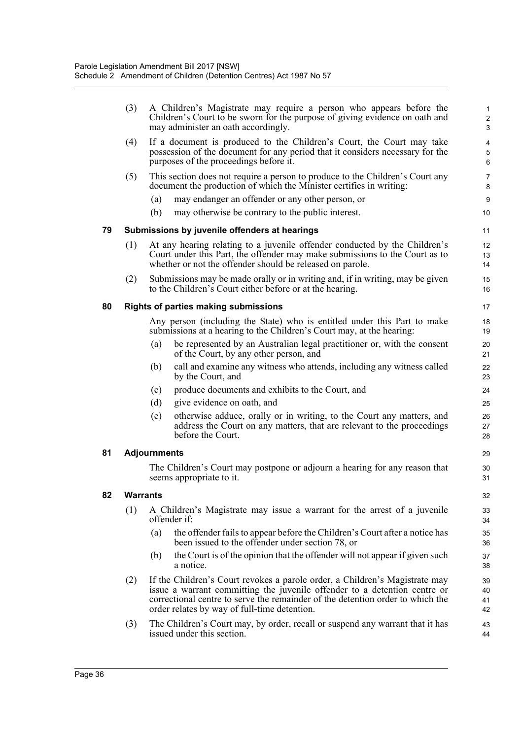|    | (3)             |                     | A Children's Magistrate may require a person who appears before the<br>Children's Court to be sworn for the purpose of giving evidence on oath and<br>may administer an oath accordingly.                                                                                                  | 2<br>3               |
|----|-----------------|---------------------|--------------------------------------------------------------------------------------------------------------------------------------------------------------------------------------------------------------------------------------------------------------------------------------------|----------------------|
|    | (4)             |                     | If a document is produced to the Children's Court, the Court may take<br>possession of the document for any period that it considers necessary for the<br>purposes of the proceedings before it.                                                                                           | 6                    |
|    | (5)             |                     | This section does not require a person to produce to the Children's Court any<br>document the production of which the Minister certifies in writing:                                                                                                                                       | 7<br>8               |
|    |                 | (a)                 | may endanger an offender or any other person, or                                                                                                                                                                                                                                           | g                    |
|    |                 | (b)                 | may otherwise be contrary to the public interest.                                                                                                                                                                                                                                          | 10                   |
| 79 |                 |                     | Submissions by juvenile offenders at hearings                                                                                                                                                                                                                                              | 11                   |
|    | (1)             |                     | At any hearing relating to a juvenile offender conducted by the Children's<br>Court under this Part, the offender may make submissions to the Court as to<br>whether or not the offender should be released on parole.                                                                     | 12<br>13<br>14       |
|    | (2)             |                     | Submissions may be made orally or in writing and, if in writing, may be given<br>to the Children's Court either before or at the hearing.                                                                                                                                                  | 15<br>16             |
| 80 |                 |                     | <b>Rights of parties making submissions</b>                                                                                                                                                                                                                                                | 17                   |
|    |                 |                     | Any person (including the State) who is entitled under this Part to make<br>submissions at a hearing to the Children's Court may, at the hearing:                                                                                                                                          | 18<br>19             |
|    |                 | (a)                 | be represented by an Australian legal practitioner or, with the consent<br>of the Court, by any other person, and                                                                                                                                                                          | 20<br>21             |
|    |                 | (b)                 | call and examine any witness who attends, including any witness called<br>by the Court, and                                                                                                                                                                                                | 22<br>23             |
|    |                 | (c)                 | produce documents and exhibits to the Court, and                                                                                                                                                                                                                                           | 24                   |
|    |                 | (d)                 | give evidence on oath, and                                                                                                                                                                                                                                                                 | 25                   |
|    |                 | (e)                 | otherwise adduce, orally or in writing, to the Court any matters, and<br>address the Court on any matters, that are relevant to the proceedings<br>before the Court.                                                                                                                       | 26<br>27<br>28       |
| 81 |                 | <b>Adjournments</b> |                                                                                                                                                                                                                                                                                            | 29                   |
|    |                 |                     | The Children's Court may postpone or adjourn a hearing for any reason that<br>seems appropriate to it.                                                                                                                                                                                     | 30<br>31             |
| 82 | <b>Warrants</b> |                     |                                                                                                                                                                                                                                                                                            | 32                   |
|    | (1)             |                     | A Children's Magistrate may issue a warrant for the arrest of a juvenile<br>offender if:                                                                                                                                                                                                   | 33<br>34             |
|    |                 | (a)                 | the offender fails to appear before the Children's Court after a notice has<br>been issued to the offender under section 78, or                                                                                                                                                            | 35<br>36             |
|    |                 | (b)                 | the Court is of the opinion that the offender will not appear if given such<br>a notice.                                                                                                                                                                                                   | 37<br>38             |
|    | (2)             |                     | If the Children's Court revokes a parole order, a Children's Magistrate may<br>issue a warrant committing the juvenile offender to a detention centre or<br>correctional centre to serve the remainder of the detention order to which the<br>order relates by way of full-time detention. | 39<br>40<br>41<br>42 |
|    | (3)             |                     | The Children's Court may, by order, recall or suspend any warrant that it has<br>issued under this section.                                                                                                                                                                                | 43<br>44             |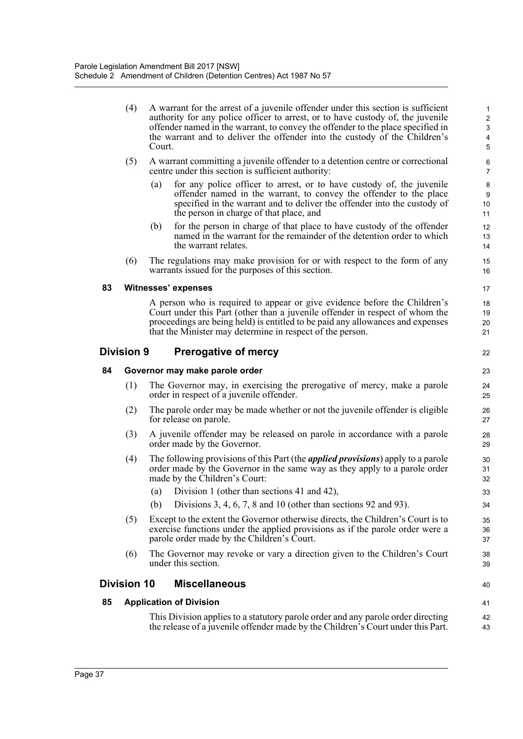(4) A warrant for the arrest of a juvenile offender under this section is sufficient authority for any police officer to arrest, or to have custody of, the juvenile offender named in the warrant, to convey the offender to the place specified in the warrant and to deliver the offender into the custody of the Children's Court.

22

40 41

- (5) A warrant committing a juvenile offender to a detention centre or correctional centre under this section is sufficient authority:
	- (a) for any police officer to arrest, or to have custody of, the juvenile offender named in the warrant, to convey the offender to the place specified in the warrant and to deliver the offender into the custody of the person in charge of that place, and
	- (b) for the person in charge of that place to have custody of the offender named in the warrant for the remainder of the detention order to which the warrant relates.
- (6) The regulations may make provision for or with respect to the form of any warrants issued for the purposes of this section.

#### **83 Witnesses' expenses**

A person who is required to appear or give evidence before the Children's Court under this Part (other than a juvenile offender in respect of whom the proceedings are being held) is entitled to be paid any allowances and expenses that the Minister may determine in respect of the person.

#### **Division 9 Prerogative of mercy**

#### **84 Governor may make parole order**

- (1) The Governor may, in exercising the prerogative of mercy, make a parole order in respect of a juvenile offender.
- (2) The parole order may be made whether or not the juvenile offender is eligible for release on parole.
- (3) A juvenile offender may be released on parole in accordance with a parole order made by the Governor.
- (4) The following provisions of this Part (the *applied provisions*) apply to a parole order made by the Governor in the same way as they apply to a parole order made by the Children's Court:
	- (a) Division 1 (other than sections 41 and 42),
	- (b) Divisions 3, 4, 6, 7, 8 and 10 (other than sections 92 and 93).
- (5) Except to the extent the Governor otherwise directs, the Children's Court is to exercise functions under the applied provisions as if the parole order were a parole order made by the Children's Court.
- (6) The Governor may revoke or vary a direction given to the Children's Court under this section.

#### **Division 10 Miscellaneous**

#### **85 Application of Division**

This Division applies to a statutory parole order and any parole order directing the release of a juvenile offender made by the Children's Court under this Part. 42 43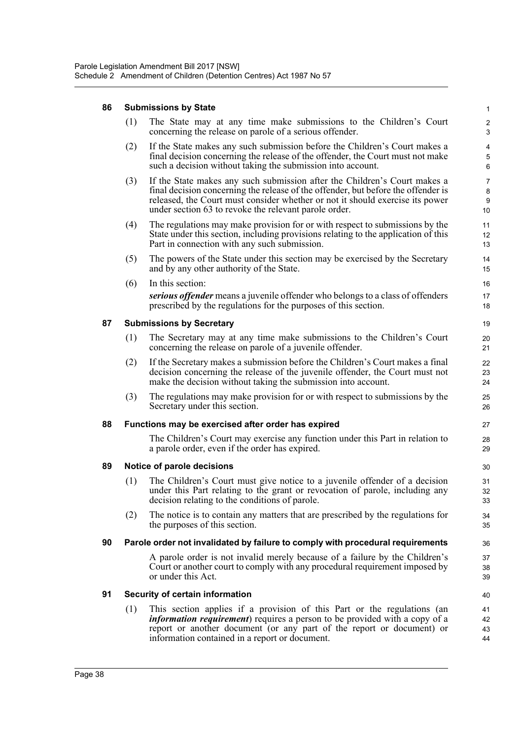## **86 Submissions by State**

|    | (1)                                                                            | The State may at any time make submissions to the Children's Court<br>concerning the release on parole of a serious offender.                                                                                                                                                                            | $\overline{\mathbf{c}}$<br>3       |  |  |  |  |
|----|--------------------------------------------------------------------------------|----------------------------------------------------------------------------------------------------------------------------------------------------------------------------------------------------------------------------------------------------------------------------------------------------------|------------------------------------|--|--|--|--|
|    | (2)                                                                            | If the State makes any such submission before the Children's Court makes a<br>final decision concerning the release of the offender, the Court must not make<br>such a decision without taking the submission into account.                                                                              | $\overline{4}$<br>$\mathbf 5$<br>6 |  |  |  |  |
|    | (3)                                                                            | If the State makes any such submission after the Children's Court makes a<br>final decision concerning the release of the offender, but before the offender is<br>released, the Court must consider whether or not it should exercise its power<br>under section 63 to revoke the relevant parole order. | 7<br>8<br>9<br>10                  |  |  |  |  |
|    | (4)                                                                            | The regulations may make provision for or with respect to submissions by the<br>State under this section, including provisions relating to the application of this<br>Part in connection with any such submission.                                                                                       | 11<br>12<br>13                     |  |  |  |  |
|    | (5)                                                                            | The powers of the State under this section may be exercised by the Secretary<br>and by any other authority of the State.                                                                                                                                                                                 | 14<br>15                           |  |  |  |  |
|    | (6)                                                                            | In this section:                                                                                                                                                                                                                                                                                         | 16                                 |  |  |  |  |
|    |                                                                                | serious offender means a juvenile offender who belongs to a class of offenders<br>prescribed by the regulations for the purposes of this section.                                                                                                                                                        | 17<br>18                           |  |  |  |  |
| 87 | <b>Submissions by Secretary</b>                                                |                                                                                                                                                                                                                                                                                                          |                                    |  |  |  |  |
|    | (1)                                                                            | The Secretary may at any time make submissions to the Children's Court<br>concerning the release on parole of a juvenile offender.                                                                                                                                                                       | 20<br>21                           |  |  |  |  |
|    | (2)                                                                            | If the Secretary makes a submission before the Children's Court makes a final<br>decision concerning the release of the juvenile offender, the Court must not<br>make the decision without taking the submission into account.                                                                           | 22<br>23<br>24                     |  |  |  |  |
|    | (3)                                                                            | The regulations may make provision for or with respect to submissions by the<br>Secretary under this section.                                                                                                                                                                                            | 25<br>26                           |  |  |  |  |
| 88 | Functions may be exercised after order has expired                             |                                                                                                                                                                                                                                                                                                          |                                    |  |  |  |  |
|    |                                                                                | The Children's Court may exercise any function under this Part in relation to<br>a parole order, even if the order has expired.                                                                                                                                                                          | 28<br>29                           |  |  |  |  |
| 89 | Notice of parole decisions<br>30                                               |                                                                                                                                                                                                                                                                                                          |                                    |  |  |  |  |
|    | (1)                                                                            | The Children's Court must give notice to a juvenile offender of a decision<br>under this Part relating to the grant or revocation of parole, including any<br>decision relating to the conditions of parole.                                                                                             | 31<br>32<br>33                     |  |  |  |  |
|    | (2)                                                                            | The notice is to contain any matters that are prescribed by the regulations for<br>the purposes of this section.                                                                                                                                                                                         | 34<br>35                           |  |  |  |  |
| 90 | Parole order not invalidated by failure to comply with procedural requirements |                                                                                                                                                                                                                                                                                                          |                                    |  |  |  |  |
|    |                                                                                | A parole order is not invalid merely because of a failure by the Children's<br>Court or another court to comply with any procedural requirement imposed by<br>or under this Act.                                                                                                                         | 37<br>38<br>39                     |  |  |  |  |
| 91 | Security of certain information                                                |                                                                                                                                                                                                                                                                                                          |                                    |  |  |  |  |
|    | (1)                                                                            | This section applies if a provision of this Part or the regulations (an<br><i>information requirement</i> ) requires a person to be provided with a copy of a<br>report or another document (or any part of the report or document) or<br>information contained in a report or document.                 | 41<br>42<br>43<br>44               |  |  |  |  |

1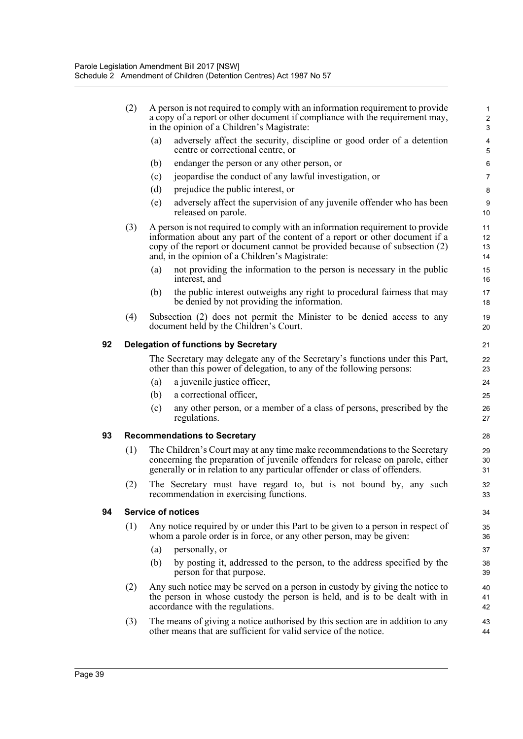|    | (2)                                               | A person is not required to comply with an information requirement to provide<br>a copy of a report or other document if compliance with the requirement may,<br>in the opinion of a Children's Magistrate:                                                                                     |                                                                                                                                                                                                |                     |  |  |  |
|----|---------------------------------------------------|-------------------------------------------------------------------------------------------------------------------------------------------------------------------------------------------------------------------------------------------------------------------------------------------------|------------------------------------------------------------------------------------------------------------------------------------------------------------------------------------------------|---------------------|--|--|--|
|    |                                                   | (a)                                                                                                                                                                                                                                                                                             | adversely affect the security, discipline or good order of a detention<br>centre or correctional centre, or                                                                                    | $\overline{4}$<br>5 |  |  |  |
|    |                                                   | (b)                                                                                                                                                                                                                                                                                             | endanger the person or any other person, or                                                                                                                                                    | 6                   |  |  |  |
|    |                                                   | (c)                                                                                                                                                                                                                                                                                             | jeopardise the conduct of any lawful investigation, or                                                                                                                                         | $\overline{7}$      |  |  |  |
|    |                                                   | (d)                                                                                                                                                                                                                                                                                             | prejudice the public interest, or                                                                                                                                                              | 8                   |  |  |  |
|    |                                                   | (e)                                                                                                                                                                                                                                                                                             | adversely affect the supervision of any juvenile offender who has been<br>released on parole.                                                                                                  | $9\,$<br>10         |  |  |  |
|    | (3)                                               | A person is not required to comply with an information requirement to provide<br>information about any part of the content of a report or other document if a<br>copy of the report or document cannot be provided because of subsection (2)<br>and, in the opinion of a Children's Magistrate: |                                                                                                                                                                                                |                     |  |  |  |
|    |                                                   | (a)                                                                                                                                                                                                                                                                                             | not providing the information to the person is necessary in the public<br>interest, and                                                                                                        | 15<br>16            |  |  |  |
|    |                                                   | (b)                                                                                                                                                                                                                                                                                             | the public interest outweighs any right to procedural fairness that may<br>be denied by not providing the information.                                                                         | 17<br>18            |  |  |  |
|    | (4)                                               |                                                                                                                                                                                                                                                                                                 | Subsection (2) does not permit the Minister to be denied access to any<br>document held by the Children's Court.                                                                               | 19<br>20            |  |  |  |
| 92 | <b>Delegation of functions by Secretary</b><br>21 |                                                                                                                                                                                                                                                                                                 |                                                                                                                                                                                                |                     |  |  |  |
|    |                                                   | The Secretary may delegate any of the Secretary's functions under this Part,<br>other than this power of delegation, to any of the following persons:                                                                                                                                           |                                                                                                                                                                                                |                     |  |  |  |
|    |                                                   | (a)                                                                                                                                                                                                                                                                                             | a juvenile justice officer,                                                                                                                                                                    | 24                  |  |  |  |
|    |                                                   | (b)                                                                                                                                                                                                                                                                                             | a correctional officer,                                                                                                                                                                        | 25                  |  |  |  |
|    |                                                   | (c)                                                                                                                                                                                                                                                                                             | any other person, or a member of a class of persons, prescribed by the<br>regulations.                                                                                                         | 26<br>27            |  |  |  |
| 93 | <b>Recommendations to Secretary</b>               |                                                                                                                                                                                                                                                                                                 |                                                                                                                                                                                                |                     |  |  |  |
|    | (1)                                               | The Children's Court may at any time make recommendations to the Secretary<br>concerning the preparation of juvenile offenders for release on parole, either<br>generally or in relation to any particular offender or class of offenders.                                                      |                                                                                                                                                                                                |                     |  |  |  |
|    | (2)                                               |                                                                                                                                                                                                                                                                                                 | The Secretary must have regard to, but is not bound by, any such<br>recommendation in exercising functions.                                                                                    | 32<br>33            |  |  |  |
| 94 | <b>Service of notices</b><br>34                   |                                                                                                                                                                                                                                                                                                 |                                                                                                                                                                                                |                     |  |  |  |
|    | (1)                                               | Any notice required by or under this Part to be given to a person in respect of<br>whom a parole order is in force, or any other person, may be given:                                                                                                                                          |                                                                                                                                                                                                |                     |  |  |  |
|    |                                                   | (a)                                                                                                                                                                                                                                                                                             | personally, or                                                                                                                                                                                 | 37                  |  |  |  |
|    |                                                   | (b)                                                                                                                                                                                                                                                                                             | by posting it, addressed to the person, to the address specified by the<br>person for that purpose.                                                                                            | 38<br>39            |  |  |  |
|    | (2)                                               |                                                                                                                                                                                                                                                                                                 | Any such notice may be served on a person in custody by giving the notice to<br>the person in whose custody the person is held, and is to be dealt with in<br>accordance with the regulations. | 40<br>41<br>42      |  |  |  |
|    | (3)                                               |                                                                                                                                                                                                                                                                                                 | The means of giving a notice authorised by this section are in addition to any<br>other means that are sufficient for valid service of the notice.                                             | 43<br>44            |  |  |  |
|    |                                                   |                                                                                                                                                                                                                                                                                                 |                                                                                                                                                                                                |                     |  |  |  |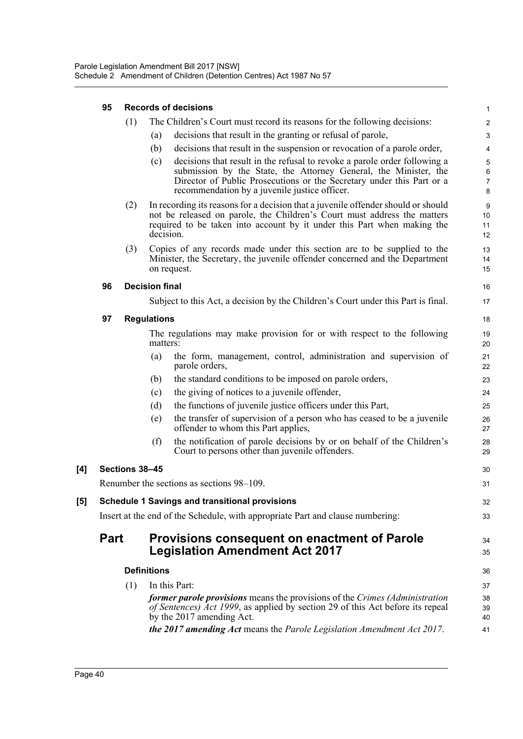|     | 95                                                                             | <b>Records of decisions</b> |                       |                                                                                                                                                                                                                                                                         |                                                  |  |
|-----|--------------------------------------------------------------------------------|-----------------------------|-----------------------|-------------------------------------------------------------------------------------------------------------------------------------------------------------------------------------------------------------------------------------------------------------------------|--------------------------------------------------|--|
|     |                                                                                | (1)                         |                       | The Children's Court must record its reasons for the following decisions:                                                                                                                                                                                               | 2                                                |  |
|     |                                                                                |                             | (a)                   | decisions that result in the granting or refusal of parole,                                                                                                                                                                                                             | 3                                                |  |
|     |                                                                                |                             | (b)                   | decisions that result in the suspension or revocation of a parole order,                                                                                                                                                                                                | 4                                                |  |
|     |                                                                                |                             | (c)                   | decisions that result in the refusal to revoke a parole order following a<br>submission by the State, the Attorney General, the Minister, the<br>Director of Public Prosecutions or the Secretary under this Part or a<br>recommendation by a juvenile justice officer. | $\overline{5}$<br>$\,6\,$<br>$\overline{7}$<br>8 |  |
|     |                                                                                | (2)                         | decision.             | In recording its reasons for a decision that a juvenile offender should or should<br>not be released on parole, the Children's Court must address the matters<br>required to be taken into account by it under this Part when making the                                | 9<br>10<br>11<br>12                              |  |
|     |                                                                                | (3)                         |                       | Copies of any records made under this section are to be supplied to the<br>Minister, the Secretary, the juvenile offender concerned and the Department<br>on request.                                                                                                   | 13<br>14<br>15                                   |  |
|     | 96                                                                             |                             | <b>Decision final</b> |                                                                                                                                                                                                                                                                         | 16                                               |  |
|     |                                                                                |                             |                       | Subject to this Act, a decision by the Children's Court under this Part is final.                                                                                                                                                                                       | 17                                               |  |
|     | 97                                                                             |                             | <b>Regulations</b>    |                                                                                                                                                                                                                                                                         | 18                                               |  |
|     |                                                                                |                             | matters:              | The regulations may make provision for or with respect to the following                                                                                                                                                                                                 | 19<br>20                                         |  |
|     |                                                                                |                             | (a)                   | the form, management, control, administration and supervision of<br>parole orders,                                                                                                                                                                                      | 21<br>22                                         |  |
|     |                                                                                |                             | (b)                   | the standard conditions to be imposed on parole orders,                                                                                                                                                                                                                 | 23                                               |  |
|     |                                                                                |                             | (c)                   | the giving of notices to a juvenile offender,                                                                                                                                                                                                                           | 24                                               |  |
|     |                                                                                |                             | (d)                   | the functions of juvenile justice officers under this Part,                                                                                                                                                                                                             | 25                                               |  |
|     |                                                                                |                             | (e)                   | the transfer of supervision of a person who has ceased to be a juvenile<br>offender to whom this Part applies,                                                                                                                                                          | 26<br>27                                         |  |
|     |                                                                                |                             | (f)                   | the notification of parole decisions by or on behalf of the Children's<br>Court to persons other than juvenile offenders.                                                                                                                                               | 28<br>29                                         |  |
| [4] |                                                                                | Sections 38-45              |                       |                                                                                                                                                                                                                                                                         | 30                                               |  |
|     | Renumber the sections as sections 98–109.                                      |                             |                       |                                                                                                                                                                                                                                                                         |                                                  |  |
| [5] | <b>Schedule 1 Savings and transitional provisions</b>                          |                             |                       |                                                                                                                                                                                                                                                                         |                                                  |  |
|     | Insert at the end of the Schedule, with appropriate Part and clause numbering: |                             |                       |                                                                                                                                                                                                                                                                         |                                                  |  |
|     | <b>Part</b>                                                                    |                             |                       | Provisions consequent on enactment of Parole<br><b>Legislation Amendment Act 2017</b>                                                                                                                                                                                   | 34<br>35                                         |  |
|     | <b>Definitions</b>                                                             |                             |                       |                                                                                                                                                                                                                                                                         | 36                                               |  |
|     |                                                                                | (1)                         |                       | In this Part:                                                                                                                                                                                                                                                           | 37                                               |  |
|     |                                                                                |                             |                       | former parole provisions means the provisions of the Crimes (Administration<br>of Sentences) Act 1999, as applied by section 29 of this Act before its repeal<br>by the 2017 amending Act.                                                                              | 38<br>39<br>40                                   |  |
|     |                                                                                |                             |                       | the 2017 amending Act means the Parole Legislation Amendment Act 2017.                                                                                                                                                                                                  | 41                                               |  |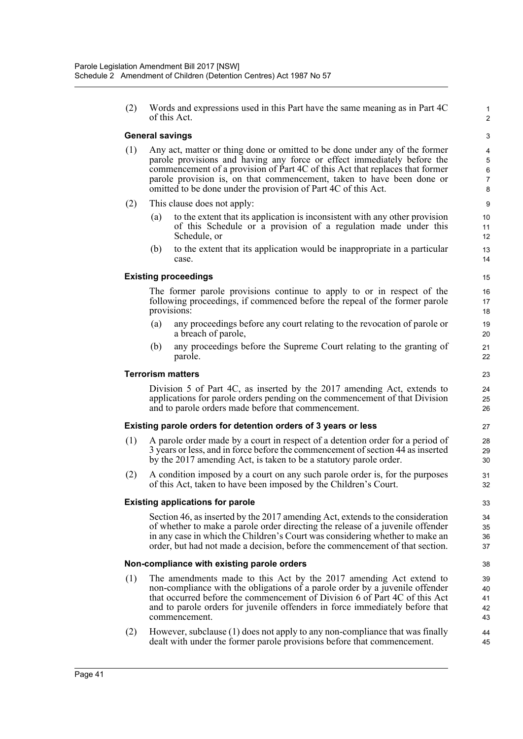(2) Words and expressions used in this Part have the same meaning as in Part 4C of this Act.

1 2

#### **General savings**

- (1) Any act, matter or thing done or omitted to be done under any of the former parole provisions and having any force or effect immediately before the commencement of a provision of Part 4C of this Act that replaces that former parole provision is, on that commencement, taken to have been done or omitted to be done under the provision of Part 4C of this Act.
- (2) This clause does not apply:
	- (a) to the extent that its application is inconsistent with any other provision of this Schedule or a provision of a regulation made under this Schedule, or
	- (b) to the extent that its application would be inappropriate in a particular case.

#### **Existing proceedings**

The former parole provisions continue to apply to or in respect of the following proceedings, if commenced before the repeal of the former parole provisions:

- (a) any proceedings before any court relating to the revocation of parole or a breach of parole,
- (b) any proceedings before the Supreme Court relating to the granting of parole.

#### **Terrorism matters**

Division 5 of Part 4C, as inserted by the 2017 amending Act, extends to applications for parole orders pending on the commencement of that Division and to parole orders made before that commencement.

#### **Existing parole orders for detention orders of 3 years or less**

- (1) A parole order made by a court in respect of a detention order for a period of 3 years or less, and in force before the commencement of section 44 as inserted by the 2017 amending Act, is taken to be a statutory parole order.
- (2) A condition imposed by a court on any such parole order is, for the purposes of this Act, taken to have been imposed by the Children's Court.

#### **Existing applications for parole**

Section 46, as inserted by the 2017 amending Act, extends to the consideration of whether to make a parole order directing the release of a juvenile offender in any case in which the Children's Court was considering whether to make an order, but had not made a decision, before the commencement of that section.

#### **Non-compliance with existing parole orders**

- (1) The amendments made to this Act by the 2017 amending Act extend to non-compliance with the obligations of a parole order by a juvenile offender that occurred before the commencement of Division 6 of Part 4C of this Act and to parole orders for juvenile offenders in force immediately before that commencement.
- (2) However, subclause (1) does not apply to any non-compliance that was finally dealt with under the former parole provisions before that commencement.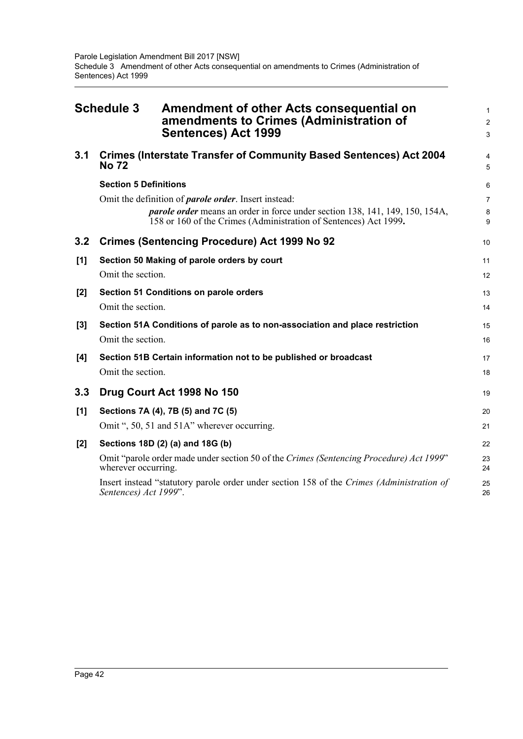<span id="page-51-0"></span>

|       | <b>Schedule 3</b><br>Amendment of other Acts consequential on<br>amendments to Crimes (Administration of<br><b>Sentences) Act 1999</b>                                                                                  | 1<br>$\overline{c}$<br>3 |  |  |  |  |
|-------|-------------------------------------------------------------------------------------------------------------------------------------------------------------------------------------------------------------------------|--------------------------|--|--|--|--|
| 3.1   | <b>Crimes (Interstate Transfer of Community Based Sentences) Act 2004</b><br><b>No 72</b>                                                                                                                               |                          |  |  |  |  |
|       | <b>Section 5 Definitions</b>                                                                                                                                                                                            | 6                        |  |  |  |  |
|       | Omit the definition of <i>parole order</i> . Insert instead:<br><i>parole order</i> means an order in force under section 138, 141, 149, 150, 154A,<br>158 or 160 of the Crimes (Administration of Sentences) Act 1999. | $\overline{7}$<br>8<br>9 |  |  |  |  |
| 3.2   | <b>Crimes (Sentencing Procedure) Act 1999 No 92</b>                                                                                                                                                                     | 10                       |  |  |  |  |
| [1]   | Section 50 Making of parole orders by court                                                                                                                                                                             | 11                       |  |  |  |  |
|       | Omit the section.                                                                                                                                                                                                       | 12                       |  |  |  |  |
| [2]   | Section 51 Conditions on parole orders                                                                                                                                                                                  | 13                       |  |  |  |  |
|       | Omit the section.                                                                                                                                                                                                       | 14                       |  |  |  |  |
| $[3]$ | Section 51A Conditions of parole as to non-association and place restriction<br>Omit the section.                                                                                                                       | 15<br>16                 |  |  |  |  |
| [4]   | Section 51B Certain information not to be published or broadcast                                                                                                                                                        |                          |  |  |  |  |
|       | Omit the section.                                                                                                                                                                                                       | 18                       |  |  |  |  |
| 3.3   | Drug Court Act 1998 No 150                                                                                                                                                                                              | 19                       |  |  |  |  |
| [1]   | Sections 7A (4), 7B (5) and 7C (5)                                                                                                                                                                                      | 20                       |  |  |  |  |
|       | Omit ", 50, 51 and 51A" wherever occurring.                                                                                                                                                                             | 21                       |  |  |  |  |
| $[2]$ | Sections 18D (2) (a) and 18G (b)                                                                                                                                                                                        |                          |  |  |  |  |
|       | Omit "parole order made under section 50 of the Crimes (Sentencing Procedure) Act 1999"<br>wherever occurring.                                                                                                          |                          |  |  |  |  |
|       | Insert instead "statutory parole order under section 158 of the Crimes (Administration of<br>Sentences) Act 1999".                                                                                                      | 25<br>26                 |  |  |  |  |